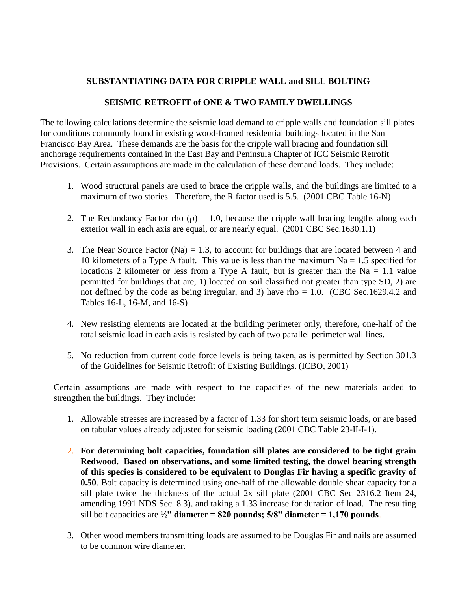# **SUBSTANTIATING DATA FOR CRIPPLE WALL and SILL BOLTING**

## **SEISMIC RETROFIT of ONE & TWO FAMILY DWELLINGS**

The following calculations determine the seismic load demand to cripple walls and foundation sill plates for conditions commonly found in existing wood-framed residential buildings located in the San Francisco Bay Area. These demands are the basis for the cripple wall bracing and foundation sill anchorage requirements contained in the East Bay and Peninsula Chapter of ICC Seismic Retrofit Provisions. Certain assumptions are made in the calculation of these demand loads. They include:

- 1. Wood structural panels are used to brace the cripple walls, and the buildings are limited to a maximum of two stories. Therefore, the R factor used is 5.5. (2001 CBC Table 16-N)
- 2. The Redundancy Factor rho  $(\rho) = 1.0$ , because the cripple wall bracing lengths along each exterior wall in each axis are equal, or are nearly equal. (2001 CBC Sec.1630.1.1)
- 3. The Near Source Factor (Na)  $= 1.3$ , to account for buildings that are located between 4 and 10 kilometers of a Type A fault. This value is less than the maximum  $Na = 1.5$  specified for locations 2 kilometer or less from a Type A fault, but is greater than the Na  $= 1.1$  value permitted for buildings that are, 1) located on soil classified not greater than type SD, 2) are not defined by the code as being irregular, and 3) have rho  $= 1.0$ . (CBC Sec.1629.4.2 and Tables 16-L, 16-M, and 16-S)
- 4. New resisting elements are located at the building perimeter only, therefore, one-half of the total seismic load in each axis is resisted by each of two parallel perimeter wall lines.
- 5. No reduction from current code force levels is being taken, as is permitted by Section 301.3 of the Guidelines for Seismic Retrofit of Existing Buildings. (ICBO, 2001)

Certain assumptions are made with respect to the capacities of the new materials added to strengthen the buildings. They include:

- 1. Allowable stresses are increased by a factor of 1.33 for short term seismic loads, or are based on tabular values already adjusted for seismic loading (2001 CBC Table 23-II-I-1).
- 2. **For determining bolt capacities, foundation sill plates are considered to be tight grain Redwood. Based on observations, and some limited testing, the dowel bearing strength of this species is considered to be equivalent to Douglas Fir having a specific gravity of 0.50**. Bolt capacity is determined using one-half of the allowable double shear capacity for a sill plate twice the thickness of the actual 2x sill plate (2001 CBC Sec 2316.2 Item 24, amending 1991 NDS Sec. 8.3), and taking a 1.33 increase for duration of load. The resulting sill bolt capacities are  $\frac{1}{2}$ " diameter = 820 pounds; 5/8" diameter = 1,170 pounds.
- 3. Other wood members transmitting loads are assumed to be Douglas Fir and nails are assumed to be common wire diameter.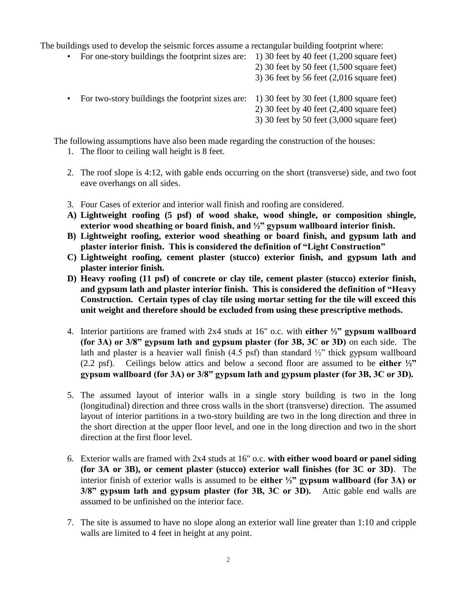The buildings used to develop the seismic forces assume a rectangular building footprint where:

- For one-story buildings the footprint sizes are: 1) 30 feet by 40 feet (1,200 square feet)
	- 2) 30 feet by 50 feet (1,500 square feet)

3) 36 feet by 56 feet (2,016 square feet)

- For two-story buildings the footprint sizes are: 1) 30 feet by 30 feet (1,800 square feet)
	- 2) 30 feet by 40 feet (2,400 square feet)
	- 3) 30 feet by 50 feet (3,000 square feet)

The following assumptions have also been made regarding the construction of the houses:

- 1. The floor to ceiling wall height is 8 feet.
- 2. The roof slope is 4:12, with gable ends occurring on the short (transverse) side, and two foot eave overhangs on all sides.
- 3. Four Cases of exterior and interior wall finish and roofing are considered.
- **A) Lightweight roofing (5 psf) of wood shake, wood shingle, or composition shingle, exterior wood sheathing or board finish, and ½" gypsum wallboard interior finish.**
- **B) Lightweight roofing, exterior wood sheathing or board finish, and gypsum lath and plaster interior finish. This is considered the definition of "Light Construction"**
- **C) Lightweight roofing, cement plaster (stucco) exterior finish, and gypsum lath and plaster interior finish.**
- **D) Heavy roofing (11 psf) of concrete or clay tile, cement plaster (stucco) exterior finish, and gypsum lath and plaster interior finish. This is considered the definition of "Heavy Construction. Certain types of clay tile using mortar setting for the tile will exceed this unit weight and therefore should be excluded from using these prescriptive methods.**
- 4. Interior partitions are framed with 2x4 studs at 16" o.c. with **either ½" gypsum wallboard (for 3A) or 3/8" gypsum lath and gypsum plaster (for 3B, 3C or 3D)** on each side. The lath and plaster is a heavier wall finish  $(4.5 \text{ psf})$  than standard  $\frac{1}{2}$ " thick gypsum wallboard (2.2 psf). Ceilings below attics and below a second floor are assumed to be **either ½" gypsum wallboard (for 3A) or 3/8" gypsum lath and gypsum plaster (for 3B, 3C or 3D).**
- 5. The assumed layout of interior walls in a single story building is two in the long (longitudinal) direction and three cross walls in the short (transverse) direction. The assumed layout of interior partitions in a two-story building are two in the long direction and three in the short direction at the upper floor level, and one in the long direction and two in the short direction at the first floor level.
- 6. Exterior walls are framed with 2x4 studs at 16" o.c. **with either wood board or panel siding (for 3A or 3B), or cement plaster (stucco) exterior wall finishes (for 3C or 3D)**. The interior finish of exterior walls is assumed to be **either ½" gypsum wallboard (for 3A) or 3/8" gypsum lath and gypsum plaster (for 3B, 3C or 3D).** Attic gable end walls are assumed to be unfinished on the interior face.
- 7. The site is assumed to have no slope along an exterior wall line greater than 1:10 and cripple walls are limited to 4 feet in height at any point.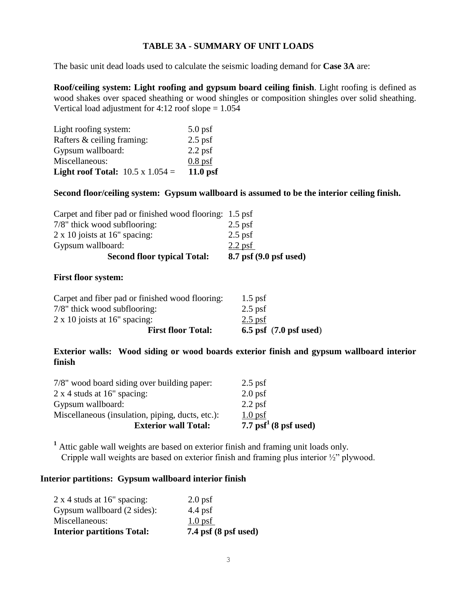# **TABLE 3A - SUMMARY OF UNIT LOADS**

The basic unit dead loads used to calculate the seismic loading demand for **Case 3A** are:

**Roof/ceiling system: Light roofing and gypsum board ceiling finish**. Light roofing is defined as wood shakes over spaced sheathing or wood shingles or composition shingles over solid sheathing. Vertical load adjustment for  $4:12$  roof slope  $= 1.054$ 

| Light roofing system:                          | $5.0$ psf |
|------------------------------------------------|-----------|
| Rafters & ceiling framing:                     | $2.5$ psf |
| Gypsum wallboard:                              | $2.2$ psf |
| Miscellaneous:                                 | $0.8$ psf |
| <b>Light roof Total:</b> $10.5 \times 1.054 =$ | 11.0 psf  |

### **Second floor/ceiling system: Gypsum wallboard is assumed to be the interior ceiling finish.**

| $2.2$ psf                                               |
|---------------------------------------------------------|
| $2.5$ psf                                               |
| $2.5$ psf                                               |
| Carpet and fiber pad or finished wood flooring: 1.5 psf |
|                                                         |

### **First floor system:**

| <b>First floor Total:</b>                       | $6.5$ psf $(7.0$ psf used) |
|-------------------------------------------------|----------------------------|
| $2 \times 10$ joists at 16" spacing:            | $2.5$ psf                  |
| 7/8" thick wood subflooring:                    | $2.5$ psf                  |
| Carpet and fiber pad or finished wood flooring: | $1.5$ psf                  |

# **Exterior walls: Wood siding or wood boards exterior finish and gypsum wallboard interior finish**

| <b>Exterior wall Total:</b>                      | 7.7 $psf^1(8 psf used)$ |
|--------------------------------------------------|-------------------------|
| Miscellaneous (insulation, piping, ducts, etc.): | $1.0$ psf               |
| Gypsum wallboard:                                | $2.2$ psf               |
| $2 \times 4$ studs at 16" spacing:               | $2.0$ psf               |
| 7/8" wood board siding over building paper:      | $2.5$ psf               |
|                                                  |                         |

**<sup>1</sup>** Attic gable wall weights are based on exterior finish and framing unit loads only. Cripple wall weights are based on exterior finish and framing plus interior ½" plywood.

## **Interior partitions: Gypsum wallboard interior finish**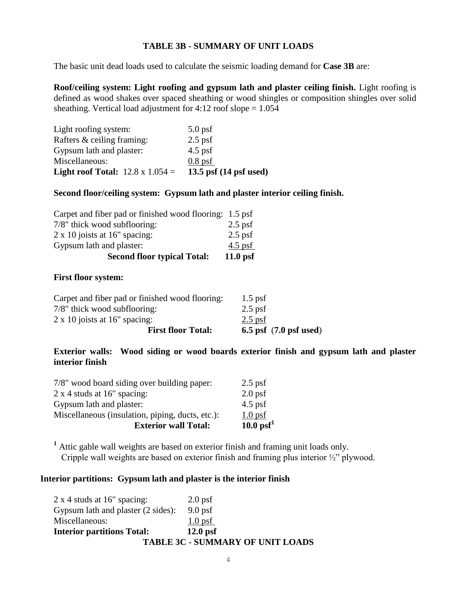# **TABLE 3B - SUMMARY OF UNIT LOADS**

The basic unit dead loads used to calculate the seismic loading demand for **Case 3B** are:

**Roof/ceiling system: Light roofing and gypsum lath and plaster ceiling finish.** Light roofing is defined as wood shakes over spaced sheathing or wood shingles or composition shingles over solid sheathing. Vertical load adjustment for  $4:12$  roof slope = 1.054

| Light roofing system:                          | $5.0 \,\mathrm{psf}$             |
|------------------------------------------------|----------------------------------|
| Rafters & ceiling framing:                     | $2.5$ psf                        |
| Gypsum lath and plaster:                       | $4.5$ psf                        |
| Miscellaneous:                                 | $0.8$ psf                        |
| <b>Light roof Total:</b> $12.8 \times 1.054 =$ | 13.5 psf $(14 \text{ psf used})$ |

# **Second floor/ceiling system: Gypsum lath and plaster interior ceiling finish.**

| <b>Second floor typical Total:</b>                      | $11.0$ psf |
|---------------------------------------------------------|------------|
| Gypsum lath and plaster:                                | $4.5$ psf  |
| $2 \times 10$ joists at 16" spacing:                    | $2.5$ psf  |
| 7/8" thick wood subflooring:                            | $2.5$ psf  |
| Carpet and fiber pad or finished wood flooring: 1.5 psf |            |

### **First floor system:**

| <b>First floor Total:</b>                       | $6.5$ psf $(7.0$ psf used) |
|-------------------------------------------------|----------------------------|
| $2 \times 10$ joists at 16" spacing:            | $2.5$ psf                  |
| 7/8" thick wood subflooring:                    | $2.5$ psf                  |
| Carpet and fiber pad or finished wood flooring: | $1.5$ psf                  |

**Exterior walls: Wood siding or wood boards exterior finish and gypsum lath and plaster interior finish**

| <b>Exterior wall Total:</b>                      | $10.0 \text{ psf}^1$ |
|--------------------------------------------------|----------------------|
| Miscellaneous (insulation, piping, ducts, etc.): | $1.0 \,\mathrm{psf}$ |
| Gypsum lath and plaster:                         | $4.5$ psf            |
| $2 \times 4$ studs at 16" spacing:               | $2.0$ psf            |
| 7/8" wood board siding over building paper:      | $2.5$ psf            |

**<sup>1</sup>** Attic gable wall weights are based on exterior finish and framing unit loads only. Cripple wall weights are based on exterior finish and framing plus interior ½" plywood.

## **Interior partitions: Gypsum lath and plaster is the interior finish**

| <b>TABLE 3C - SUMMARY OF UNIT LOADS</b> |  |  |
|-----------------------------------------|--|--|
| $12.0$ psf                              |  |  |
| $1.0$ psf                               |  |  |
| $9.0 \,\mathrm{psf}$                    |  |  |
| $2.0$ psf                               |  |  |
|                                         |  |  |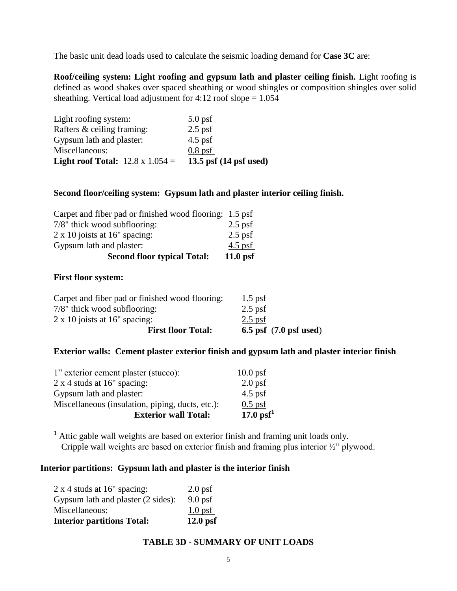The basic unit dead loads used to calculate the seismic loading demand for **Case 3C** are:

**Roof/ceiling system: Light roofing and gypsum lath and plaster ceiling finish.** Light roofing is defined as wood shakes over spaced sheathing or wood shingles or composition shingles over solid sheathing. Vertical load adjustment for  $4:12$  roof slope =  $1.054$ 

| Light roofing system:                          | $5.0$ psf                        |
|------------------------------------------------|----------------------------------|
| Rafters & ceiling framing:                     | $2.5$ psf                        |
| Gypsum lath and plaster:                       | $4.5$ psf                        |
| Miscellaneous:                                 | $0.8$ psf                        |
| <b>Light roof Total:</b> $12.8 \times 1.054 =$ | 13.5 psf $(14 \text{ psf used})$ |

### **Second floor/ceiling system: Gypsum lath and plaster interior ceiling finish.**

| <b>Second floor typical Total:</b>                      | $11.0$ psf |
|---------------------------------------------------------|------------|
| Gypsum lath and plaster:                                | $4.5$ psf  |
| $2 \times 10$ joists at 16" spacing:                    | $2.5$ psf  |
| 7/8" thick wood subflooring:                            | $2.5$ psf  |
| Carpet and fiber pad or finished wood flooring: 1.5 psf |            |

#### **First floor system:**

| <b>First floor Total:</b>                       | $6.5$ psf $(7.0$ psf used) |
|-------------------------------------------------|----------------------------|
| $2 \times 10$ joists at 16" spacing:            | $2.5$ psf                  |
| 7/8" thick wood subflooring:                    | $2.5$ psf                  |
| Carpet and fiber pad or finished wood flooring: | $1.5$ psf                  |

# **Exterior walls: Cement plaster exterior finish and gypsum lath and plaster interior finish**

| <b>Exterior wall Total:</b>                      | $17.0 \text{ psf}^1$  |
|--------------------------------------------------|-----------------------|
| Miscellaneous (insulation, piping, ducts, etc.): | $0.5$ psf             |
| Gypsum lath and plaster:                         | $4.5$ psf             |
| $2 \times 4$ studs at 16" spacing:               | $2.0$ psf             |
| 1" exterior cement plaster (stucco):             | $10.0 \,\mathrm{psf}$ |

**<sup>1</sup>** Attic gable wall weights are based on exterior finish and framing unit loads only. Cripple wall weights are based on exterior finish and framing plus interior ½" plywood.

### **Interior partitions: Gypsum lath and plaster is the interior finish**

| <b>Interior partitions Total:</b>  | $12.0$ psf           |
|------------------------------------|----------------------|
| Miscellaneous:                     | $1.0 \text{ psf}$    |
| Gypsum lath and plaster (2 sides): | $9.0 \,\mathrm{psf}$ |
| $2 \times 4$ studs at 16" spacing: | $2.0$ psf            |

# **TABLE 3D - SUMMARY OF UNIT LOADS**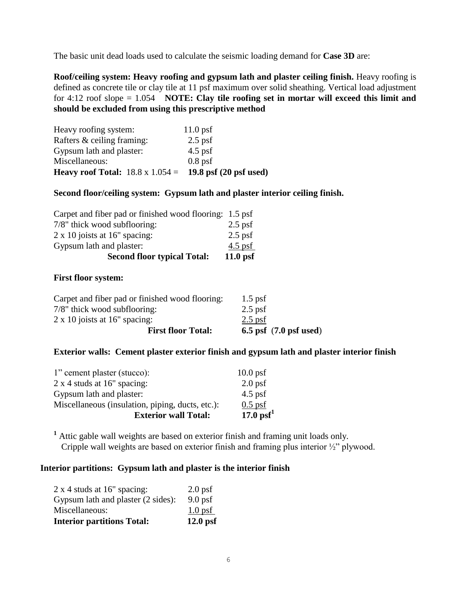The basic unit dead loads used to calculate the seismic loading demand for **Case 3D** are:

**Roof/ceiling system: Heavy roofing and gypsum lath and plaster ceiling finish.** Heavy roofing is defined as concrete tile or clay tile at 11 psf maximum over solid sheathing. Vertical load adjustment for 4:12 roof slope = 1.054 **NOTE: Clay tile roofing set in mortar will exceed this limit and should be excluded from using this prescriptive method**

| Heavy roofing system:                                          | $11.0 \,\mathrm{psf}$ |
|----------------------------------------------------------------|-----------------------|
| Rafters & ceiling framing:                                     | $2.5$ psf             |
| Gypsum lath and plaster:                                       | $4.5$ psf             |
| Miscellaneous:                                                 | $0.8$ psf             |
| Heavy roof Total: $18.8 \times 1.054 = 19.8$ psf (20 psf used) |                       |

### **Second floor/ceiling system: Gypsum lath and plaster interior ceiling finish.**

| <b>Second floor typical Total:</b>                      | $11.0$ psf |
|---------------------------------------------------------|------------|
| Gypsum lath and plaster:                                | $4.5$ psf  |
| $2 \times 10$ joists at 16" spacing:                    | $2.5$ psf  |
| 7/8" thick wood subflooring:                            | $2.5$ psf  |
| Carpet and fiber pad or finished wood flooring: 1.5 psf |            |

### **First floor system:**

| <b>First floor Total:</b>                       | $6.5$ psf $(7.0$ psf used) |
|-------------------------------------------------|----------------------------|
| $2 \times 10$ joists at 16" spacing:            | $2.5$ psf                  |
| 7/8" thick wood subflooring:                    | $2.5$ psf                  |
| Carpet and fiber pad or finished wood flooring: | $1.5$ psf                  |

# **Exterior walls: Cement plaster exterior finish and gypsum lath and plaster interior finish**

| $17.0 \text{ psf}^1$  |
|-----------------------|
| $0.5$ psf             |
| $4.5$ psf             |
| $2.0$ psf             |
| $10.0 \,\mathrm{psf}$ |
|                       |

**<sup>1</sup>** Attic gable wall weights are based on exterior finish and framing unit loads only. Cripple wall weights are based on exterior finish and framing plus interior ½" plywood.

### **Interior partitions: Gypsum lath and plaster is the interior finish**

| <b>Interior partitions Total:</b>  | $12.0$ psf           |
|------------------------------------|----------------------|
| Miscellaneous:                     | $1.0 \,\mathrm{psf}$ |
| Gypsum lath and plaster (2 sides): | $9.0 \,\mathrm{psf}$ |
| $2 \times 4$ studs at 16" spacing: | $2.0$ psf            |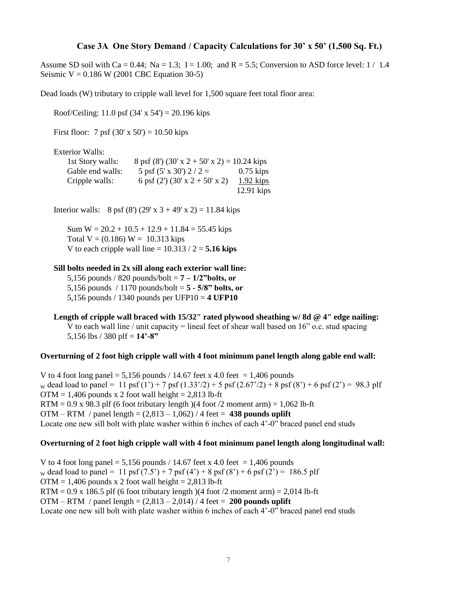### **Case 3A One Story Demand / Capacity Calculations for 30' x 50' (1,500 Sq. Ft.)**

Assume SD soil with Ca = 0.44; Na = 1.3; I = 1.00; and R = 5.5; Conversion to ASD force level:  $1/1.4$ Seismic  $V = 0.186$  W (2001 CBC Equation 30-5)

Dead loads (W) tributary to cripple wall level for 1,500 square feet total floor area:

Roof/Ceiling: 11.0 psf  $(34' \times 54') = 20.196$  kips

First floor: 7 psf  $(30' \times 50') = 10.50$  kips

Exterior Walls:

| 1st Story walls: | $8 \text{ psf} (8') (30' \text{ x } 2 + 50' \text{ x } 2) = 10.24 \text{ kips}$ |              |
|------------------|---------------------------------------------------------------------------------|--------------|
| Gable end walls: | 5 psf $(5' \times 30')$ 2 / 2 =                                                 | $0.75$ kips  |
| Cripple walls:   | 6 psf $(2')$ $(30' \times 2 + 50' \times 2)$                                    | $1.92$ kips  |
|                  |                                                                                 | $12.91$ kips |

Interior walls: 8 psf (8') (29' x 3 + 49' x 2) = 11.84 kips

Sum  $W = 20.2 + 10.5 + 12.9 + 11.84 = 55.45$  kips Total  $V = (0.186) W = 10.313$  kips V to each cripple wall line  $= 10.313 / 2 = 5.16$  kips

#### **Sill bolts needed in 2x sill along each exterior wall line:**

5,156 pounds / 820 pounds/bolt =  $7 - \frac{1}{2}$ " bolts, or 5,156 pounds / 1170 pounds/bolt = **5 - 5/8" bolts, or** 5,156 pounds / 1340 pounds per UFP10 = **4 UFP10**

**Length of cripple wall braced with 15/32" rated plywood sheathing w/ 8d @ 4" edge nailing:** V to each wall line / unit capacity = lineal feet of shear wall based on  $16$ " o.c. stud spacing 5,156 lbs / 380 plf = **14'-8"** 

#### **Overturning of 2 foot high cripple wall with 4 foot minimum panel length along gable end wall:**

V to 4 foot long panel = 5,156 pounds / 14.67 feet x 4.0 feet = 1,406 pounds w dead load to panel = 11 psf  $(1') + 7$  psf  $(1.33')/2$  + 5 psf  $(2.67')/2$  + 8 psf  $(8') + 6$  psf  $(2') = 98.3$  plf  $OTM = 1,406$  pounds x 2 foot wall height = 2,813 lb-ft  $RTM = 0.9$  x 98.3 plf (6 foot tributary length)(4 foot /2 moment arm) = 1,062 lb-ft OTM – RTM / panel length = (2,813 – 1,062) / 4 feet = **438 pounds uplift** Locate one new sill bolt with plate washer within 6 inches of each 4'-0" braced panel end studs

#### **Overturning of 2 foot high cripple wall with 4 foot minimum panel length along longitudinal wall:**

V to 4 foot long panel = 5,156 pounds / 14.67 feet x 4.0 feet = 1,406 pounds w dead load to panel = 11 psf  $(7.5') + 7$  psf  $(4') + 8$  psf  $(8') + 6$  psf  $(2') = 186.5$  plf  $OTM = 1,406$  pounds x 2 foot wall height = 2,813 lb-ft  $RTM = 0.9$  x 186.5 plf (6 foot tributary length)(4 foot /2 moment arm) = 2,014 lb-ft OTM – RTM / panel length = (2,813 – 2,014) / 4 feet = **200 pounds uplift** Locate one new sill bolt with plate washer within 6 inches of each 4'-0" braced panel end studs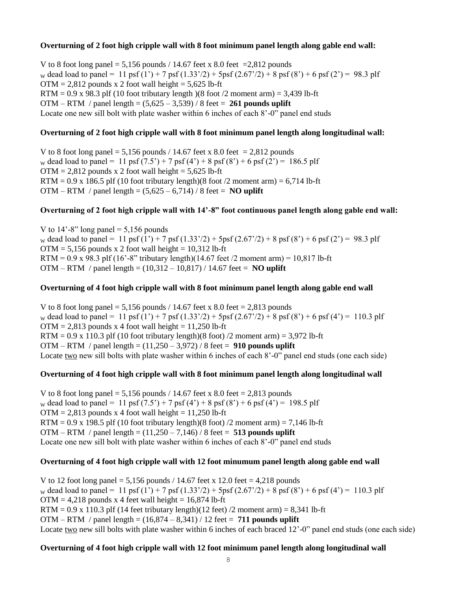### **Overturning of 2 foot high cripple wall with 8 foot minimum panel length along gable end wall:**

V to 8 foot long panel = 5,156 pounds / 14.67 feet x 8.0 feet = 2,812 pounds w dead load to panel = 11 psf (1') + 7 psf (1.33'/2) + 5psf (2.67'/2) + 8 psf (8') + 6 psf (2') = 98.3 plf  $OTM = 2,812$  pounds x 2 foot wall height = 5,625 lb-ft  $RTM = 0.9$  x 98.3 plf (10 foot tributary length)(8 foot /2 moment arm) = 3,439 lb-ft OTM – RTM / panel length = (5,625 – 3,539) / 8 feet = **261 pounds uplift** Locate one new sill bolt with plate washer within 6 inches of each 8'-0" panel end studs

### **Overturning of 2 foot high cripple wall with 8 foot minimum panel length along longitudinal wall:**

V to 8 foot long panel = 5,156 pounds / 14.67 feet x 8.0 feet = 2,812 pounds w dead load to panel = 11 psf  $(7.5') + 7$  psf  $(4') + 8$  psf  $(8') + 6$  psf  $(2') = 186.5$  plf  $OTM = 2,812$  pounds x 2 foot wall height = 5,625 lb-ft  $RTM = 0.9$  x 186.5 plf (10 foot tributary length)(8 foot /2 moment arm) = 6,714 lb-ft OTM – RTM / panel length =  $(5,625 - 6,714)$  / 8 feet = **NO uplift** 

### **Overturning of 2 foot high cripple wall with 14'-8" foot continuous panel length along gable end wall:**

V to  $14^\circ$ -8" long panel = 5,156 pounds w dead load to panel = 11 psf (1') + 7 psf (1.33'/2) + 5psf (2.67'/2) + 8 psf (8') + 6 psf (2') = 98.3 plf  $OTM = 5,156$  pounds x 2 foot wall height = 10,312 lb-ft RTM =  $0.9$  x 98.3 plf (16'-8" tributary length)(14.67 feet /2 moment arm) = 10,817 lb-ft OTM – RTM / panel length = (10,312 – 10,817) / 14.67 feet = **NO uplift**

### **Overturning of 4 foot high cripple wall with 8 foot minimum panel length along gable end wall**

V to 8 foot long panel =  $5,156$  pounds / 14.67 feet x 8.0 feet = 2,813 pounds w dead load to panel = 11 psf  $(1') + 7$  psf  $(1.33')$  /2 + 5psf  $(2.67')$  2 + 8 psf  $(8') + 6$  psf  $(4') = 110.3$  plf  $OTM = 2,813$  pounds x 4 foot wall height = 11,250 lb-ft  $RTM = 0.9$  x 110.3 plf (10 foot tributary length)(8 foot) /2 moment arm) = 3,972 lb-ft OTM – RTM / panel length = (11,250 – 3,972) / 8 feet = **910 pounds uplift** Locate two new sill bolts with plate washer within 6 inches of each 8'-0" panel end studs (one each side)

### **Overturning of 4 foot high cripple wall with 8 foot minimum panel length along longitudinal wall**

V to 8 foot long panel = 5,156 pounds / 14.67 feet x 8.0 feet = 2,813 pounds w dead load to panel = 11 psf  $(7.5') + 7$  psf  $(4') + 8$  psf  $(8') + 6$  psf  $(4') = 198.5$  plf  $OTM = 2,813$  pounds x 4 foot wall height = 11,250 lb-ft  $RTM = 0.9$  x 198.5 plf (10 foot tributary length)(8 foot) /2 moment arm) = 7,146 lb-ft OTM – RTM / panel length = (11,250 – 7,146) / 8 feet = **513 pounds uplift** Locate one new sill bolt with plate washer within 6 inches of each 8'-0" panel end studs

### **Overturning of 4 foot high cripple wall with 12 foot minumum panel length along gable end wall**

V to 12 foot long panel =  $5,156$  pounds / 14.67 feet x 12.0 feet = 4,218 pounds w dead load to panel = 11 psf  $(1') + 7$  psf  $(1.33')/2$  + 5psf  $(2.67')/2$  + 8 psf  $(8') + 6$  psf  $(4') = 110.3$  plf  $OTM = 4,218$  pounds x 4 feet wall height = 16,874 lb-ft  $RTM = 0.9$  x 110.3 plf (14 feet tributary length)(12 feet) /2 moment arm) = 8,341 lb-ft OTM – RTM / panel length = (16,874 – 8,341) / 12 feet = **711 pounds uplift** Locate two new sill bolts with plate washer within 6 inches of each braced 12'-0" panel end studs (one each side)

### **Overturning of 4 foot high cripple wall with 12 foot minimum panel length along longitudinal wall**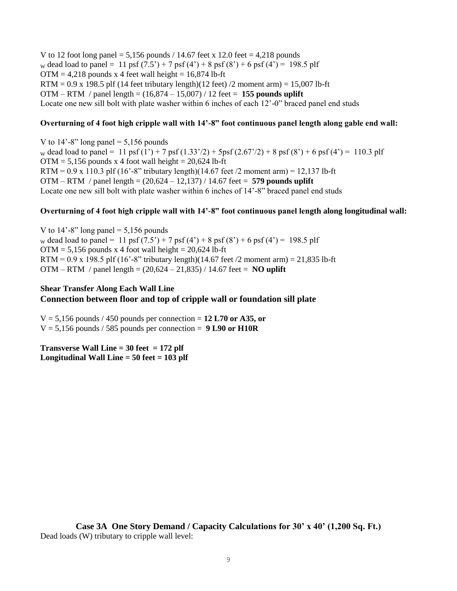V to 12 foot long panel = 5,156 pounds  $/$  14.67 feet x 12.0 feet = 4,218 pounds w dead load to panel = 11 psf  $(7.5') + 7$  psf  $(4') + 8$  psf  $(8') + 6$  psf  $(4') = 198.5$  plf  $OTM = 4,218$  pounds x 4 feet wall height = 16,874 lb-ft  $RTM = 0.9$  x 198.5 plf (14 feet tributary length)(12 feet) /2 moment arm) = 15,007 lb-ft OTM – RTM / panel length = (16,874 – 15,007) / 12 feet = **155 pounds uplift** Locate one new sill bolt with plate washer within 6 inches of each 12'-0" braced panel end studs

#### **Overturning of 4 foot high cripple wall with 14'-8" foot continuous panel length along gable end wall:**

V to  $14'$ -8" long panel = 5,156 pounds w dead load to panel = 11 psf  $(1') + 7$  psf  $(1.33')/2$  + 5psf  $(2.67')/2$  + 8 psf  $(8') + 6$  psf  $(4') = 110.3$  plf  $OTM = 5,156$  pounds x 4 foot wall height = 20,624 lb-ft RTM =  $0.9 \times 110.3$  plf (16'-8" tributary length)(14.67 feet /2 moment arm) = 12,137 lb-ft OTM – RTM / panel length = (20,624 – 12,137) / 14.67 feet = **579 pounds uplift** Locate one new sill bolt with plate washer within 6 inches of 14'-8" braced panel end studs

### **Overturning of 4 foot high cripple wall with 14'-8" foot continuous panel length along longitudinal wall:**

V to  $14'$ -8" long panel = 5,156 pounds w dead load to panel = 11 psf  $(7.5') + 7$  psf  $(4') + 8$  psf  $(8') + 6$  psf  $(4') = 198.5$  plf  $OTM = 5,156$  pounds x 4 foot wall height = 20,624 lb-ft RTM =  $0.9 \times 198.5$  plf (16'-8" tributary length)(14.67 feet /2 moment arm) =  $21,835$  lb-ft OTM – RTM / panel length = (20,624 – 21,835) / 14.67 feet = **NO uplift**

### **Shear Transfer Along Each Wall Line Connection between floor and top of cripple wall or foundation sill plate**

 $V = 5,156$  pounds / 450 pounds per connection =  $12 L70$  or A35, or  $V = 5,156$  pounds / 585 pounds per connection =  $9 L90$  or  $H10R$ 

**Transverse Wall Line = 30 feet = 172 plf Longitudinal Wall Line = 50 feet = 103 plf**

**Case 3A One Story Demand / Capacity Calculations for 30' x 40' (1,200 Sq. Ft.)** Dead loads (W) tributary to cripple wall level: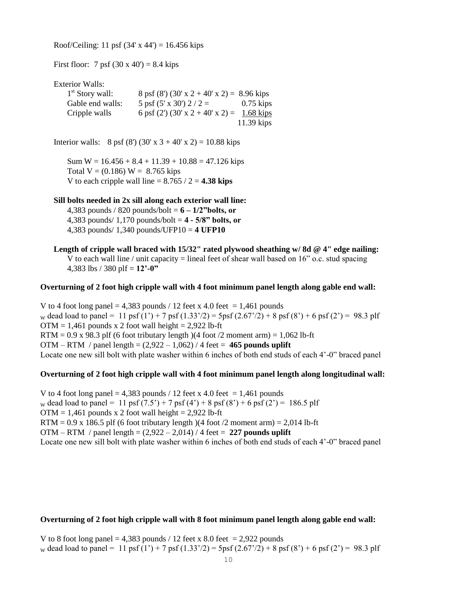Roof/Ceiling: 11 psf  $(34' \times 44') = 16.456$  kips

First floor: 7 psf  $(30 \times 40') = 8.4$  kips

Exterior Walls:

| $1st$ Story wall: | $8 \text{ psf} (8') (30' \text{ x } 2 + 40' \text{ x } 2) = 8.96 \text{ kips}$ |              |
|-------------------|--------------------------------------------------------------------------------|--------------|
| Gable end walls:  | 5 psf $(5' \times 30')$ 2 / 2 =                                                | $0.75$ kips  |
| Cripple walls     | 6 psf (2') (30' x 2 + 40' x 2) = 1.68 kips                                     |              |
|                   |                                                                                | $11.39$ kips |

Interior walls: 8 psf (8') (30' x 3 + 40' x 2) = 10.88 kips

Sum  $W = 16.456 + 8.4 + 11.39 + 10.88 = 47.126$  kips Total  $V = (0.186) W = 8.765$  kips V to each cripple wall line  $= 8.765 / 2 = 4.38$  kips

### **Sill bolts needed in 2x sill along each exterior wall line:**

4,383 pounds / 820 pounds/bolt = **6 – 1/2"bolts, or**  4,383 pounds/ 1,170 pounds/bolt = **4 - 5/8" bolts, or** 4,383 pounds/ 1,340 pounds/UFP10 = **4 UFP10**

**Length of cripple wall braced with 15/32" rated plywood sheathing w/ 8d @ 4" edge nailing:** V to each wall line / unit capacity = lineal feet of shear wall based on  $16$ " o.c. stud spacing 4,383 lbs / 380 plf = **12'-0"** 

#### **Overturning of 2 foot high cripple wall with 4 foot minimum panel length along gable end wall:**

V to 4 foot long panel = 4,383 pounds / 12 feet x 4.0 feet = 1,461 pounds w dead load to panel = 11 psf (1') + 7 psf (1.33'/2) = 5psf (2.67'/2) + 8 psf (8') + 6 psf (2') = 98.3 plf  $OTM = 1,461$  pounds x 2 foot wall height = 2,922 lb-ft RTM =  $0.9$  x 98.3 plf (6 foot tributary length)(4 foot /2 moment arm) = 1,062 lb-ft OTM – RTM / panel length =  $(2,922 - 1,062)$  / 4 feet = 465 pounds uplift Locate one new sill bolt with plate washer within 6 inches of both end studs of each 4'-0" braced panel

#### **Overturning of 2 foot high cripple wall with 4 foot minimum panel length along longitudinal wall:**

V to 4 foot long panel = 4,383 pounds / 12 feet x 4.0 feet = 1,461 pounds w dead load to panel = 11 psf  $(7.5') + 7$  psf  $(4') + 8$  psf  $(8') + 6$  psf  $(2') = 186.5$  plf  $OTM = 1,461$  pounds x 2 foot wall height = 2,922 lb-ft RTM =  $0.9$  x 186.5 plf (6 foot tributary length)(4 foot /2 moment arm) =  $2,014$  lb-ft OTM – RTM / panel length = (2,922 – 2,014) / 4 feet = **227 pounds uplift** Locate one new sill bolt with plate washer within 6 inches of both end studs of each 4'-0" braced panel

### **Overturning of 2 foot high cripple wall with 8 foot minimum panel length along gable end wall:**

V to 8 foot long panel = 4,383 pounds / 12 feet x 8.0 feet = 2,922 pounds w dead load to panel = 11 psf (1') + 7 psf (1.33'/2) = 5psf (2.67'/2) + 8 psf (8') + 6 psf (2') = 98.3 plf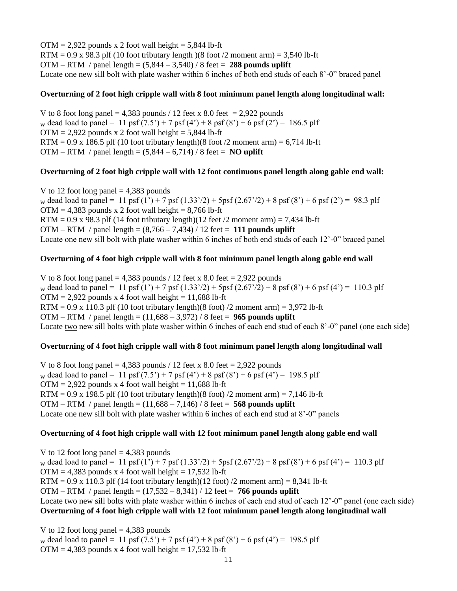$OTM = 2,922$  pounds x 2 foot wall height = 5,844 lb-ft  $RTM = 0.9$  x 98.3 plf (10 foot tributary length)(8 foot /2 moment arm) = 3,540 lb-ft OTM – RTM / panel length = (5,844 – 3,540) / 8 feet = **288 pounds uplift** Locate one new sill bolt with plate washer within 6 inches of both end studs of each 8'-0" braced panel

### **Overturning of 2 foot high cripple wall with 8 foot minimum panel length along longitudinal wall:**

V to 8 foot long panel = 4,383 pounds / 12 feet x 8.0 feet = 2,922 pounds w dead load to panel = 11 psf  $(7.5') + 7$  psf  $(4') + 8$  psf  $(8') + 6$  psf  $(2') = 186.5$  plf  $OTM = 2,922$  pounds x 2 foot wall height = 5,844 lb-ft  $RTM = 0.9$  x 186.5 plf (10 foot tributary length)(8 foot /2 moment arm) = 6,714 lb-ft OTM – RTM / panel length =  $(5,844 - 6,714)$  / 8 feet = **NO uplift** 

### **Overturning of 2 foot high cripple wall with 12 foot continuous panel length along gable end wall:**

V to 12 foot long panel  $= 4,383$  pounds w dead load to panel = 11 psf (1') + 7 psf (1.33'/2) + 5psf (2.67'/2) + 8 psf (8') + 6 psf (2') = 98.3 plf  $OTM = 4,383$  pounds x 2 foot wall height = 8,766 lb-ft RTM =  $0.9$  x 98.3 plf (14 foot tributary length)(12 feet /2 moment arm) = 7,434 lb-ft OTM – RTM / panel length = (8,766 – 7,434) / 12 feet = **111 pounds uplift** Locate one new sill bolt with plate washer within 6 inches of both end studs of each 12'-0" braced panel

# **Overturning of 4 foot high cripple wall with 8 foot minimum panel length along gable end wall**

V to 8 foot long panel = 4,383 pounds / 12 feet x 8.0 feet = 2,922 pounds w dead load to panel = 11 psf  $(1') + 7$  psf  $(1.33')$  /2) + 5psf  $(2.67')$  2) + 8 psf  $(8')$  + 6 psf  $(4')$  = 110.3 plf  $OTM = 2,922$  pounds x 4 foot wall height = 11,688 lb-ft  $RTM = 0.9$  x 110.3 plf (10 foot tributary length)(8 foot) /2 moment arm) = 3,972 lb-ft OTM – RTM / panel length = (11,688 – 3,972) / 8 feet = **965 pounds uplift** Locate two new sill bolts with plate washer within 6 inches of each end stud of each 8'-0" panel (one each side)

### **Overturning of 4 foot high cripple wall with 8 foot minimum panel length along longitudinal wall**

V to 8 foot long panel = 4,383 pounds / 12 feet x 8.0 feet = 2,922 pounds w dead load to panel = 11 psf  $(7.5') + 7$  psf  $(4') + 8$  psf  $(8') + 6$  psf  $(4') = 198.5$  plf  $OTM = 2,922$  pounds x 4 foot wall height = 11,688 lb-ft RTM =  $0.9$  x 198.5 plf (10 foot tributary length)(8 foot) /2 moment arm) = 7,146 lb-ft OTM – RTM / panel length = (11,688 – 7,146) / 8 feet = **568 pounds uplift** Locate one new sill bolt with plate washer within 6 inches of each end stud at 8'-0" panels

# **Overturning of 4 foot high cripple wall with 12 foot minimum panel length along gable end wall**

V to 12 foot long panel  $= 4,383$  pounds w dead load to panel = 11 psf (1') + 7 psf (1.33'/2) + 5psf (2.67'/2) + 8 psf (8') + 6 psf (4') = 110.3 plf  $OTM = 4,383$  pounds x 4 foot wall height = 17,532 lb-ft  $RTM = 0.9$  x 110.3 plf (14 foot tributary length)(12 foot) /2 moment arm) = 8,341 lb-ft OTM – RTM / panel length = (17,532 – 8,341) / 12 feet = **766 pounds uplift** Locate two new sill bolts with plate washer within 6 inches of each end stud of each 12'-0" panel (one each side) **Overturning of 4 foot high cripple wall with 12 foot minimum panel length along longitudinal wall** 

V to 12 foot long panel  $= 4,383$  pounds w dead load to panel = 11 psf  $(7.5') + 7$  psf  $(4') + 8$  psf  $(8') + 6$  psf  $(4') = 198.5$  plf  $OTM = 4,383$  pounds x 4 foot wall height = 17,532 lb-ft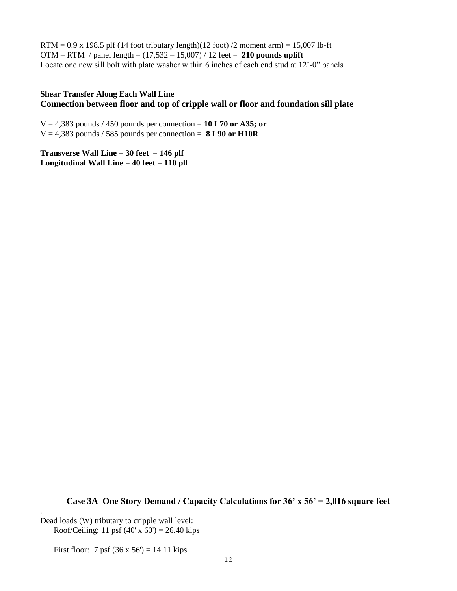$RTM = 0.9$  x 198.5 plf (14 foot tributary length)(12 foot) /2 moment arm) = 15,007 lb-ft OTM – RTM / panel length = (17,532 – 15,007) / 12 feet = **210 pounds uplift** Locate one new sill bolt with plate washer within 6 inches of each end stud at 12'-0" panels

### **Shear Transfer Along Each Wall Line Connection between floor and top of cripple wall or floor and foundation sill plate**

 $V = 4,383$  pounds / 450 pounds per connection = 10 L70 or A35; or  $V = 4,383$  pounds / 585 pounds per connection = **8 L90 or H10R** 

**Transverse Wall Line = 30 feet = 146 plf Longitudinal Wall Line = 40 feet = 110 plf**

**Case 3A One Story Demand / Capacity Calculations for 36' x 56' = 2,016 square feet**

Dead loads (W) tributary to cripple wall level: Roof/Ceiling: 11 psf  $(40' \times 60') = 26.40$  kips

.

First floor: 7 psf  $(36 \times 56') = 14.11$  kips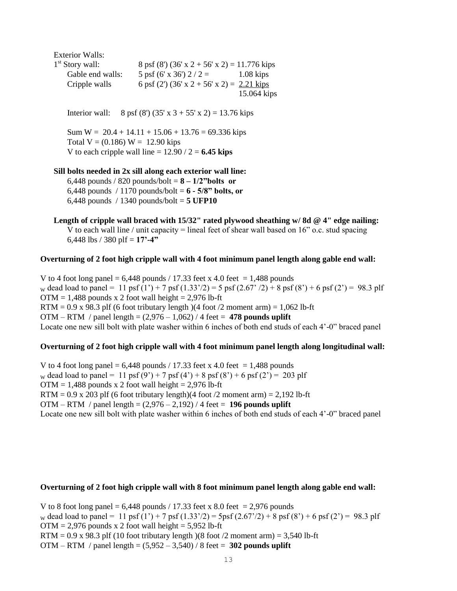Exterior Walls:  $1<sup>st</sup>$  Story wall:  $8 \text{ psf } (8') (36' \text{ x } 2 + 56' \text{ x } 2) = 11.776 \text{ kips}$ Gable end walls:  $5 \text{ psf } (6' \text{ x } 36') 2 / 2 = 1.08 \text{ kips}$ Cripple walls 6 psf (2') (36' x 2 + 56' x 2) = 2.21 kips 15.064 kips

Interior wall: 8 psf (8') (35' x 3 + 55' x 2) = 13.76 kips

Sum  $W = 20.4 + 14.11 + 15.06 + 13.76 = 69.336$  kips Total  $V = (0.186) W = 12.90$  kips V to each cripple wall line  $= 12.90 / 2 = 6.45$  kips

#### **Sill bolts needed in 2x sill along each exterior wall line:**

6,448 pounds / 820 pounds/bolt = **8 – 1/2"bolts or**  6,448 pounds / 1170 pounds/bolt =  $6 - 5/8$ " bolts, or 6,448 pounds / 1340 pounds/bolt = **5 UFP10**

**Length of cripple wall braced with 15/32" rated plywood sheathing w/ 8d @ 4" edge nailing:** V to each wall line / unit capacity = lineal feet of shear wall based on  $16$ " o.c. stud spacing 6,448 lbs / 380 plf = **17'-4"** 

#### **Overturning of 2 foot high cripple wall with 4 foot minimum panel length along gable end wall:**

V to 4 foot long panel =  $6,448$  pounds / 17.33 feet x 4.0 feet = 1,488 pounds w dead load to panel = 11 psf  $(1') + 7$  psf  $(1.33')/2$  = 5 psf  $(2.67')/2$  + 8 psf  $(8') + 6$  psf  $(2') = 98.3$  plf  $OTM = 1,488$  pounds x 2 foot wall height = 2,976 lb-ft RTM =  $0.9$  x 98.3 plf (6 foot tributary length)(4 foot /2 moment arm) =  $1,062$  lb-ft OTM – RTM / panel length =  $(2.976 - 1.062)$  / 4 feet = 478 pounds uplift Locate one new sill bolt with plate washer within 6 inches of both end studs of each 4'-0" braced panel

#### **Overturning of 2 foot high cripple wall with 4 foot minimum panel length along longitudinal wall:**

V to 4 foot long panel =  $6,448$  pounds / 17.33 feet x 4.0 feet = 1,488 pounds w dead load to panel = 11 psf  $(9') + 7$  psf  $(4') + 8$  psf  $(8') + 6$  psf  $(2') = 203$  plf  $OTM = 1,488$  pounds x 2 foot wall height = 2,976 lb-ft RTM =  $0.9$  x 203 plf (6 foot tributary length)(4 foot /2 moment arm) =  $2,192$  lb-ft OTM – RTM / panel length = (2,976 – 2,192) / 4 feet = **196 pounds uplift** Locate one new sill bolt with plate washer within 6 inches of both end studs of each 4'-0" braced panel

#### **Overturning of 2 foot high cripple wall with 8 foot minimum panel length along gable end wall:**

V to 8 foot long panel =  $6,448$  pounds / 17.33 feet x 8.0 feet = 2,976 pounds w dead load to panel = 11 psf  $(1') + 7$  psf  $(1.33')/2$  = 5psf  $(2.67')/2$  + 8 psf  $(8') + 6$  psf  $(2') = 98.3$  plf  $OTM = 2,976$  pounds x 2 foot wall height = 5,952 lb-ft  $RTM = 0.9$  x 98.3 plf (10 foot tributary length)(8 foot /2 moment arm) = 3,540 lb-ft OTM – RTM / panel length = (5,952 – 3,540) / 8 feet = **302 pounds uplift**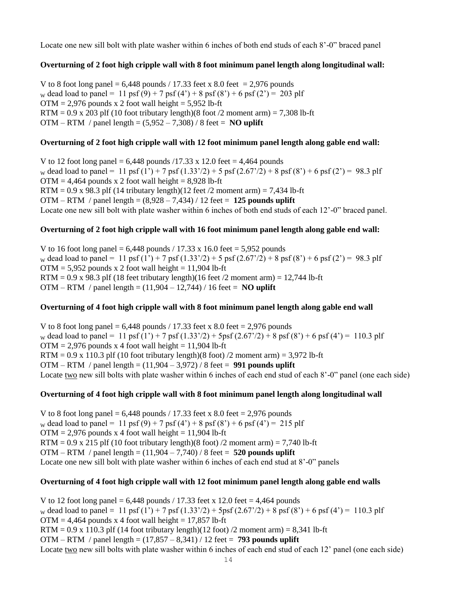Locate one new sill bolt with plate washer within 6 inches of both end studs of each 8'-0" braced panel

### **Overturning of 2 foot high cripple wall with 8 foot minimum panel length along longitudinal wall:**

V to 8 foot long panel =  $6,448$  pounds / 17.33 feet x 8.0 feet = 2,976 pounds w dead load to panel = 11 psf (9) + 7 psf (4') + 8 psf (8') + 6 psf (2') = 203 plf  $OTM = 2,976$  pounds x 2 foot wall height = 5,952 lb-ft  $RTM = 0.9$  x 203 plf (10 foot tributary length)(8 foot /2 moment arm) = 7,308 lb-ft OTM – RTM / panel length =  $(5,952 - 7,308)$  / 8 feet = **NO uplift** 

# **Overturning of 2 foot high cripple wall with 12 foot minimum panel length along gable end wall:**

V to 12 foot long panel =  $6,448$  pounds  $/17.33 \times 12.0$  feet = 4,464 pounds w dead load to panel = 11 psf  $(1') + 7$  psf  $(1.33')/2$  + 5 psf  $(2.67')/2$  + 8 psf  $(8') + 6$  psf  $(2') = 98.3$  plf  $OTM = 4,464$  pounds x 2 foot wall height = 8,928 lb-ft RTM =  $0.9$  x 98.3 plf (14 tributary length)(12 feet /2 moment arm) = 7,434 lb-ft OTM – RTM / panel length = (8,928 – 7,434) / 12 feet = **125 pounds uplift** Locate one new sill bolt with plate washer within 6 inches of both end studs of each 12'-0" braced panel.

### **Overturning of 2 foot high cripple wall with 16 foot minimum panel length along gable end wall:**

V to 16 foot long panel =  $6,448$  pounds / 17.33 x 16.0 feet = 5,952 pounds w dead load to panel = 11 psf (1') + 7 psf (1.33'/2) + 5 psf (2.67'/2) + 8 psf (8') + 6 psf (2') = 98.3 plf  $OTM = 5.952$  pounds x 2 foot wall height = 11.904 lb-ft RTM =  $0.9 \times 98.3$  plf (18 feet tributary length)(16 feet /2 moment arm) = 12,744 lb-ft OTM – RTM / panel length = (11,904 – 12,744) / 16 feet = **NO uplift**

### **Overturning of 4 foot high cripple wall with 8 foot minimum panel length along gable end wall**

V to 8 foot long panel =  $6,448$  pounds / 17.33 feet x 8.0 feet = 2,976 pounds w dead load to panel = 11 psf  $(1') + 7$  psf  $(1.33')/2$  + 5psf  $(2.67')/2$  + 8 psf  $(8') + 6$  psf  $(4') = 110.3$  plf  $OTM = 2,976$  pounds x 4 foot wall height = 11,904 lb-ft  $RTM = 0.9$  x 110.3 plf (10 foot tributary length)(8 foot) /2 moment arm) = 3,972 lb-ft OTM – RTM / panel length = (11,904 – 3,972) / 8 feet = **991 pounds uplift** Locate two new sill bolts with plate washer within 6 inches of each end stud of each 8'-0" panel (one each side)

### **Overturning of 4 foot high cripple wall with 8 foot minimum panel length along longitudinal wall**

V to 8 foot long panel =  $6,448$  pounds / 17.33 feet x 8.0 feet = 2,976 pounds w dead load to panel = 11 psf (9) + 7 psf (4') + 8 psf (8') + 6 psf (4') = 215 plf  $OTM = 2,976$  pounds x 4 foot wall height = 11,904 lb-ft RTM =  $0.9$  x 215 plf (10 foot tributary length)(8 foot) /2 moment arm) = 7,740 lb-ft OTM – RTM / panel length = (11,904 – 7,740) / 8 feet = **520 pounds uplift** Locate one new sill bolt with plate washer within 6 inches of each end stud at 8'-0" panels

### **Overturning of 4 foot high cripple wall with 12 foot minimum panel length along gable end walls**

V to 12 foot long panel =  $6,448$  pounds / 17.33 feet x 12.0 feet = 4,464 pounds w dead load to panel = 11 psf  $(1') + 7$  psf  $(1.33')$  /2 + 5psf  $(2.67')$  2 + 8 psf  $(8')$  + 6 psf  $(4')$  = 110.3 plf  $OTM = 4,464$  pounds x 4 foot wall height = 17,857 lb-ft  $RTM = 0.9$  x 110.3 plf (14 foot tributary length)(12 foot) /2 moment arm) = 8,341 lb-ft OTM – RTM / panel length = (17,857 – 8,341) / 12 feet = **793 pounds uplift** Locate two new sill bolts with plate washer within 6 inches of each end stud of each 12' panel (one each side)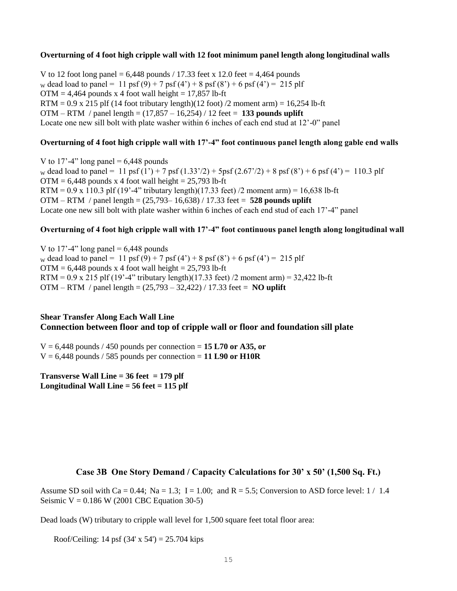#### **Overturning of 4 foot high cripple wall with 12 foot minimum panel length along longitudinal walls**

V to 12 foot long panel =  $6,448$  pounds / 17.33 feet x 12.0 feet = 4,464 pounds w dead load to panel = 11 psf (9) + 7 psf (4') + 8 psf (8') + 6 psf (4') = 215 plf  $OTM = 4,464$  pounds x 4 foot wall height = 17,857 lb-ft  $RTM = 0.9$  x 215 plf (14 foot tributary length)(12 foot) /2 moment arm) = 16,254 lb-ft OTM – RTM / panel length = (17,857 – 16,254) / 12 feet = **133 pounds uplift** Locate one new sill bolt with plate washer within 6 inches of each end stud at 12'-0" panel

### **Overturning of 4 foot high cripple wall with 17'-4" foot continuous panel length along gable end walls**

V to 17'-4" long panel =  $6,448$  pounds w dead load to panel = 11 psf  $(1') + 7$  psf  $(1.33')$  /2 + 5psf  $(2.67')$  2 + 8 psf  $(8') + 6$  psf  $(4')$  = 110.3 plf  $OTM = 6,448$  pounds x 4 foot wall height = 25,793 lb-ft RTM =  $0.9 \times 110.3$  plf (19'-4" tributary length)(17.33 feet) /2 moment arm) = 16.638 lb-ft OTM – RTM / panel length = (25,793– 16,638) / 17.33 feet = **528 pounds uplift** Locate one new sill bolt with plate washer within 6 inches of each end stud of each 17'-4" panel

### **Overturning of 4 foot high cripple wall with 17'-4" foot continuous panel length along longitudinal wall**

V to 17'-4" long panel  $= 6,448$  pounds w dead load to panel = 11 psf (9) + 7 psf (4') + 8 psf (8') + 6 psf (4') = 215 plf  $OTM = 6,448$  pounds x 4 foot wall height = 25,793 lb-ft RTM =  $0.9 \times 215$  plf (19'-4" tributary length)(17.33 feet) /2 moment arm) =  $32,422$  lb-ft OTM – RTM / panel length = (25,793 – 32,422) / 17.33 feet = **NO uplift**

# **Shear Transfer Along Each Wall Line Connection between floor and top of cripple wall or floor and foundation sill plate**

 $V = 6,448$  pounds / 450 pounds per connection = 15 L70 or A35, or  $V = 6,448$  pounds / 585 pounds per connection = 11 L90 or H10R

**Transverse Wall Line = 36 feet = 179 plf Longitudinal Wall Line = 56 feet = 115 plf**

# **Case 3B One Story Demand / Capacity Calculations for 30' x 50' (1,500 Sq. Ft.)**

Assume SD soil with Ca = 0.44; Na = 1.3; I = 1.00; and R = 5.5; Conversion to ASD force level:  $1/1.4$ Seismic  $V = 0.186$  W (2001 CBC Equation 30-5)

Dead loads (W) tributary to cripple wall level for 1,500 square feet total floor area:

Roof/Ceiling: 14 psf  $(34' \times 54') = 25.704$  kips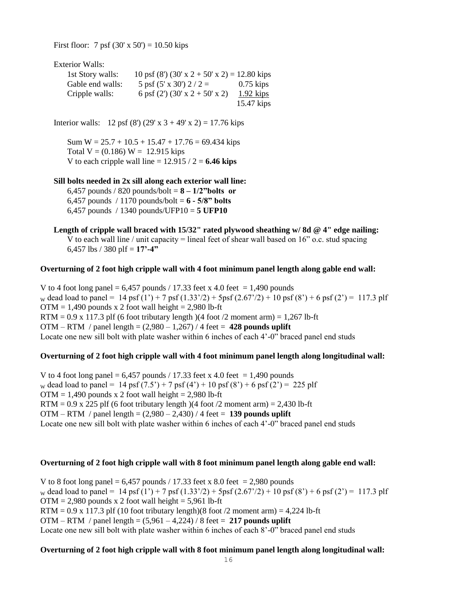First floor: 7 psf  $(30' \times 50') = 10.50$  kips

Exterior Walls:

| 1st Story walls: | 10 psf (8') (30' x 2 + 50' x 2) = 12.80 kips |              |
|------------------|----------------------------------------------|--------------|
| Gable end walls: | 5 psf $(5' \times 30')$ 2 / 2 =              | $0.75$ kips  |
| Cripple walls:   | 6 psf $(2')$ $(30' \times 2 + 50' \times 2)$ | $1.92$ kips  |
|                  |                                              | $15.47$ kips |

Interior walls: 12 psf (8') (29' x  $3 + 49'$  x 2) = 17.76 kips

Sum  $W = 25.7 + 10.5 + 15.47 + 17.76 = 69.434$  kips Total  $V = (0.186) W = 12.915$  kips V to each cripple wall line  $= 12.915 / 2 = 6.46$  kips

#### **Sill bolts needed in 2x sill along each exterior wall line:**

6,457 pounds / 820 pounds/bolt = **8 – 1/2"bolts or**  6,457 pounds / 1170 pounds/bolt = **6 - 5/8" bolts** 6,457 pounds / 1340 pounds/UFP10 = **5 UFP10**

**Length of cripple wall braced with 15/32" rated plywood sheathing w/ 8d @ 4" edge nailing:** V to each wall line / unit capacity = lineal feet of shear wall based on  $16$ " o.c. stud spacing 6,457 lbs / 380 plf = **17'-4"** 

#### **Overturning of 2 foot high cripple wall with 4 foot minimum panel length along gable end wall:**

V to 4 foot long panel =  $6,457$  pounds / 17.33 feet x 4.0 feet = 1,490 pounds w dead load to panel = 14 psf  $(1') + 7$  psf  $(1.33')/2$  + 5psf  $(2.67')/2$  + 10 psf  $(8') + 6$  psf  $(2') = 117.3$  plf  $OTM = 1,490$  pounds x 2 foot wall height = 2,980 lb-ft  $RTM = 0.9$  x 117.3 plf (6 foot tributary length) (4 foot /2 moment arm) = 1,267 lb-ft OTM – RTM / panel length = (2,980 – 1,267) / 4 feet = **428 pounds uplift** Locate one new sill bolt with plate washer within 6 inches of each 4'-0" braced panel end studs

### **Overturning of 2 foot high cripple wall with 4 foot minimum panel length along longitudinal wall:**

V to 4 foot long panel =  $6,457$  pounds / 17.33 feet x 4.0 feet = 1,490 pounds w dead load to panel = 14 psf  $(7.5') + 7$  psf  $(4') + 10$  psf  $(8') + 6$  psf  $(2') = 225$  plf  $OTM = 1,490$  pounds x 2 foot wall height = 2,980 lb-ft RTM =  $0.9$  x 225 plf (6 foot tributary length )(4 foot /2 moment arm) = 2,430 lb-ft OTM – RTM / panel length = (2,980 – 2,430) / 4 feet = **139 pounds uplift** Locate one new sill bolt with plate washer within 6 inches of each 4'-0" braced panel end studs

#### **Overturning of 2 foot high cripple wall with 8 foot minimum panel length along gable end wall:**

V to 8 foot long panel =  $6,457$  pounds / 17.33 feet x 8.0 feet = 2,980 pounds w dead load to panel = 14 psf (1') + 7 psf (1.33'/2) + 5psf (2.67'/2) + 10 psf (8') + 6 psf (2') = 117.3 plf  $OTM = 2,980$  pounds x 2 foot wall height = 5,961 lb-ft RTM =  $0.9 \times 117.3$  plf (10 foot tributary length)(8 foot /2 moment arm) = 4,224 lb-ft OTM – RTM / panel length = (5,961 – 4,224) / 8 feet = **217 pounds uplift** Locate one new sill bolt with plate washer within 6 inches of each 8'-0" braced panel end studs

### **Overturning of 2 foot high cripple wall with 8 foot minimum panel length along longitudinal wall:**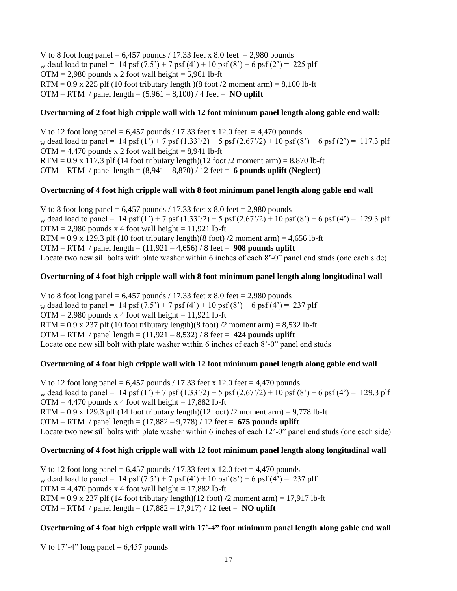V to 8 foot long panel =  $6,457$  pounds / 17.33 feet x 8.0 feet = 2,980 pounds w dead load to panel = 14 psf  $(7.5') + 7$  psf  $(4') + 10$  psf  $(8') + 6$  psf  $(2') = 225$  plf  $OTM = 2,980$  pounds x 2 foot wall height = 5,961 lb-ft RTM =  $0.9$  x 225 plf (10 foot tributary length)(8 foot /2 moment arm) =  $8,100$  lb-ft OTM – RTM / panel length =  $(5,961 - 8,100)$  / 4 feet = **NO uplift** 

### **Overturning of 2 foot high cripple wall with 12 foot minimum panel length along gable end wall:**

V to 12 foot long panel =  $6,457$  pounds / 17.33 feet x 12.0 feet = 4,470 pounds w dead load to panel = 14 psf  $(1') + 7$  psf  $(1.33')/2$  + 5 psf  $(2.67')/2$  + 10 psf  $(8') + 6$  psf  $(2') = 117.3$  plf  $OTM = 4,470$  pounds x 2 foot wall height = 8,941 lb-ft RTM =  $0.9 \times 117.3$  plf (14 foot tributary length)(12 foot /2 moment arm) = 8,870 lb-ft OTM – RTM / panel length = (8,941 – 8,870) / 12 feet = **6 pounds uplift (Neglect)**

### **Overturning of 4 foot high cripple wall with 8 foot minimum panel length along gable end wall**

V to 8 foot long panel =  $6,457$  pounds / 17.33 feet x 8.0 feet = 2,980 pounds w dead load to panel = 14 psf  $(1') + 7$  psf  $(1.33')/2$  + 5 psf  $(2.67')/2$  + 10 psf  $(8') + 6$  psf  $(4') = 129.3$  plf  $OTM = 2,980$  pounds x 4 foot wall height = 11,921 lb-ft RTM =  $0.9 \times 129.3$  plf (10 foot tributary length)(8 foot) /2 moment arm) = 4,656 lb-ft OTM – RTM / panel length = (11,921 – 4,656) / 8 feet = **908 pounds uplift** Locate two new sill bolts with plate washer within 6 inches of each 8'-0" panel end studs (one each side)

### **Overturning of 4 foot high cripple wall with 8 foot minimum panel length along longitudinal wall**

V to 8 foot long panel =  $6,457$  pounds / 17.33 feet x 8.0 feet = 2,980 pounds w dead load to panel = 14 psf  $(7.5') + 7$  psf  $(4') + 10$  psf  $(8') + 6$  psf  $(4') = 237$  plf  $OTM = 2,980$  pounds x 4 foot wall height = 11,921 lb-ft RTM =  $0.9 \times 237$  plf (10 foot tributary length)(8 foot) /2 moment arm) =  $8,532$  lb-ft OTM – RTM / panel length = (11,921 – 8,532) / 8 feet = **424 pounds uplift** Locate one new sill bolt with plate washer within 6 inches of each 8'-0" panel end studs

# **Overturning of 4 foot high cripple wall with 12 foot minimum panel length along gable end wall**

V to 12 foot long panel =  $6,457$  pounds / 17.33 feet x 12.0 feet = 4,470 pounds w dead load to panel = 14 psf (1') + 7 psf (1.33'/2) + 5 psf (2.67'/2) + 10 psf (8') + 6 psf (4') = 129.3 plf  $OTM = 4,470$  pounds x 4 foot wall height = 17,882 lb-ft  $RTM = 0.9$  x 129.3 plf (14 foot tributary length)(12 foot) /2 moment arm) = 9,778 lb-ft OTM – RTM / panel length = (17,882 – 9,778) / 12 feet = **675 pounds uplift** Locate two new sill bolts with plate washer within 6 inches of each 12'-0" panel end studs (one each side)

# **Overturning of 4 foot high cripple wall with 12 foot minimum panel length along longitudinal wall**

V to 12 foot long panel =  $6,457$  pounds / 17.33 feet x 12.0 feet = 4,470 pounds w dead load to panel = 14 psf  $(7.5') + 7$  psf  $(4') + 10$  psf  $(8') + 6$  psf  $(4') = 237$  plf  $OTM = 4,470$  pounds x 4 foot wall height = 17,882 lb-ft  $RTM = 0.9$  x 237 plf (14 foot tributary length)(12 foot) /2 moment arm) = 17,917 lb-ft OTM – RTM / panel length = (17,882 – 17,917) / 12 feet = **NO uplift**

# **Overturning of 4 foot high cripple wall with 17'-4" foot minimum panel length along gable end wall**

V to 17'-4" long panel =  $6,457$  pounds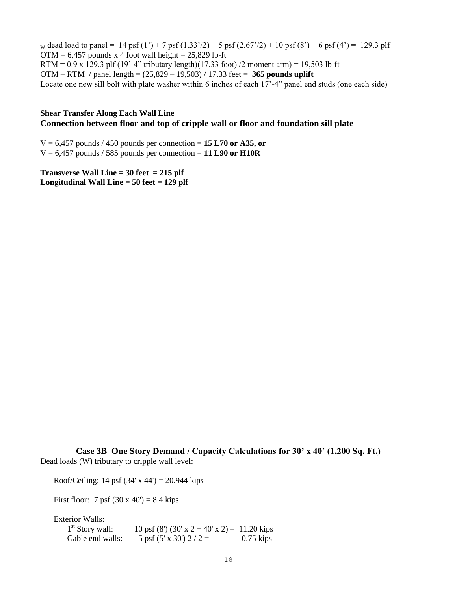w dead load to panel = 14 psf  $(1') + 7$  psf  $(1.33')/2$  + 5 psf  $(2.67')/2$  + 10 psf  $(8') + 6$  psf  $(4') = 129.3$  plf  $OTM = 6,457$  pounds x 4 foot wall height = 25,829 lb-ft RTM =  $0.9 \times 129.3$  plf (19'-4" tributary length)(17.33 foot) /2 moment arm) = 19,503 lb-ft OTM – RTM / panel length = (25,829 – 19,503) / 17.33 feet = **365 pounds uplift** Locate one new sill bolt with plate washer within 6 inches of each 17'-4" panel end studs (one each side)

### **Shear Transfer Along Each Wall Line Connection between floor and top of cripple wall or floor and foundation sill plate**

V = 6,457 pounds / 450 pounds per connection = **15 L70 or A35, or**   $V = 6,457$  pounds / 585 pounds per connection = 11 L90 or H10R

**Transverse Wall Line = 30 feet = 215 plf Longitudinal Wall Line = 50 feet = 129 plf**

**Case 3B One Story Demand / Capacity Calculations for 30' x 40' (1,200 Sq. Ft.)** Dead loads (W) tributary to cripple wall level:

Roof/Ceiling: 14 psf  $(34' \times 44') = 20.944$  kips

First floor: 7 psf  $(30 \times 40') = 8.4$  kips

Exterior Walls:

 $1<sup>st</sup>$  Story wall:  $10 \text{ psf (8')} (30' \text{ x } 2 + 40' \text{ x } 2) = 11.20 \text{ kips}$ Gable end walls:  $5 \text{ psf } (5 \times 30')$   $2 / 2 = 0.75 \text{ kips}$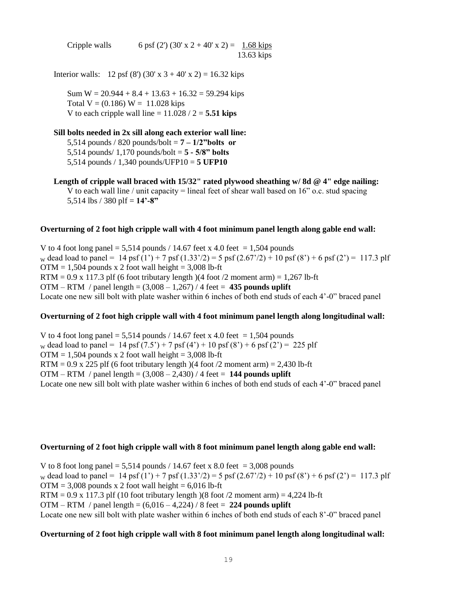Cripple walls 6 psf (2') (30' x 2 + 40' x 2) =  $1.68 \text{ kips}$ 13.63 kips

Interior walls: 12 psf (8') (30' x  $3 + 40'$  x 2) = 16.32 kips

Sum  $W = 20.944 + 8.4 + 13.63 + 16.32 = 59.294$  kips Total  $V = (0.186) W = 11.028$  kips V to each cripple wall line  $= 11.028 / 2 = 5.51$  kips

# **Sill bolts needed in 2x sill along each exterior wall line:** 5,514 pounds / 820 pounds/bolt = **7 – 1/2"bolts or**  5,514 pounds/ 1,170 pounds/bolt = **5 - 5/8" bolts**

5,514 pounds / 1,340 pounds/UFP10 = **5 UFP10**

**Length of cripple wall braced with 15/32" rated plywood sheathing w/ 8d @ 4" edge nailing:** V to each wall line / unit capacity = lineal feet of shear wall based on  $16"$  o.c. stud spacing 5,514 lbs / 380 plf =  $14'$ -8"

#### **Overturning of 2 foot high cripple wall with 4 foot minimum panel length along gable end wall:**

V to 4 foot long panel = 5,514 pounds / 14.67 feet x 4.0 feet = 1,504 pounds w dead load to panel = 14 psf (1') + 7 psf (1.33'/2) = 5 psf (2.67'/2) + 10 psf (8') + 6 psf (2') = 117.3 plf  $OTM = 1.504$  pounds x 2 foot wall height = 3,008 lb-ft  $RTM = 0.9 \times 117.3$  plf (6 foot tributary length)(4 foot /2 moment arm) = 1,267 lb-ft OTM – RTM / panel length = (3,008 – 1,267) / 4 feet = **435 pounds uplift** Locate one new sill bolt with plate washer within 6 inches of both end studs of each 4'-0" braced panel

### **Overturning of 2 foot high cripple wall with 4 foot minimum panel length along longitudinal wall:**

V to 4 foot long panel =  $5,514$  pounds / 14.67 feet x 4.0 feet = 1,504 pounds w dead load to panel = 14 psf  $(7.5') + 7$  psf  $(4') + 10$  psf  $(8') + 6$  psf  $(2') = 225$  plf  $OTM = 1,504$  pounds x 2 foot wall height = 3,008 lb-ft RTM =  $0.9$  x 225 plf (6 foot tributary length)(4 foot /2 moment arm) = 2,430 lb-ft OTM – RTM / panel length =  $(3,008 - 2,430)$  / 4 feet = 144 pounds uplift Locate one new sill bolt with plate washer within 6 inches of both end studs of each 4'-0" braced panel

### **Overturning of 2 foot high cripple wall with 8 foot minimum panel length along gable end wall:**

V to 8 foot long panel = 5,514 pounds / 14.67 feet x 8.0 feet = 3,008 pounds w dead load to panel = 14 psf  $(1') + 7$  psf  $(1.33')/2$  = 5 psf  $(2.67')/2$  + 10 psf  $(8') + 6$  psf  $(2') = 117.3$  plf  $OTM = 3,008$  pounds x 2 foot wall height = 6,016 lb-ft RTM =  $0.9 \times 117.3$  plf (10 foot tributary length) (8 foot /2 moment arm) = 4,224 lb-ft OTM – RTM / panel length = (6,016 – 4,224) / 8 feet = **224 pounds uplift** Locate one new sill bolt with plate washer within 6 inches of both end studs of each 8'-0" braced panel

### **Overturning of 2 foot high cripple wall with 8 foot minimum panel length along longitudinal wall:**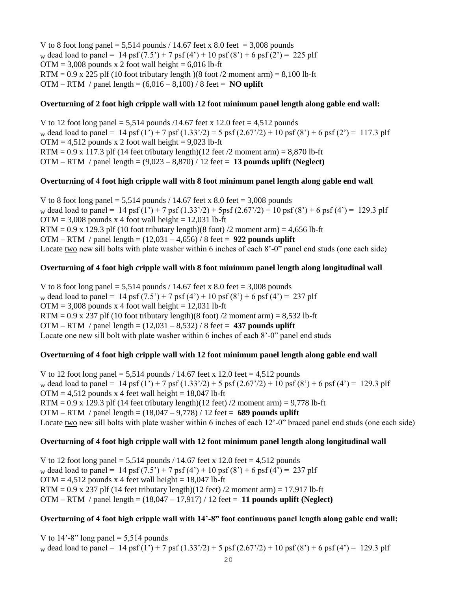V to 8 foot long panel =  $5,514$  pounds / 14.67 feet x 8.0 feet =  $3,008$  pounds w dead load to panel = 14 psf  $(7.5') + 7$  psf  $(4') + 10$  psf  $(8') + 6$  psf  $(2') = 225$  plf  $OTM = 3,008$  pounds x 2 foot wall height = 6,016 lb-ft RTM =  $0.9$  x 225 plf (10 foot tributary length)(8 foot /2 moment arm) =  $8,100$  lb-ft OTM – RTM / panel length =  $(6,016 - 8,100)$  / 8 feet = **NO uplift** 

### **Overturning of 2 foot high cripple wall with 12 foot minimum panel length along gable end wall:**

V to 12 foot long panel =  $5,514$  pounds  $/14.67$  feet x 12.0 feet =  $4,512$  pounds w dead load to panel = 14 psf (1') + 7 psf (1.33'/2) = 5 psf (2.67'/2) + 10 psf (8') + 6 psf (2') = 117.3 plf  $OTM = 4,512$  pounds x 2 foot wall height = 9,023 lb-ft RTM =  $0.9$  x 117.3 plf (14 feet tributary length)(12 feet /2 moment arm) =  $8,870$  lb-ft OTM – RTM / panel length = (9,023 – 8,870) / 12 feet = **13 pounds uplift (Neglect)**

### **Overturning of 4 foot high cripple wall with 8 foot minimum panel length along gable end wall**

V to 8 foot long panel  $= 5,514$  pounds / 14.67 feet x 8.0 feet  $= 3,008$  pounds w dead load to panel = 14 psf (1') + 7 psf (1.33'/2) + 5psf (2.67'/2) + 10 psf (8') + 6 psf (4') = 129.3 plf  $OTM = 3,008$  pounds x 4 foot wall height = 12,031 lb-ft RTM =  $0.9 \times 129.3$  plf (10 foot tributary length)(8 foot) /2 moment arm) = 4,656 lb-ft OTM – RTM / panel length = (12,031 – 4,656) / 8 feet = **922 pounds uplift** Locate two new sill bolts with plate washer within 6 inches of each 8'-0" panel end studs (one each side)

### **Overturning of 4 foot high cripple wall with 8 foot minimum panel length along longitudinal wall**

V to 8 foot long panel =  $5,514$  pounds / 14.67 feet x 8.0 feet = 3,008 pounds w dead load to panel = 14 psf  $(7.5') + 7$  psf  $(4') + 10$  psf  $(8') + 6$  psf  $(4') = 237$  plf  $OTM = 3,008$  pounds x 4 foot wall height = 12,031 lb-ft RTM =  $0.9$  x 237 plf (10 foot tributary length)(8 foot) /2 moment arm) = 8,532 lb-ft OTM – RTM / panel length = (12,031 – 8,532) / 8 feet = **437 pounds uplift** Locate one new sill bolt with plate washer within 6 inches of each 8'-0" panel end studs

# **Overturning of 4 foot high cripple wall with 12 foot minimum panel length along gable end wall**

V to 12 foot long panel  $= 5.514$  pounds / 14.67 feet x 12.0 feet  $= 4.512$  pounds w dead load to panel = 14 psf (1') + 7 psf (1.33'/2) + 5 psf (2.67'/2) + 10 psf (8') + 6 psf (4') = 129.3 plf  $OTM = 4,512$  pounds x 4 feet wall height = 18,047 lb-ft RTM =  $0.9 \times 129.3$  plf (14 feet tributary length)(12 feet) /2 moment arm) =  $9,778$  lb-ft OTM – RTM / panel length = (18,047 – 9,778) / 12 feet = **689 pounds uplift** Locate two new sill bolts with plate washer within 6 inches of each 12'-0" braced panel end studs (one each side)

### **Overturning of 4 foot high cripple wall with 12 foot minimum panel length along longitudinal wall**

V to 12 foot long panel =  $5,514$  pounds / 14.67 feet x 12.0 feet = 4,512 pounds w dead load to panel = 14 psf  $(7.5') + 7$  psf  $(4') + 10$  psf  $(8') + 6$  psf  $(4') = 237$  plf  $OTM = 4,512$  pounds x 4 feet wall height = 18,047 lb-ft RTM =  $0.9 \times 237$  plf (14 feet tributary length)(12 feet) /2 moment arm) = 17,917 lb-ft OTM – RTM / panel length = (18,047 – 17,917) / 12 feet = **11 pounds uplift (Neglect)** 

### **Overturning of 4 foot high cripple wall with 14'-8" foot continuous panel length along gable end wall:**

V to  $14'$ -8" long panel = 5,514 pounds w dead load to panel = 14 psf (1') + 7 psf (1.33'/2) + 5 psf (2.67'/2) + 10 psf (8') + 6 psf (4') = 129.3 plf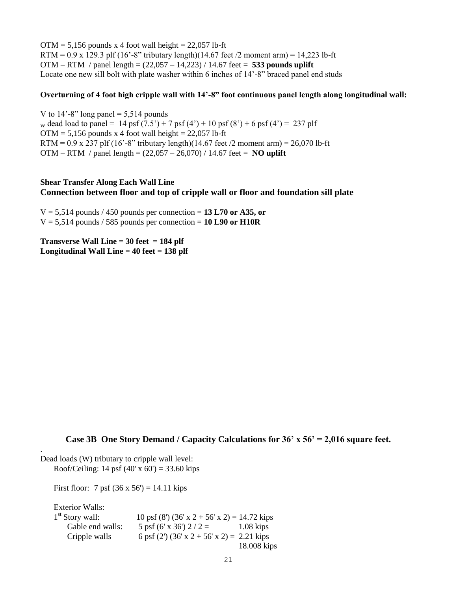$OTM = 5,156$  pounds x 4 foot wall height = 22,057 lb-ft RTM =  $0.9 \times 129.3$  plf (16'-8" tributary length)(14.67 feet /2 moment arm) = 14,223 lb-ft OTM – RTM / panel length = (22,057 – 14,223) / 14.67 feet = **533 pounds uplift** Locate one new sill bolt with plate washer within 6 inches of 14'-8" braced panel end studs

### **Overturning of 4 foot high cripple wall with 14'-8" foot continuous panel length along longitudinal wall:**

V to  $14'$ -8" long panel = 5,514 pounds w dead load to panel = 14 psf  $(7.5') + 7$  psf  $(4') + 10$  psf  $(8') + 6$  psf  $(4') = 237$  plf  $OTM = 5,156$  pounds x 4 foot wall height = 22,057 lb-ft RTM =  $0.9 \times 237$  plf (16'-8" tributary length)(14.67 feet /2 moment arm) = 26,070 lb-ft OTM – RTM / panel length = (22,057 – 26,070) / 14.67 feet = **NO uplift**

# **Shear Transfer Along Each Wall Line Connection between floor and top of cripple wall or floor and foundation sill plate**

 $V = 5,514$  pounds / 450 pounds per connection = 13 L70 or A35, or  $V = 5,514$  pounds / 585 pounds per connection = 10 L90 or H10R

**Transverse Wall Line = 30 feet = 184 plf Longitudinal Wall Line = 40 feet = 138 plf**

### **Case 3B One Story Demand / Capacity Calculations for 36' x 56' = 2,016 square feet.**

Dead loads (W) tributary to cripple wall level: Roof/Ceiling: 14 psf  $(40' \times 60') = 33.60$  kips

First floor: 7 psf  $(36 \times 56') = 14.11$  kips

Exterior Walls:

.

| $1st$ Story wall: | 10 psf (8') (36' x 2 + 56' x 2) = 14.72 kips         |             |
|-------------------|------------------------------------------------------|-------------|
| Gable end walls:  | 5 psf (6' x 36') $2/2 =$                             | $1.08$ kips |
| Cripple walls     | 6 psf (2') (36' x 2 + 56' x 2) = $2.21 \text{ kips}$ |             |
|                   |                                                      | 18.008 kips |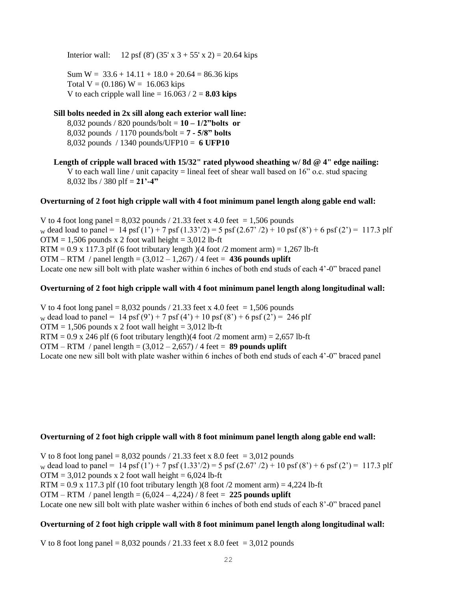Interior wall: 12 psf (8') (35' x 3 + 55' x 2) = 20.64 kips

Sum  $W = 33.6 + 14.11 + 18.0 + 20.64 = 86.36$  kips Total  $V = (0.186) W = 16.063$  kips V to each cripple wall line  $= 16.063 / 2 = 8.03$  kips

# **Sill bolts needed in 2x sill along each exterior wall line:**

8,032 pounds / 820 pounds/bolt = **10 – 1/2"bolts or**  8,032 pounds / 1170 pounds/bolt = **7 - 5/8" bolts** 8,032 pounds / 1340 pounds/UFP10 = **6 UFP10**

**Length of cripple wall braced with 15/32" rated plywood sheathing w/ 8d @ 4" edge nailing:** V to each wall line / unit capacity = lineal feet of shear wall based on  $16"$  o.c. stud spacing 8,032 lbs / 380 plf = **21'-4"** 

#### **Overturning of 2 foot high cripple wall with 4 foot minimum panel length along gable end wall:**

V to 4 foot long panel =  $8,032$  pounds / 21.33 feet x 4.0 feet = 1,506 pounds w dead load to panel = 14 psf  $(1') + 7$  psf  $(1.33')/2$  = 5 psf  $(2.67')/2$  + 10 psf  $(8') + 6$  psf  $(2') = 117.3$  plf  $OTM = 1,506$  pounds x 2 foot wall height = 3,012 lb-ft RTM =  $0.9$  x 117.3 plf (6 foot tributary length)(4 foot /2 moment arm) = 1,267 lb-ft OTM – RTM / panel length =  $(3,012 – 1,267)$  / 4 feet = 436 pounds uplift Locate one new sill bolt with plate washer within 6 inches of both end studs of each 4'-0" braced panel

#### **Overturning of 2 foot high cripple wall with 4 foot minimum panel length along longitudinal wall:**

V to 4 foot long panel =  $8,032$  pounds / 21.33 feet x 4.0 feet = 1,506 pounds w dead load to panel = 14 psf (9') + 7 psf (4') + 10 psf (8') + 6 psf (2') = 246 plf  $OTM = 1,506$  pounds x 2 foot wall height = 3,012 lb-ft RTM =  $0.9$  x 246 plf (6 foot tributary length)(4 foot /2 moment arm) = 2,657 lb-ft OTM – RTM / panel length = (3,012 – 2,657) / 4 feet = **89 pounds uplift**  Locate one new sill bolt with plate washer within 6 inches of both end studs of each 4'-0" braced panel

#### **Overturning of 2 foot high cripple wall with 8 foot minimum panel length along gable end wall:**

V to 8 foot long panel =  $8,032$  pounds / 21.33 feet x 8.0 feet = 3,012 pounds w dead load to panel = 14 psf  $(1') + 7$  psf  $(1.33')/2$  = 5 psf  $(2.67')/2$  + 10 psf  $(8') + 6$  psf  $(2') = 117.3$  plf  $OTM = 3,012$  pounds x 2 foot wall height = 6,024 lb-ft RTM =  $0.9 \times 117.3$  plf (10 foot tributary length) (8 foot /2 moment arm) = 4,224 lb-ft OTM – RTM / panel length = (6,024 – 4,224) / 8 feet = **225 pounds uplift** Locate one new sill bolt with plate washer within 6 inches of both end studs of each 8'-0" braced panel

### **Overturning of 2 foot high cripple wall with 8 foot minimum panel length along longitudinal wall:**

V to 8 foot long panel =  $8,032$  pounds / 21.33 feet x 8.0 feet = 3,012 pounds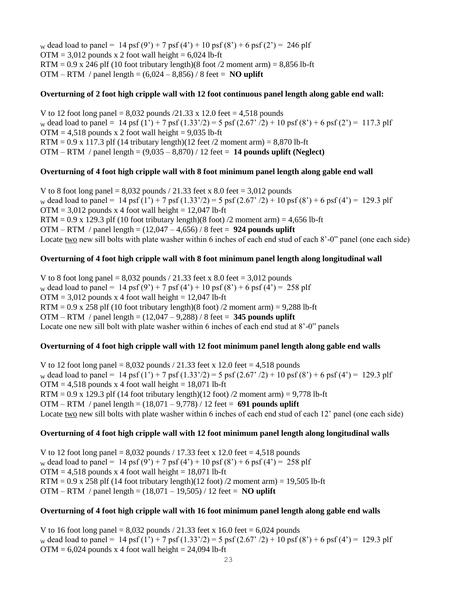w dead load to panel = 14 psf  $(9') + 7$  psf  $(4') + 10$  psf  $(8') + 6$  psf  $(2') = 246$  plf  $OTM = 3.012$  pounds x 2 foot wall height = 6.024 lb-ft  $RTM = 0.9$  x 246 plf (10 foot tributary length)(8 foot /2 moment arm) = 8,856 lb-ft OTM – RTM / panel length =  $(6,024 - 8,856)$  / 8 feet = **NO uplift** 

### **Overturning of 2 foot high cripple wall with 12 foot continuous panel length along gable end wall:**

V to 12 foot long panel =  $8,032$  pounds  $/21.33 \times 12.0$  feet = 4,518 pounds w dead load to panel = 14 psf  $(1') + 7$  psf  $(1.33')/2$  = 5 psf  $(2.67')/2$  + 10 psf  $(8') + 6$  psf  $(2') = 117.3$  plf  $OTM = 4,518$  pounds x 2 foot wall height = 9,035 lb-ft RTM =  $0.9 \times 117.3$  plf (14 tributary length)(12 feet /2 moment arm) =  $8,870$  lb-ft OTM – RTM / panel length = (9,035 – 8,870) / 12 feet = **14 pounds uplift (Neglect)**

### **Overturning of 4 foot high cripple wall with 8 foot minimum panel length along gable end wall**

V to 8 foot long panel =  $8,032$  pounds / 21.33 feet x 8.0 feet = 3,012 pounds w dead load to panel = 14 psf  $(1') + 7$  psf  $(1.33')/2$  = 5 psf  $(2.67')/2$  + 10 psf  $(8') + 6$  psf  $(4') = 129.3$  plf  $OTM = 3,012$  pounds x 4 foot wall height = 12,047 lb-ft RTM =  $0.9 \times 129.3$  plf (10 foot tributary length)(8 foot) /2 moment arm) = 4,656 lb-ft OTM – RTM / panel length = (12,047 – 4,656) / 8 feet = **924 pounds uplift** Locate two new sill bolts with plate washer within 6 inches of each end stud of each 8'-0" panel (one each side)

### **Overturning of 4 foot high cripple wall with 8 foot minimum panel length along longitudinal wall**

V to 8 foot long panel =  $8,032$  pounds / 21.33 feet x 8.0 feet = 3,012 pounds w dead load to panel = 14 psf  $(9') + 7$  psf  $(4') + 10$  psf  $(8') + 6$  psf  $(4') = 258$  plf  $OTM = 3,012$  pounds x 4 foot wall height = 12,047 lb-ft RTM =  $0.9$  x 258 plf (10 foot tributary length)(8 foot) /2 moment arm) =  $9,288$  lb-ft OTM – RTM / panel length = (12,047 – 9,288) / 8 feet = **345 pounds uplift** Locate one new sill bolt with plate washer within 6 inches of each end stud at 8'-0" panels

### **Overturning of 4 foot high cripple wall with 12 foot minimum panel length along gable end walls**

V to 12 foot long panel =  $8,032$  pounds / 21.33 feet x 12.0 feet = 4,518 pounds w dead load to panel = 14 psf (1') + 7 psf (1.33'/2) = 5 psf (2.67' /2) + 10 psf (8') + 6 psf (4') = 129.3 plf  $OTM = 4,518$  pounds x 4 foot wall height = 18,071 lb-ft RTM =  $0.9$  x 129.3 plf (14 foot tributary length)(12 foot) /2 moment arm) =  $9,778$  lb-ft OTM – RTM / panel length = (18,071 – 9,778) / 12 feet = **691 pounds uplift** Locate two new sill bolts with plate washer within 6 inches of each end stud of each 12' panel (one each side)

### **Overturning of 4 foot high cripple wall with 12 foot minimum panel length along longitudinal walls**

V to 12 foot long panel =  $8,032$  pounds  $/$  17.33 feet x 12.0 feet = 4,518 pounds w dead load to panel = 14 psf  $(9') + 7$  psf  $(4') + 10$  psf  $(8') + 6$  psf  $(4') = 258$  plf  $OTM = 4,518$  pounds x 4 foot wall height = 18,071 lb-ft RTM =  $0.9 \times 258$  plf (14 foot tributary length)(12 foot) /2 moment arm) = 19,505 lb-ft OTM – RTM / panel length = (18,071 – 19,505) / 12 feet = **NO uplift**

### **Overturning of 4 foot high cripple wall with 16 foot minimum panel length along gable end walls**

V to 16 foot long panel =  $8,032$  pounds  $/ 21.33$  feet x 16.0 feet = 6,024 pounds w dead load to panel = 14 psf (1') + 7 psf (1.33'/2) = 5 psf (2.67' /2) + 10 psf (8') + 6 psf (4') = 129.3 plf  $OTM = 6,024$  pounds x 4 foot wall height = 24,094 lb-ft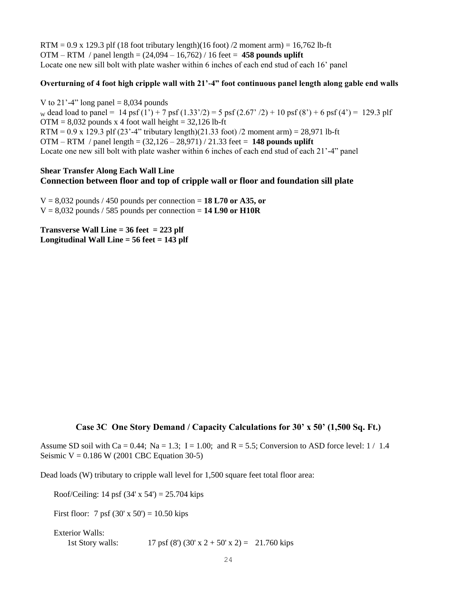RTM =  $0.9 \times 129.3$  plf (18 foot tributary length)(16 foot) /2 moment arm) = 16,762 lb-ft OTM – RTM / panel length = (24,094 – 16,762) / 16 feet = **458 pounds uplift** Locate one new sill bolt with plate washer within 6 inches of each end stud of each 16' panel

### **Overturning of 4 foot high cripple wall with 21'-4" foot continuous panel length along gable end walls**

V to 21'-4" long panel  $= 8,034$  pounds w dead load to panel = 14 psf (1') + 7 psf (1.33'/2) = 5 psf (2.67' /2) + 10 psf (8') + 6 psf (4') = 129.3 plf  $OTM = 8,032$  pounds x 4 foot wall height = 32,126 lb-ft RTM =  $0.9 \times 129.3$  plf (23'-4" tributary length)(21.33 foot) /2 moment arm) = 28,971 lb-ft OTM – RTM / panel length = (32,126 – 28,971) / 21.33 feet = **148 pounds uplift** Locate one new sill bolt with plate washer within 6 inches of each end stud of each 21'-4" panel

### **Shear Transfer Along Each Wall Line Connection between floor and top of cripple wall or floor and foundation sill plate**

 $V = 8,032$  pounds / 450 pounds per connection = 18 L70 or A35, or  $V = 8,032$  pounds / 585 pounds per connection = **14 L90 or H10R** 

**Transverse Wall Line = 36 feet = 223 plf Longitudinal Wall Line = 56 feet = 143 plf**

# **Case 3C One Story Demand / Capacity Calculations for 30' x 50' (1,500 Sq. Ft.)**

Assume SD soil with Ca = 0.44; Na = 1.3; I = 1.00; and R = 5.5; Conversion to ASD force level:  $1/1.4$ Seismic  $V = 0.186$  W (2001 CBC Equation 30-5)

Dead loads (W) tributary to cripple wall level for 1,500 square feet total floor area:

Roof/Ceiling: 14 psf  $(34' \times 54') = 25.704$  kips

First floor: 7 psf  $(30' \times 50') = 10.50$  kips

Exterior Walls: 1st Story walls: 17 psf  $(8') (30' x 2 + 50' x 2) = 21.760$  kips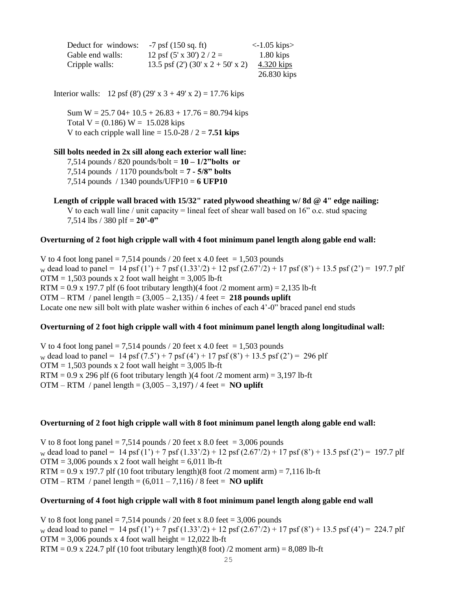| Deduct for windows: | $-7$ psf (150 sq. ft)             | $\langle$ -1.05 kips $>$ |
|---------------------|-----------------------------------|--------------------------|
| Gable end walls:    | 12 psf $(5' \times 30')$ 2 / 2 =  | $1.80$ kips              |
| Cripple walls:      | 13.5 psf (2') (30' x 2 + 50' x 2) | 4.320 kips               |
|                     |                                   | 26.830 kips              |

Interior walls: 12 psf (8') (29' x 3 + 49' x 2) = 17.76 kips

Sum  $W = 25.7$  04+ 10.5 + 26.83 + 17.76 = 80.794 kips Total  $V = (0.186) W = 15.028$  kips V to each cripple wall line  $= 15.0 - 28 / 2 = 7.51$  kips

#### **Sill bolts needed in 2x sill along each exterior wall line:**

7,514 pounds / 820 pounds/bolt = **10 – 1/2"bolts or**  7,514 pounds / 1170 pounds/bolt = **7 - 5/8" bolts** 7,514 pounds / 1340 pounds/UFP10 = **6 UFP10**

### **Length of cripple wall braced with 15/32" rated plywood sheathing w/ 8d @ 4" edge nailing:**

V to each wall line / unit capacity = lineal feet of shear wall based on  $16$ " o.c. stud spacing 7,514 lbs / 380 plf =  $20$ <sup>2</sup>-0<sup>2</sup>

#### **Overturning of 2 foot high cripple wall with 4 foot minimum panel length along gable end wall:**

V to 4 foot long panel = 7,514 pounds / 20 feet x 4.0 feet = 1,503 pounds w dead load to panel = 14 psf (1') + 7 psf (1.33'/2) + 12 psf (2.67'/2) + 17 psf (8') + 13.5 psf (2') = 197.7 plf  $OTM = 1,503$  pounds x 2 foot wall height = 3,005 lb-ft RTM =  $0.9$  x 197.7 plf (6 foot tributary length)(4 foot /2 moment arm) =  $2,135$  lb-ft OTM – RTM / panel length = (3,005 – 2,135) / 4 feet = **218 pounds uplift** Locate one new sill bolt with plate washer within 6 inches of each 4'-0" braced panel end studs

### **Overturning of 2 foot high cripple wall with 4 foot minimum panel length along longitudinal wall:**

V to 4 foot long panel = 7,514 pounds / 20 feet x 4.0 feet = 1,503 pounds w dead load to panel = 14 psf  $(7.5') + 7$  psf  $(4') + 17$  psf  $(8') + 13.5$  psf  $(2') = 296$  plf  $OTM = 1,503$  pounds x 2 foot wall height = 3,005 lb-ft RTM =  $0.9$  x 296 plf (6 foot tributary length)(4 foot /2 moment arm) = 3,197 lb-ft OTM – RTM / panel length =  $(3,005 - 3,197)$  / 4 feet = **NO uplift** 

#### **Overturning of 2 foot high cripple wall with 8 foot minimum panel length along gable end wall:**

V to 8 foot long panel = 7,514 pounds / 20 feet x 8.0 feet = 3,006 pounds w dead load to panel = 14 psf (1') + 7 psf (1.33'/2) + 12 psf (2.67'/2) + 17 psf (8') + 13.5 psf (2') = 197.7 plf  $OTM = 3,006$  pounds x 2 foot wall height = 6,011 lb-ft RTM =  $0.9 \times 197.7$  plf (10 foot tributary length)(8 foot /2 moment arm) = 7,116 lb-ft OTM – RTM / panel length =  $(6,011 - 7,116)$  / 8 feet = **NO uplift** 

### **Overturning of 4 foot high cripple wall with 8 foot minimum panel length along gable end wall**

V to 8 foot long panel = 7,514 pounds  $/$  20 feet x 8.0 feet = 3,006 pounds w dead load to panel = 14 psf (1') + 7 psf (1.33'/2) + 12 psf (2.67'/2) + 17 psf (8') + 13.5 psf (4') = 224.7 plf  $OTM = 3,006$  pounds x 4 foot wall height = 12,022 lb-ft RTM =  $0.9 \times 224.7$  plf (10 foot tributary length)(8 foot) /2 moment arm) = 8,089 lb-ft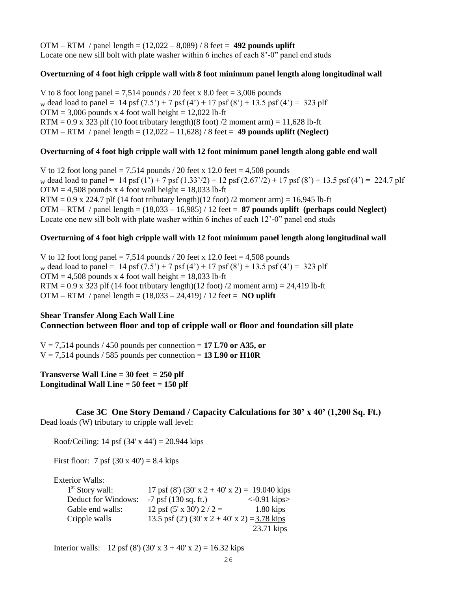OTM – RTM / panel length = (12,022 – 8,089) / 8 feet = **492 pounds uplift** Locate one new sill bolt with plate washer within 6 inches of each 8'-0" panel end studs

### **Overturning of 4 foot high cripple wall with 8 foot minimum panel length along longitudinal wall**

V to 8 foot long panel = 7,514 pounds  $/$  20 feet x 8.0 feet = 3,006 pounds w dead load to panel = 14 psf  $(7.5') + 7$  psf  $(4') + 17$  psf  $(8') + 13.5$  psf  $(4') = 323$  plf  $OTM = 3,006$  pounds x 4 foot wall height = 12,022 lb-ft  $RTM = 0.9$  x 323 plf (10 foot tributary length)(8 foot) /2 moment arm) = 11,628 lb-ft OTM – RTM / panel length = (12,022 – 11,628) / 8 feet = **49 pounds uplift (Neglect)**

#### **Overturning of 4 foot high cripple wall with 12 foot minimum panel length along gable end wall**

V to 12 foot long panel = 7,514 pounds / 20 feet x 12.0 feet = 4,508 pounds w dead load to panel = 14 psf (1') + 7 psf (1.33'/2) + 12 psf (2.67'/2) + 17 psf (8') + 13.5 psf (4') = 224.7 plf  $OTM = 4,508$  pounds x 4 foot wall height = 18,033 lb-ft RTM =  $0.9 \times 224.7$  plf (14 foot tributary length)(12 foot) /2 moment arm) = 16,945 lb-ft OTM – RTM / panel length = (18,033 – 16,985) / 12 feet = **87 pounds uplift (perhaps could Neglect)** Locate one new sill bolt with plate washer within 6 inches of each 12'-0" panel end studs

### **Overturning of 4 foot high cripple wall with 12 foot minimum panel length along longitudinal wall**

V to 12 foot long panel = 7,514 pounds / 20 feet x 12.0 feet = 4,508 pounds w dead load to panel = 14 psf  $(7.5') + 7$  psf  $(4') + 17$  psf  $(8') + 13.5$  psf  $(4') = 323$  plf  $OTM = 4,508$  pounds x 4 foot wall height = 18,033 lb-ft RTM =  $0.9 \times 323$  plf (14 foot tributary length)(12 foot) /2 moment arm) =  $24,419$  lb-ft OTM – RTM / panel length = (18,033 – 24,419) / 12 feet = **NO uplift**

# **Shear Transfer Along Each Wall Line**

### **Connection between floor and top of cripple wall or floor and foundation sill plate**

 $V = 7,514$  pounds / 450 pounds per connection = 17 L70 or A35, or  $V = 7,514$  pounds / 585 pounds per connection = 13 L90 or H10R

**Transverse Wall Line = 30 feet = 250 plf Longitudinal Wall Line = 50 feet = 150 plf**

**Case 3C One Story Demand / Capacity Calculations for 30' x 40' (1,200 Sq. Ft.)** Dead loads (W) tributary to cripple wall level:

Roof/Ceiling: 14 psf  $(34' \times 44') = 20.944$  kips

First floor: 7 psf  $(30 \times 40') = 8.4$  kips

Exterior Walls:

| $1st$ Story wall:   | 17 psf (8') (30' x 2 + 40' x 2) = 19.040 kips |                          |
|---------------------|-----------------------------------------------|--------------------------|
| Deduct for Windows: | $-7$ psf (130 sq. ft.)                        | $\langle$ -0.91 kips $>$ |
| Gable end walls:    | 12 psf $(5' \times 30')$ 2 / 2 =              | $1.80$ kips              |
| Cripple walls       | 13.5 psf (2') (30' x 2 + 40' x 2) = 3.78 kips |                          |
|                     |                                               | 23.71 kips               |

Interior walls: 12 psf (8') (30' x 3 + 40' x 2) = 16.32 kips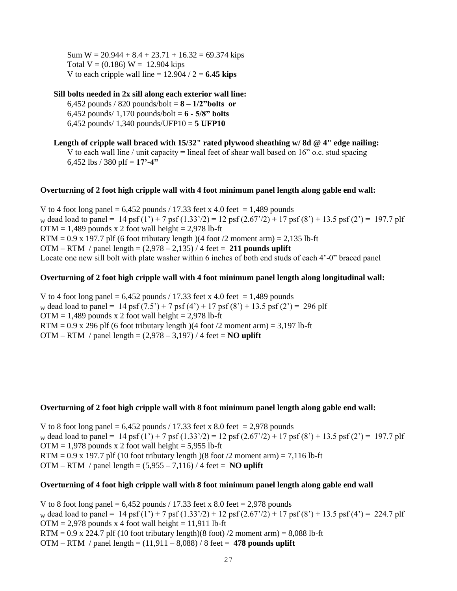Sum  $W = 20.944 + 8.4 + 23.71 + 16.32 = 69.374$  kips Total  $V = (0.186) W = 12.904$  kips V to each cripple wall line  $= 12.904 / 2 = 6.45$  kips

### **Sill bolts needed in 2x sill along each exterior wall line:**

6,452 pounds / 820 pounds/bolt = **8 – 1/2"bolts or**  6,452 pounds/ 1,170 pounds/bolt = **6 - 5/8" bolts**  6,452 pounds/ 1,340 pounds/UFP10 = **5 UFP10**

**Length of cripple wall braced with 15/32" rated plywood sheathing w/ 8d @ 4" edge nailing:** V to each wall line / unit capacity = lineal feet of shear wall based on  $16$ " o.c. stud spacing 6,452 lbs / 380 plf = **17'-4"** 

### **Overturning of 2 foot high cripple wall with 4 foot minimum panel length along gable end wall:**

V to 4 foot long panel =  $6,452$  pounds / 17.33 feet x 4.0 feet = 1,489 pounds w dead load to panel = 14 psf (1') + 7 psf (1.33'/2) = 12 psf (2.67'/2) + 17 psf (8') + 13.5 psf (2') = 197.7 plf  $OTM = 1,489$  pounds x 2 foot wall height = 2,978 lb-ft RTM =  $0.9$  x 197.7 plf (6 foot tributary length)(4 foot /2 moment arm) =  $2,135$  lb-ft OTM – RTM / panel length = (2,978 – 2,135) / 4 feet = **211 pounds uplift** Locate one new sill bolt with plate washer within 6 inches of both end studs of each 4'-0" braced panel

### **Overturning of 2 foot high cripple wall with 4 foot minimum panel length along longitudinal wall:**

V to 4 foot long panel =  $6,452$  pounds / 17.33 feet x 4.0 feet = 1,489 pounds w dead load to panel = 14 psf  $(7.5') + 7$  psf  $(4') + 17$  psf  $(8') + 13.5$  psf  $(2') = 296$  plf  $OTM = 1,489$  pounds x 2 foot wall height = 2,978 lb-ft RTM =  $0.9$  x 296 plf (6 foot tributary length)(4 foot /2 moment arm) = 3,197 lb-ft OTM – RTM / panel length =  $(2,978 - 3,197)$  / 4 feet = **NO** uplift

### **Overturning of 2 foot high cripple wall with 8 foot minimum panel length along gable end wall:**

V to 8 foot long panel =  $6,452$  pounds / 17.33 feet x 8.0 feet = 2,978 pounds w dead load to panel = 14 psf (1') + 7 psf (1.33'/2) = 12 psf (2.67'/2) + 17 psf (8') + 13.5 psf (2') = 197.7 plf  $OTM = 1,978$  pounds x 2 foot wall height = 5,955 lb-ft RTM =  $0.9$  x 197.7 plf (10 foot tributary length)(8 foot /2 moment arm) = 7,116 lb-ft OTM – RTM / panel length =  $(5,955 - 7,116)$  / 4 feet = **NO uplift** 

### **Overturning of 4 foot high cripple wall with 8 foot minimum panel length along gable end wall**

V to 8 foot long panel =  $6,452$  pounds / 17.33 feet x 8.0 feet = 2,978 pounds w dead load to panel = 14 psf (1') + 7 psf (1.33'/2) + 12 psf (2.67'/2) + 17 psf (8') + 13.5 psf (4') = 224.7 plf  $OTM = 2.978$  pounds x 4 foot wall height = 11.911 lb-ft RTM =  $0.9 \times 224.7$  plf (10 foot tributary length)(8 foot) /2 moment arm) = 8,088 lb-ft OTM – RTM / panel length = (11,911 – 8,088) / 8 feet = **478 pounds uplift**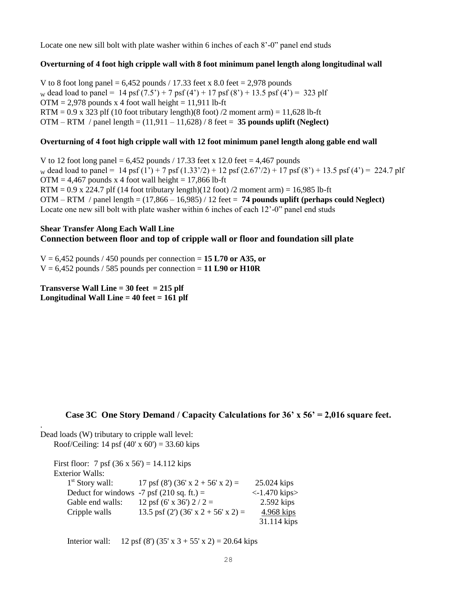Locate one new sill bolt with plate washer within 6 inches of each 8'-0" panel end studs

### **Overturning of 4 foot high cripple wall with 8 foot minimum panel length along longitudinal wall**

V to 8 foot long panel =  $6,452$  pounds / 17.33 feet x 8.0 feet = 2,978 pounds w dead load to panel = 14 psf  $(7.5') + 7$  psf  $(4') + 17$  psf  $(8') + 13.5$  psf  $(4') = 323$  plf  $OTM = 2,978$  pounds x 4 foot wall height = 11,911 lb-ft RTM =  $0.9 \times 323$  plf (10 foot tributary length)(8 foot) /2 moment arm) = 11,628 lb-ft OTM – RTM / panel length = (11,911 – 11,628) / 8 feet = **35 pounds uplift (Neglect)**

### **Overturning of 4 foot high cripple wall with 12 foot minimum panel length along gable end wall**

V to 12 foot long panel =  $6,452$  pounds / 17.33 feet x 12.0 feet = 4,467 pounds w dead load to panel = 14 psf (1') + 7 psf (1.33'/2) + 12 psf (2.67'/2) + 17 psf (8') + 13.5 psf (4') = 224.7 plf  $OTM = 4,467$  pounds x 4 foot wall height = 17,866 lb-ft RTM =  $0.9 \times 224.7$  plf (14 foot tributary length)(12 foot) /2 moment arm) = 16,985 lb-ft OTM – RTM / panel length = (17,866 – 16,985) / 12 feet = **74 pounds uplift (perhaps could Neglect)** Locate one new sill bolt with plate washer within 6 inches of each 12'-0" panel end studs

### **Shear Transfer Along Each Wall Line Connection between floor and top of cripple wall or floor and foundation sill plate**

V = 6,452 pounds / 450 pounds per connection = **15 L70 or A35, or**   $V = 6,452$  pounds / 585 pounds per connection = 11 L90 or H10R

**Transverse Wall Line = 30 feet = 215 plf Longitudinal Wall Line = 40 feet = 161 plf**

# **Case 3C One Story Demand / Capacity Calculations for 36' x 56' = 2,016 square feet.**

Dead loads (W) tributary to cripple wall level: Roof/Ceiling: 14 psf  $(40' \times 60') = 33.60$  kips

.

First floor: 7 psf  $(36 \times 56') = 14.112$  kips Exterior Walls:  $1<sup>st</sup>$  Story wall: 17 psf (8') (36' x 2 + 56' x 2) = 25.024 kips Deduct for windows  $-7$  psf (210 sq. ft.) =  $\langle -1.470 \text{ kips} \rangle$ Gable end walls:  $12 \text{ psf } (6' \text{ x } 36') 2 / 2 = 2.592 \text{ kips}$ Cripple walls 13.5 psf (2') (36' x 2 + 56' x 2) = 4.968 kips 31.114 kips

Interior wall: 12 psf (8') (35' x 3 + 55' x 2) = 20.64 kips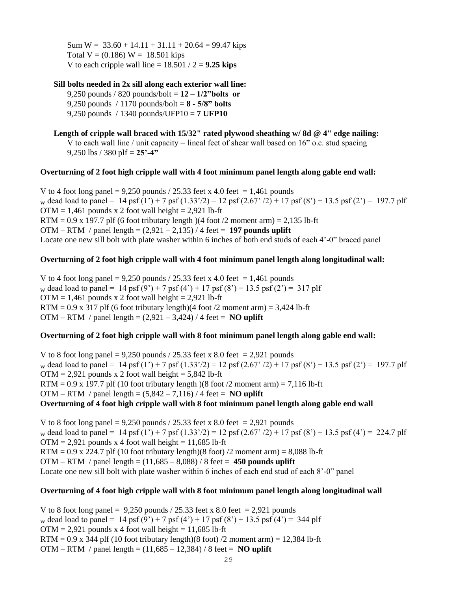Sum  $W = 33.60 + 14.11 + 31.11 + 20.64 = 99.47$  kips Total  $V = (0.186) W = 18.501$  kips V to each cripple wall line  $= 18.501 / 2 = 9.25$  kips

**Sill bolts needed in 2x sill along each exterior wall line:** 9,250 pounds / 820 pounds/bolt = **12 – 1/2"bolts or**  9,250 pounds / 1170 pounds/bolt = **8 - 5/8" bolts** 9,250 pounds / 1340 pounds/UFP10 = **7 UFP10**

**Length of cripple wall braced with 15/32" rated plywood sheathing w/ 8d @ 4" edge nailing:** V to each wall line / unit capacity = lineal feet of shear wall based on  $16$ " o.c. stud spacing 9,250 lbs / 380 plf = **25'-4"** 

#### **Overturning of 2 foot high cripple wall with 4 foot minimum panel length along gable end wall:**

V to 4 foot long panel = 9,250 pounds / 25.33 feet x 4.0 feet = 1,461 pounds w dead load to panel = 14 psf  $(1') + 7$  psf  $(1.33')/2$  = 12 psf  $(2.67')/2$  + 17 psf  $(8') + 13.5$  psf  $(2') = 197.7$  plf  $OTM = 1,461$  pounds x 2 foot wall height = 2,921 lb-ft  $RTM = 0.9$  x 197.7 plf (6 foot tributary length) (4 foot /2 moment arm) = 2,135 lb-ft OTM – RTM / panel length = (2,921 – 2,135) / 4 feet = **197 pounds uplift** Locate one new sill bolt with plate washer within 6 inches of both end studs of each 4'-0" braced panel

### **Overturning of 2 foot high cripple wall with 4 foot minimum panel length along longitudinal wall:**

V to 4 foot long panel =  $9,250$  pounds / 25.33 feet x 4.0 feet = 1,461 pounds w dead load to panel = 14 psf  $(9') + 7$  psf  $(4') + 17$  psf  $(8') + 13.5$  psf  $(2') = 317$  plf  $OTM = 1,461$  pounds x 2 foot wall height = 2,921 lb-ft RTM =  $0.9$  x 317 plf (6 foot tributary length)(4 foot /2 moment arm) = 3,424 lb-ft OTM – RTM / panel length =  $(2.921 - 3.424)$  / 4 feet = **NO uplift** 

### **Overturning of 2 foot high cripple wall with 8 foot minimum panel length along gable end wall:**

V to 8 foot long panel = 9,250 pounds / 25.33 feet x 8.0 feet = 2,921 pounds w dead load to panel = 14 psf  $(1') + 7$  psf  $(1.33')/2$  = 12 psf  $(2.67')/2$  + 17 psf  $(8') + 13.5$  psf  $(2') = 197.7$  plf  $OTM = 2.921$  pounds x 2 foot wall height = 5,842 lb-ft RTM =  $0.9 \times 197.7$  plf (10 foot tributary length) (8 foot /2 moment arm) = 7,116 lb-ft OTM – RTM / panel length = (5,842 – 7,116) / 4 feet = **NO uplift Overturning of 4 foot high cripple wall with 8 foot minimum panel length along gable end wall** 

V to 8 foot long panel = 9,250 pounds / 25.33 feet x 8.0 feet = 2,921 pounds w dead load to panel = 14 psf (1') + 7 psf (1.33'/2) = 12 psf (2.67' /2) + 17 psf (8') + 13.5 psf (4') = 224.7 plf  $OTM = 2,921$  pounds x 4 foot wall height = 11,685 lb-ft RTM =  $0.9$  x 224.7 plf (10 foot tributary length)(8 foot) /2 moment arm) = 8,088 lb-ft OTM – RTM / panel length = (11,685 – 8,088) / 8 feet = **450 pounds uplift** Locate one new sill bolt with plate washer within 6 inches of each end stud of each 8'-0" panel

### **Overturning of 4 foot high cripple wall with 8 foot minimum panel length along longitudinal wall**

V to 8 foot long panel =  $9,250$  pounds  $/ 25.33$  feet x 8.0 feet = 2,921 pounds w dead load to panel = 14 psf  $(9') + 7$  psf  $(4') + 17$  psf  $(8') + 13.5$  psf  $(4') = 344$  plf  $OTM = 2,921$  pounds x 4 foot wall height = 11,685 lb-ft  $RTM = 0.9$  x 344 plf (10 foot tributary length)(8 foot) /2 moment arm) = 12,384 lb-ft OTM – RTM / panel length = (11,685 – 12,384) / 8 feet = **NO uplift**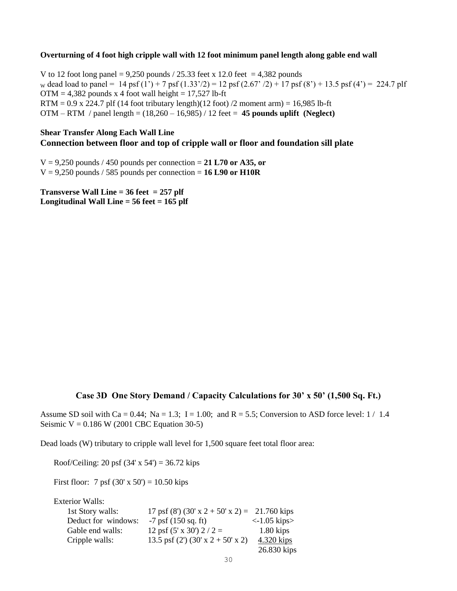#### **Overturning of 4 foot high cripple wall with 12 foot minimum panel length along gable end wall**

V to 12 foot long panel =  $9,250$  pounds / 25.33 feet x 12.0 feet = 4,382 pounds w dead load to panel = 14 psf (1') + 7 psf (1.33'/2) = 12 psf (2.67' /2) + 17 psf (8') + 13.5 psf (4') = 224.7 plf  $OTM = 4,382$  pounds x 4 foot wall height = 17,527 lb-ft  $RTM = 0.9$  x 224.7 plf (14 foot tributary length)(12 foot) /2 moment arm) = 16,985 lb-ft OTM – RTM / panel length = (18,260 – 16,985) / 12 feet = **45 pounds uplift (Neglect)**

# **Shear Transfer Along Each Wall Line Connection between floor and top of cripple wall or floor and foundation sill plate**

V = 9,250 pounds / 450 pounds per connection = **21 L70 or A35, or**   $V = 9,250$  pounds / 585 pounds per connection = **16 L90 or H10R** 

**Transverse Wall Line = 36 feet = 257 plf Longitudinal Wall Line = 56 feet = 165 plf**

### **Case 3D One Story Demand / Capacity Calculations for 30' x 50' (1,500 Sq. Ft.)**

Assume SD soil with Ca = 0.44; Na = 1.3; I = 1.00; and R = 5.5; Conversion to ASD force level:  $1/1.4$ Seismic  $V = 0.186$  W (2001 CBC Equation 30-5)

Dead loads (W) tributary to cripple wall level for 1,500 square feet total floor area:

Roof/Ceiling: 20 psf  $(34' \times 54') = 36.72$  kips

First floor: 7 psf  $(30' \times 50') = 10.50$  kips

Exterior Walls:

| 1st Story walls:    | 17 psf (8') (30' x 2 + 50' x 2) = 21.760 kips   |                          |
|---------------------|-------------------------------------------------|--------------------------|
| Deduct for windows: | $-7$ psf (150 sq. ft)                           | $\langle$ -1.05 kips $>$ |
| Gable end walls:    | 12 psf $(5' \times 30')$ 2 / 2 =                | $1.80$ kips              |
| Cripple walls:      | 13.5 psf $(2')$ $(30' \times 2 + 50' \times 2)$ | 4.320 kips               |
|                     |                                                 | 26.830 kips              |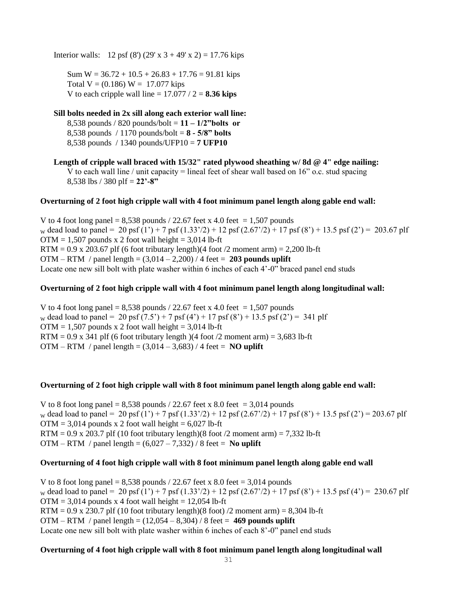Interior walls: 12 psf (8') (29' x  $3 + 49'$  x 2) = 17.76 kips

Sum  $W = 36.72 + 10.5 + 26.83 + 17.76 = 91.81$  kips Total  $V = (0.186) W = 17.077$  kips V to each cripple wall line  $= 17.077 / 2 = 8.36$  kips

# **Sill bolts needed in 2x sill along each exterior wall line:** 8,538 pounds / 820 pounds/bolt = **11 – 1/2"bolts or**  8,538 pounds / 1170 pounds/bolt = **8 - 5/8" bolts** 8,538 pounds / 1340 pounds/UFP10 = **7 UFP10**

**Length of cripple wall braced with 15/32" rated plywood sheathing w/ 8d @ 4" edge nailing:** V to each wall line / unit capacity = lineal feet of shear wall based on  $16$ " o.c. stud spacing 8,538 lbs / 380 plf = **22'-8"** 

### **Overturning of 2 foot high cripple wall with 4 foot minimum panel length along gable end wall:**

V to 4 foot long panel =  $8,538$  pounds / 22.67 feet x 4.0 feet = 1,507 pounds w dead load to panel = 20 psf  $(1') + 7$  psf  $(1.33')$  + 12 psf  $(2.67')$  + 17 psf  $(8') + 13.5$  psf  $(2')$  = 203.67 plf  $OTM = 1,507$  pounds x 2 foot wall height = 3,014 lb-ft RTM =  $0.9$  x 203.67 plf (6 foot tributary length)(4 foot /2 moment arm) = 2,200 lb-ft OTM – RTM / panel length = (3,014 – 2,200) / 4 feet = **203 pounds uplift** Locate one new sill bolt with plate washer within 6 inches of each 4'-0" braced panel end studs

### **Overturning of 2 foot high cripple wall with 4 foot minimum panel length along longitudinal wall:**

V to 4 foot long panel =  $8,538$  pounds / 22.67 feet x 4.0 feet = 1,507 pounds w dead load to panel = 20 psf  $(7.5') + 7$  psf  $(4') + 17$  psf  $(8') + 13.5$  psf  $(2') = 341$  plf  $OTM = 1,507$  pounds x 2 foot wall height = 3,014 lb-ft RTM =  $0.9$  x 341 plf (6 foot tributary length)(4 foot /2 moment arm) = 3,683 lb-ft OTM – RTM / panel length =  $(3,014 - 3,683)$  / 4 feet = **NO uplift** 

### **Overturning of 2 foot high cripple wall with 8 foot minimum panel length along gable end wall:**

V to 8 foot long panel =  $8,538$  pounds / 22.67 feet x 8.0 feet =  $3,014$  pounds w dead load to panel = 20 psf (1') + 7 psf (1.33'/2) + 12 psf (2.67'/2) + 17 psf (8') + 13.5 psf (2') = 203.67 plf  $OTM = 3,014$  pounds x 2 foot wall height = 6,027 lb-ft RTM =  $0.9$  x 203.7 plf (10 foot tributary length)(8 foot /2 moment arm) = 7,332 lb-ft OTM – RTM / panel length =  $(6,027 - 7,332)$  / 8 feet = **No uplift** 

### **Overturning of 4 foot high cripple wall with 8 foot minimum panel length along gable end wall**

V to 8 foot long panel =  $8,538$  pounds / 22.67 feet x 8.0 feet = 3,014 pounds w dead load to panel = 20 psf (1') + 7 psf (1.33'/2) + 12 psf (2.67'/2) + 17 psf (8') + 13.5 psf (4') = 230.67 plf  $OTM = 3,014$  pounds x 4 foot wall height = 12,054 lb-ft  $RTM = 0.9$  x 230.7 plf (10 foot tributary length)(8 foot) /2 moment arm) = 8,304 lb-ft OTM – RTM / panel length = (12,054 – 8,304) / 8 feet = **469 pounds uplift** Locate one new sill bolt with plate washer within 6 inches of each 8'-0" panel end studs

### **Overturning of 4 foot high cripple wall with 8 foot minimum panel length along longitudinal wall**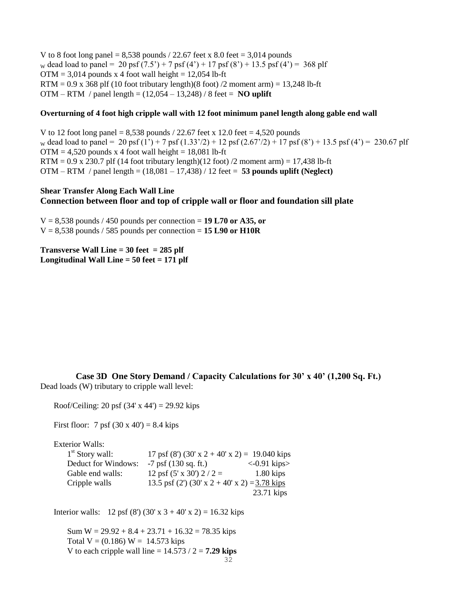V to 8 foot long panel =  $8,538$  pounds / 22.67 feet x 8.0 feet = 3,014 pounds w dead load to panel = 20 psf  $(7.5') + 7$  psf  $(4') + 17$  psf  $(8') + 13.5$  psf  $(4') = 368$  plf  $OTM = 3,014$  pounds x 4 foot wall height = 12,054 lb-ft  $RTM = 0.9$  x 368 plf (10 foot tributary length)(8 foot) /2 moment arm) = 13,248 lb-ft OTM – RTM / panel length = (12,054 – 13,248) / 8 feet = **NO uplift**

#### **Overturning of 4 foot high cripple wall with 12 foot minimum panel length along gable end wall**

V to 12 foot long panel =  $8,538$  pounds / 22.67 feet x 12.0 feet = 4,520 pounds w dead load to panel = 20 psf (1') + 7 psf (1.33'/2) + 12 psf (2.67'/2) + 17 psf (8') + 13.5 psf (4') = 230.67 plf  $OTM = 4,520$  pounds x 4 foot wall height = 18,081 lb-ft RTM =  $0.9 \times 230.7$  plf (14 foot tributary length)(12 foot) /2 moment arm) = 17,438 lb-ft OTM – RTM / panel length = (18,081 – 17,438) / 12 feet = **53 pounds uplift (Neglect)**

### **Shear Transfer Along Each Wall Line Connection between floor and top of cripple wall or floor and foundation sill plate**

 $V = 8,538$  pounds / 450 pounds per connection = 19 L70 or A35, or  $V = 8,538$  pounds / 585 pounds per connection = **15 L90 or H10R** 

**Transverse Wall Line = 30 feet = 285 plf Longitudinal Wall Line = 50 feet = 171 plf**

**Case 3D One Story Demand / Capacity Calculations for 30' x 40' (1,200 Sq. Ft.)** Dead loads (W) tributary to cripple wall level:

Roof/Ceiling: 20 psf  $(34' \times 44') = 29.92$  kips

First floor: 7 psf  $(30 \times 40') = 8.4$  kips

Exterior Walls:

| $1st$ Story wall:   | 17 psf (8') (30' x 2 + 40' x 2) = 19.040 kips |                          |
|---------------------|-----------------------------------------------|--------------------------|
| Deduct for Windows: | $-7$ psf (130 sq. ft.)                        | $\langle$ -0.91 kips $>$ |
| Gable end walls:    | 12 psf $(5' \times 30')$ 2 / 2 =              | $1.80$ kips              |
| Cripple walls       | 13.5 psf (2') (30' x 2 + 40' x 2) = 3.78 kips |                          |
|                     |                                               | 23.71 kips               |

Interior walls: 12 psf (8') (30' x 3 + 40' x 2) = 16.32 kips

Sum  $W = 29.92 + 8.4 + 23.71 + 16.32 = 78.35$  kips Total  $V = (0.186) W = 14.573$  kips V to each cripple wall line  $= 14.573 / 2 = 7.29$  kips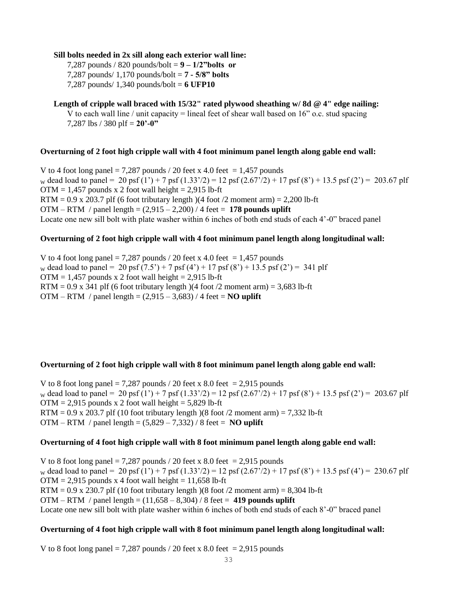#### **Sill bolts needed in 2x sill along each exterior wall line:**

7,287 pounds / 820 pounds/bolt = **9 – 1/2"bolts or**  7,287 pounds/ 1,170 pounds/bolt = **7 - 5/8" bolts**  7,287 pounds/ 1,340 pounds/bolt = **6 UFP10**

# **Length of cripple wall braced with 15/32" rated plywood sheathing w/ 8d @ 4" edge nailing:**

V to each wall line / unit capacity = lineal feet of shear wall based on  $16$ " o.c. stud spacing 7,287 lbs / 380 plf = **20'-0"** 

#### **Overturning of 2 foot high cripple wall with 4 foot minimum panel length along gable end wall:**

V to 4 foot long panel = 7,287 pounds / 20 feet x 4.0 feet = 1,457 pounds w dead load to panel = 20 psf (1') + 7 psf (1.33'/2) = 12 psf (2.67'/2) + 17 psf (8') + 13.5 psf (2') = 203.67 plf  $OTM = 1,457$  pounds x 2 foot wall height = 2,915 lb-ft RTM =  $0.9$  x 203.7 plf (6 foot tributary length)(4 foot /2 moment arm) = 2,200 lb-ft OTM – RTM / panel length = (2,915 – 2,200) / 4 feet = **178 pounds uplift** Locate one new sill bolt with plate washer within 6 inches of both end studs of each 4'-0" braced panel

### **Overturning of 2 foot high cripple wall with 4 foot minimum panel length along longitudinal wall:**

V to 4 foot long panel = 7,287 pounds / 20 feet x 4.0 feet = 1,457 pounds w dead load to panel = 20 psf  $(7.5') + 7$  psf  $(4') + 17$  psf  $(8') + 13.5$  psf  $(2') = 341$  plf  $OTM = 1,457$  pounds x 2 foot wall height = 2,915 lb-ft RTM =  $0.9$  x 341 plf (6 foot tributary length)(4 foot /2 moment arm) = 3,683 lb-ft OTM – RTM / panel length =  $(2,915 - 3,683)$  / 4 feet = **NO** uplift

### **Overturning of 2 foot high cripple wall with 8 foot minimum panel length along gable end wall:**

V to 8 foot long panel = 7,287 pounds / 20 feet x 8.0 feet = 2,915 pounds w dead load to panel = 20 psf (1') + 7 psf (1.33'/2) = 12 psf (2.67'/2) + 17 psf (8') + 13.5 psf (2') = 203.67 plf  $OTM = 2,915$  pounds x 2 foot wall height = 5,829 lb-ft RTM =  $0.9$  x 203.7 plf (10 foot tributary length)(8 foot /2 moment arm) = 7,332 lb-ft OTM – RTM / panel length = (5,829 – 7,332) / 8 feet = **NO uplift**

### **Overturning of 4 foot high cripple wall with 8 foot minimum panel length along gable end wall:**

V to 8 foot long panel  $= 7,287$  pounds / 20 feet x 8.0 feet  $= 2,915$  pounds w dead load to panel = 20 psf (1') + 7 psf (1.33'/2) = 12 psf (2.67'/2) + 17 psf (8') + 13.5 psf (4') = 230.67 plf  $OTM = 2,915$  pounds x 4 foot wall height = 11,658 lb-ft  $RTM = 0.9$  x 230.7 plf (10 foot tributary length) (8 foot /2 moment arm) = 8,304 lb-ft OTM – RTM / panel length = (11,658 – 8,304) / 8 feet = **419 pounds uplift** Locate one new sill bolt with plate washer within 6 inches of both end studs of each 8'-0" braced panel

### **Overturning of 4 foot high cripple wall with 8 foot minimum panel length along longitudinal wall:**

V to 8 foot long panel = 7,287 pounds / 20 feet x 8.0 feet = 2,915 pounds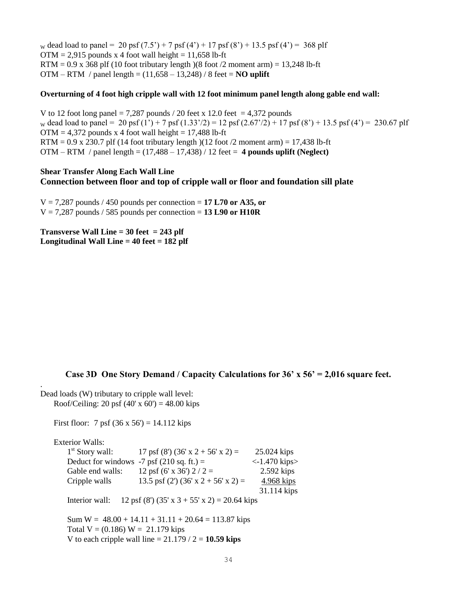w dead load to panel = 20 psf  $(7.5') + 7$  psf  $(4') + 17$  psf  $(8') + 13.5$  psf  $(4') = 368$  plf  $OTM = 2.915$  pounds x 4 foot wall height = 11,658 lb-ft  $RTM = 0.9$  x 368 plf (10 foot tributary length)(8 foot /2 moment arm) = 13,248 lb-ft OTM – RTM / panel length = (11,658 – 13,248) / 8 feet = **NO uplift**

#### **Overturning of 4 foot high cripple wall with 12 foot minimum panel length along gable end wall:**

V to 12 foot long panel = 7,287 pounds / 20 feet x 12.0 feet = 4,372 pounds w dead load to panel = 20 psf (1') + 7 psf (1.33'/2) = 12 psf (2.67'/2) + 17 psf (8') + 13.5 psf (4') = 230.67 plf  $OTM = 4,372$  pounds x 4 foot wall height = 17,488 lb-ft RTM =  $0.9 \times 230.7$  plf (14 foot tributary length)(12 foot /2 moment arm) = 17,438 lb-ft OTM – RTM / panel length = (17,488 – 17,438) / 12 feet = **4 pounds uplift (Neglect)**

### **Shear Transfer Along Each Wall Line Connection between floor and top of cripple wall or floor and foundation sill plate**

 $V = 7,287$  pounds / 450 pounds per connection = 17 L70 or A35, or  $V = 7,287$  pounds / 585 pounds per connection = 13 L90 or H10R

**Transverse Wall Line = 30 feet = 243 plf Longitudinal Wall Line = 40 feet = 182 plf**

### **Case 3D One Story Demand / Capacity Calculations for 36' x 56' = 2,016 square feet.**

. Dead loads (W) tributary to cripple wall level: Roof/Ceiling: 20 psf  $(40' \times 60') = 48.00$  kips

First floor: 7 psf  $(36 \times 56') = 14.112$  kips

Exterior Walls:  $1<sup>st</sup>$  Story wall: 17 psf (8') (36' x 2 + 56' x 2) = 25.024 kips Deduct for windows  $-7$  psf (210 sq. ft.) =  $\left(-1.470 \text{ kips}\right)$ Gable end walls:  $12 \text{ psf } (6' \text{ x } 36') 2 / 2 = 2.592 \text{ kips}$ Cripple walls 13.5 psf (2') (36' x 2 + 56' x 2) = 4.968 kips 31.114 kips Interior wall: 12 psf (8') (35' x 3 + 55' x 2) = 20.64 kips Sum  $W = 48.00 + 14.11 + 31.11 + 20.64 = 113.87$  kips Total  $V = (0.186) W = 21.179$  kips V to each cripple wall line  $= 21.179 / 2 = 10.59$  kips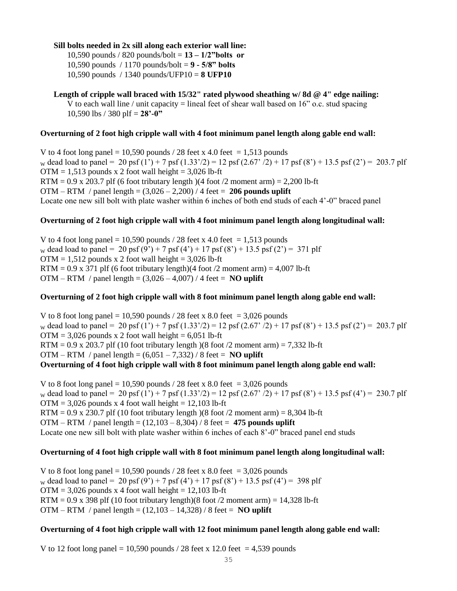### **Sill bolts needed in 2x sill along each exterior wall line:**

10,590 pounds / 820 pounds/bolt = **13 – 1/2"bolts or**  10,590 pounds / 1170 pounds/bolt = **9 - 5/8" bolts** 10,590 pounds / 1340 pounds/UFP10 = **8 UFP10**

**Length of cripple wall braced with 15/32" rated plywood sheathing w/ 8d @ 4" edge nailing:** V to each wall line / unit capacity = lineal feet of shear wall based on 16" o.c. stud spacing 10,590 lbs / 380 plf = **28'-0"** 

### **Overturning of 2 foot high cripple wall with 4 foot minimum panel length along gable end wall:**

V to 4 foot long panel = 10,590 pounds / 28 feet x 4.0 feet = 1,513 pounds w dead load to panel = 20 psf (1') + 7 psf (1.33'/2) = 12 psf (2.67' /2) + 17 psf (8') + 13.5 psf (2') = 203.7 plf  $OTM = 1,513$  pounds x 2 foot wall height = 3,026 lb-ft RTM =  $0.9$  x 203.7 plf (6 foot tributary length)(4 foot /2 moment arm) = 2,200 lb-ft OTM – RTM / panel length = (3,026 – 2,200) / 4 feet = **206 pounds uplift** Locate one new sill bolt with plate washer within 6 inches of both end studs of each 4'-0" braced panel

### **Overturning of 2 foot high cripple wall with 4 foot minimum panel length along longitudinal wall:**

V to 4 foot long panel = 10,590 pounds / 28 feet x 4.0 feet = 1,513 pounds w dead load to panel = 20 psf (9') + 7 psf (4') + 17 psf (8') + 13.5 psf (2') = 371 plf  $OTM = 1,512$  pounds x 2 foot wall height = 3,026 lb-ft RTM =  $0.9$  x 371 plf (6 foot tributary length)(4 foot /2 moment arm) =  $4,007$  lb-ft OTM – RTM / panel length =  $(3,026 - 4,007)$  / 4 feet = **NO uplift** 

### **Overturning of 2 foot high cripple wall with 8 foot minimum panel length along gable end wall:**

V to 8 foot long panel =  $10,590$  pounds / 28 feet x 8.0 feet = 3,026 pounds w dead load to panel = 20 psf (1') + 7 psf (1.33'/2) = 12 psf (2.67' /2) + 17 psf (8') + 13.5 psf (2') = 203.7 plf  $OTM = 3,026$  pounds x 2 foot wall height = 6,051 lb-ft RTM =  $0.9$  x 203.7 plf (10 foot tributary length)(8 foot /2 moment arm) = 7,332 lb-ft OTM – RTM / panel length =  $(6,051 - 7,332)$  / 8 feet = **NO uplift Overturning of 4 foot high cripple wall with 8 foot minimum panel length along gable end wall:**

V to 8 foot long panel = 10,590 pounds / 28 feet x 8.0 feet = 3,026 pounds w dead load to panel = 20 psf (1') + 7 psf (1.33'/2) = 12 psf (2.67' /2) + 17 psf (8') + 13.5 psf (4') = 230.7 plf  $OTM = 3,026$  pounds x 4 foot wall height = 12,103 lb-ft RTM =  $0.9 \times 230.7$  plf (10 foot tributary length) (8 foot /2 moment arm) = 8,304 lb-ft OTM – RTM / panel length = (12,103 – 8,304) / 8 feet = **475 pounds uplift** Locate one new sill bolt with plate washer within 6 inches of each 8'-0" braced panel end studs

# **Overturning of 4 foot high cripple wall with 8 foot minimum panel length along longitudinal wall:**

V to 8 foot long panel =  $10,590$  pounds / 28 feet x 8.0 feet = 3,026 pounds w dead load to panel = 20 psf (9') + 7 psf (4') + 17 psf (8') + 13.5 psf (4') = 398 plf  $OTM = 3,026$  pounds x 4 foot wall height = 12,103 lb-ft RTM =  $0.9$  x 398 plf (10 foot tributary length)(8 foot /2 moment arm) = 14,328 lb-ft OTM – RTM / panel length = (12,103 – 14,328) / 8 feet = **NO uplift** 

### **Overturning of 4 foot high cripple wall with 12 foot minimum panel length along gable end wall:**

V to 12 foot long panel = 10,590 pounds  $/$  28 feet x 12.0 feet = 4,539 pounds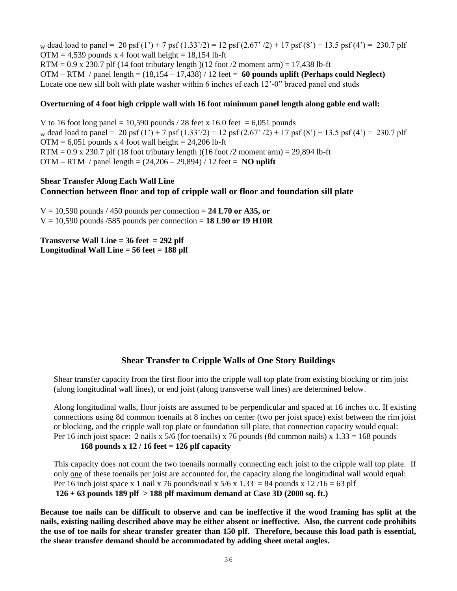w dead load to panel = 20 psf (1') + 7 psf (1.33'/2) = 12 psf (2.67' /2) + 17 psf (8') + 13.5 psf (4') = 230.7 plf  $OTM = 4.539$  pounds x 4 foot wall height = 18,154 lb-ft  $RTM = 0.9$  x 230.7 plf (14 foot tributary length)(12 foot /2 moment arm) = 17,438 lb-ft OTM – RTM / panel length = (18,154 – 17,438) / 12 feet = **60 pounds uplift (Perhaps could Neglect)** Locate one new sill bolt with plate washer within 6 inches of each 12'-0" braced panel end studs

#### **Overturning of 4 foot high cripple wall with 16 foot minimum panel length along gable end wall:**

V to 16 foot long panel = 10,590 pounds / 28 feet x 16.0 feet = 6,051 pounds w dead load to panel = 20 psf (1') + 7 psf (1.33'/2) = 12 psf (2.67' /2) + 17 psf (8') + 13.5 psf (4') = 230.7 plf  $OTM = 6,051$  pounds x 4 foot wall height = 24,206 lb-ft RTM =  $0.9$  x 230.7 plf (18 foot tributary length)(16 foot /2 moment arm) = 29,894 lb-ft OTM – RTM / panel length = (24,206 – 29,894) / 12 feet = **NO uplift**

### **Shear Transfer Along Each Wall Line Connection between floor and top of cripple wall or floor and foundation sill plate**

 $V = 10,590$  pounds / 450 pounds per connection = 24 L70 or A35, or V = 10,590 pounds /585 pounds per connection = **18 L90 or 19 H10R**

**Transverse Wall Line = 36 feet = 292 plf Longitudinal Wall Line = 56 feet = 188 plf**

# **Shear Transfer to Cripple Walls of One Story Buildings**

Shear transfer capacity from the first floor into the cripple wall top plate from existing blocking or rim joist (along longitudinal wall lines), or end joist (along transverse wall lines) are determined below.

Along longitudinal walls, floor joists are assumed to be perpendicular and spaced at 16 inches o.c. If existing connections using 8d common toenails at 8 inches on center (two per joist space) exist between the rim joist or blocking, and the cripple wall top plate or foundation sill plate, that connection capacity would equal: Per 16 inch joist space: 2 nails x 5/6 (for toenails) x 76 pounds (8d common nails) x  $1.33 = 168$  pounds **168 pounds x 12 / 16 feet = 126 plf capacity** 

This capacity does not count the two toenails normally connecting each joist to the cripple wall top plate. If only one of these toenails per joist are accounted for, the capacity along the longitudinal wall would equal: Per 16 inch joist space x 1 nail x 76 pounds/nail x  $5/6$  x  $1.33 = 84$  pounds x  $12/16 = 63$  plf **126 + 63 pounds 189 plf > 188 plf maximum demand at Case 3D (2000 sq. ft.)**

**Because toe nails can be difficult to observe and can be ineffective if the wood framing has split at the nails, existing nailing described above may be either absent or ineffective. Also, the current code prohibits the use of toe nails for shear transfer greater than 150 plf. Therefore, because this load path is essential, the shear transfer demand should be accommodated by adding sheet metal angles.**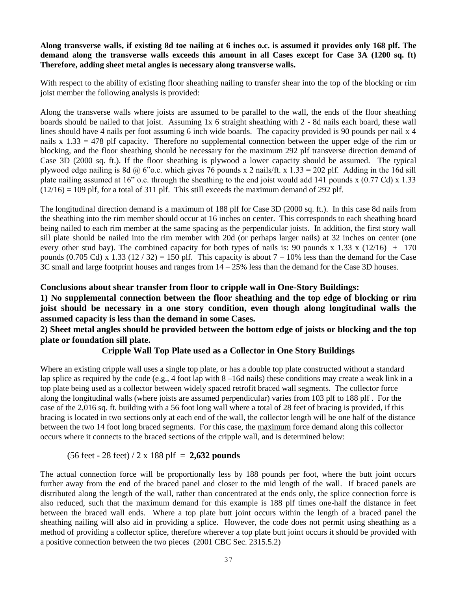## **Along transverse walls, if existing 8d toe nailing at 6 inches o.c. is assumed it provides only 168 plf. The demand along the transverse walls exceeds this amount in all Cases except for Case 3A (1200 sq. ft) Therefore, adding sheet metal angles is necessary along transverse walls.**

With respect to the ability of existing floor sheathing nailing to transfer shear into the top of the blocking or rim joist member the following analysis is provided:

Along the transverse walls where joists are assumed to be parallel to the wall, the ends of the floor sheathing boards should be nailed to that joist. Assuming 1x 6 straight sheathing with 2 - 8d nails each board, these wall lines should have 4 nails per foot assuming 6 inch wide boards. The capacity provided is 90 pounds per nail x 4 nails  $x$  1.33 = 478 plf capacity. Therefore no supplemental connection between the upper edge of the rim or blocking, and the floor sheathing should be necessary for the maximum 292 plf transverse direction demand of Case 3D (2000 sq. ft.). If the floor sheathing is plywood a lower capacity should be assumed. The typical plywood edge nailing is 8d @ 6"o.c. which gives 76 pounds x 2 nails/ft. x 1.33 = 202 plf. Adding in the 16d sill plate nailing assumed at 16" o.c. through the sheathing to the end joist would add 141 pounds x (0.77 Cd) x 1.33  $(12/16) = 109$  plf, for a total of 311 plf. This still exceeds the maximum demand of 292 plf.

The longitudinal direction demand is a maximum of 188 plf for Case 3D (2000 sq. ft.). In this case 8d nails from the sheathing into the rim member should occur at 16 inches on center. This corresponds to each sheathing board being nailed to each rim member at the same spacing as the perpendicular joists. In addition, the first story wall sill plate should be nailed into the rim member with 20d (or perhaps larger nails) at 32 inches on center (one every other stud bay). The combined capacity for both types of nails is: 90 pounds x 1.33 x (12/16) + 170 pounds (0.705 Cd) x 1.33 (12 / 32) = 150 plf. This capacity is about  $7 - 10\%$  less than the demand for the Case 3C small and large footprint houses and ranges from 14 – 25% less than the demand for the Case 3D houses.

## **Conclusions about shear transfer from floor to cripple wall in One-Story Buildings:**

**1) No supplemental connection between the floor sheathing and the top edge of blocking or rim joist should be necessary in a one story condition, even though along longitudinal walls the assumed capacity is less than the demand in some Cases.** 

## **2) Sheet metal angles should be provided between the bottom edge of joists or blocking and the top plate or foundation sill plate.**

### **Cripple Wall Top Plate used as a Collector in One Story Buildings**

Where an existing cripple wall uses a single top plate, or has a double top plate constructed without a standard lap splice as required by the code (e.g., 4 foot lap with  $8 - 16d$  nails) these conditions may create a weak link in a top plate being used as a collector between widely spaced retrofit braced wall segments. The collector force along the longitudinal walls (where joists are assumed perpendicular) varies from 103 plf to 188 plf . For the case of the 2,016 sq. ft. building with a 56 foot long wall where a total of 28 feet of bracing is provided, if this bracing is located in two sections only at each end of the wall, the collector length will be one half of the distance between the two 14 foot long braced segments. For this case, the maximum force demand along this collector occurs where it connects to the braced sections of the cripple wall, and is determined below:

### (56 feet - 28 feet) / 2 x 188 plf = **2,632 pounds**

The actual connection force will be proportionally less by 188 pounds per foot, where the butt joint occurs further away from the end of the braced panel and closer to the mid length of the wall. If braced panels are distributed along the length of the wall, rather than concentrated at the ends only, the splice connection force is also reduced, such that the maximum demand for this example is 188 plf times one-half the distance in feet between the braced wall ends. Where a top plate butt joint occurs within the length of a braced panel the sheathing nailing will also aid in providing a splice. However, the code does not permit using sheathing as a method of providing a collector splice, therefore wherever a top plate butt joint occurs it should be provided with a positive connection between the two pieces (2001 CBC Sec. 2315.5.2)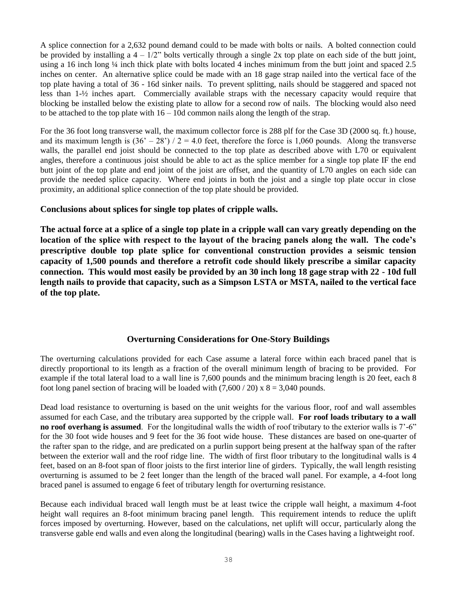A splice connection for a 2,632 pound demand could to be made with bolts or nails. A bolted connection could be provided by installing a  $4 - 1/2$ " bolts vertically through a single 2x top plate on each side of the butt joint, using a 16 inch long ¼ inch thick plate with bolts located 4 inches minimum from the butt joint and spaced 2.5 inches on center. An alternative splice could be made with an 18 gage strap nailed into the vertical face of the top plate having a total of 36 - 16d sinker nails. To prevent splitting, nails should be staggered and spaced not less than 1-½ inches apart. Commercially available straps with the necessary capacity would require that blocking be installed below the existing plate to allow for a second row of nails. The blocking would also need to be attached to the top plate with  $16 - 10d$  common nails along the length of the strap.

For the 36 foot long transverse wall, the maximum collector force is 288 plf for the Case 3D (2000 sq. ft.) house, and its maximum length is  $(36' - 28') / 2 = 4.0$  feet, therefore the force is 1,060 pounds. Along the transverse walls, the parallel end joist should be connected to the top plate as described above with L70 or equivalent angles, therefore a continuous joist should be able to act as the splice member for a single top plate IF the end butt joint of the top plate and end joint of the joist are offset, and the quantity of L70 angles on each side can provide the needed splice capacity. Where end joints in both the joist and a single top plate occur in close proximity, an additional splice connection of the top plate should be provided.

## **Conclusions about splices for single top plates of cripple walls.**

**The actual force at a splice of a single top plate in a cripple wall can vary greatly depending on the location of the splice with respect to the layout of the bracing panels along the wall. The code's prescriptive double top plate splice for conventional construction provides a seismic tension capacity of 1,500 pounds and therefore a retrofit code should likely prescribe a similar capacity connection. This would most easily be provided by an 30 inch long 18 gage strap with 22 - 10d full length nails to provide that capacity, such as a Simpson LSTA or MSTA, nailed to the vertical face of the top plate.** 

# **Overturning Considerations for One-Story Buildings**

The overturning calculations provided for each Case assume a lateral force within each braced panel that is directly proportional to its length as a fraction of the overall minimum length of bracing to be provided. For example if the total lateral load to a wall line is 7,600 pounds and the minimum bracing length is 20 feet, each 8 foot long panel section of bracing will be loaded with  $(7,600 / 20) \times 8 = 3,040$  pounds.

Dead load resistance to overturning is based on the unit weights for the various floor, roof and wall assembles assumed for each Case, and the tributary area supported by the cripple wall. **For roof loads tributary to a wall no roof overhang is assumed**. For the longitudinal walls the width of roof tributary to the exterior walls is 7'-6" for the 30 foot wide houses and 9 feet for the 36 foot wide house. These distances are based on one-quarter of the rafter span to the ridge, and are predicated on a purlin support being present at the halfway span of the rafter between the exterior wall and the roof ridge line. The width of first floor tributary to the longitudinal walls is 4 feet, based on an 8-foot span of floor joists to the first interior line of girders. Typically, the wall length resisting overturning is assumed to be 2 feet longer than the length of the braced wall panel. For example, a 4-foot long braced panel is assumed to engage 6 feet of tributary length for overturning resistance.

Because each individual braced wall length must be at least twice the cripple wall height, a maximum 4-foot height wall requires an 8-foot minimum bracing panel length. This requirement intends to reduce the uplift forces imposed by overturning. However, based on the calculations, net uplift will occur, particularly along the transverse gable end walls and even along the longitudinal (bearing) walls in the Cases having a lightweight roof.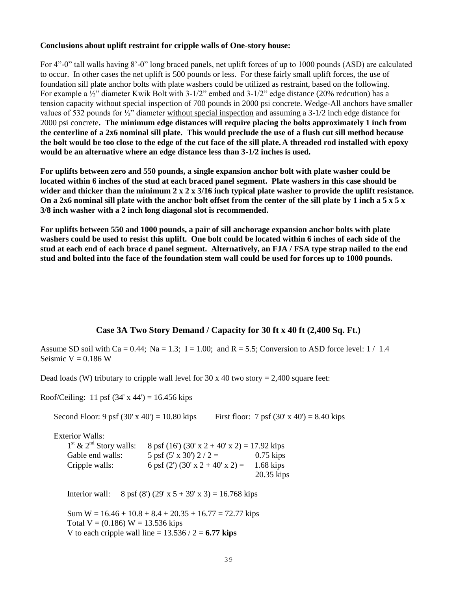#### **Conclusions about uplift restraint for cripple walls of One-story house:**

For 4"-0" tall walls having 8'-0" long braced panels, net uplift forces of up to 1000 pounds (ASD) are calculated to occur. In other cases the net uplift is 500 pounds or less. For these fairly small uplift forces, the use of foundation sill plate anchor bolts with plate washers could be utilized as restraint, based on the following. For example a  $\frac{1}{2}$ " diameter Kwik Bolt with 3-1/2" embed and 3-1/2" edge distance (20% redcution) has a tension capacity without special inspection of 700 pounds in 2000 psi concrete. Wedge-All anchors have smaller values of 532 pounds for ½" diameter without special inspection and assuming a 3-1/2 inch edge distance for 2000 psi concrete**. The minimum edge distances will require placing the bolts approximately 1 inch from the centerline of a 2x6 nominal sill plate. This would preclude the use of a flush cut sill method because the bolt would be too close to the edge of the cut face of the sill plate.A threaded rod installed with epoxy would be an alternative where an edge distance less than 3-1/2 inches is used.**

**For uplifts between zero and 550 pounds, a single expansion anchor bolt with plate washer could be located within 6 inches of the stud at each braced panel segment. Plate washers in this case should be wider and thicker than the minimum 2 x 2 x 3/16 inch typical plate washer to provide the uplift resistance. On a 2x6 nominal sill plate with the anchor bolt offset from the center of the sill plate by 1 inch a 5 x 5 x 3/8 inch washer with a 2 inch long diagonal slot is recommended.**

**For uplifts between 550 and 1000 pounds, a pair of sill anchorage expansion anchor bolts with plate washers could be used to resist this uplift. One bolt could be located within 6 inches of each side of the stud at each end of each brace d panel segment. Alternatively, an FJA / FSA type strap nailed to the end stud and bolted into the face of the foundation stem wall could be used for forces up to 1000 pounds.**

## **Case 3A Two Story Demand / Capacity for 30 ft x 40 ft (2,400 Sq. Ft.)**

Assume SD soil with Ca = 0.44; Na = 1.3; I = 1.00; and R = 5.5; Conversion to ASD force level:  $1/1.4$ Seismic  $V = 0.186$  W

Dead loads (W) tributary to cripple wall level for 30 x 40 two story = 2,400 square feet:

Roof/Ceiling: 11 psf  $(34' \times 44') = 16.456$  kips

Second Floor: 9 psf  $(30' \times 40') = 10.80$  kips First floor: 7 psf  $(30' \times 40') = 8.40$  kips

Exterior Walls: 1st  $\alpha$  and  $\alpha$  $\frac{11}{2}$  **0**  $\frac{6}{4}$  (16' (30'  $\frac{2}{3}$  + 40'  $\frac{3}{4}$  +  $\frac{17.9211}{2}$ 

| $\Gamma$ & $2$ Story walls: | 8 pst (16) (30 x 2 + 40 x 2) = 17.92 kips |              |
|-----------------------------|-------------------------------------------|--------------|
| Gable end walls:            | 5 psf $(5' \times 30')$ 2 / 2 =           | $0.75$ kips  |
| Cripple walls:              | 6 psf (2') (30' x 2 + 40' x 2) =          | $1.68$ kips  |
|                             |                                           | $20.35$ kips |

Interior wall:  $8 \text{ psf } (8') (29' \text{ x } 5 + 39' \text{ x } 3) = 16.768 \text{ kips}$ 

Sum  $W = 16.46 + 10.8 + 8.4 + 20.35 + 16.77 = 72.77$  kips Total  $V = (0.186) W = 13.536$  kips V to each cripple wall line =  $13.536 / 2 = 6.77$  kips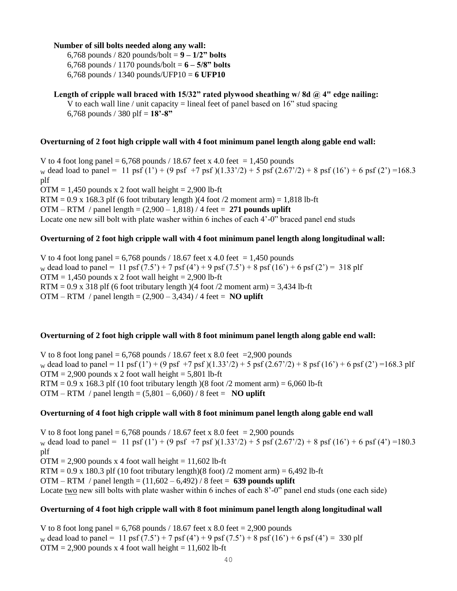### **Number of sill bolts needed along any wall:**

6,768 pounds / 820 pounds/bolt = **9 – 1/2" bolts** 6,768 pounds / 1170 pounds/bolt = **6 – 5/8" bolts** 6,768 pounds / 1340 pounds/UFP10 = **6 UFP10**

#### Length of cripple wall braced with 15/32" rated plywood sheathing w/8d @ 4" edge nailing: V to each wall line / unit capacity = lineal feet of panel based on  $16$ " stud spacing

6,768 pounds / 380 plf = **18'-8"**

## **Overturning of 2 foot high cripple wall with 4 foot minimum panel length along gable end wall:**

V to 4 foot long panel =  $6,768$  pounds / 18.67 feet x 4.0 feet = 1,450 pounds w dead load to panel = 11 psf (1') + (9 psf +7 psf)(1.33'/2) + 5 psf (2.67'/2) + 8 psf (16') + 6 psf (2') =168.3 plf  $OTM = 1,450$  pounds x 2 foot wall height = 2,900 lb-ft  $RTM = 0.9$  x 168.3 plf (6 foot tributary length)(4 foot /2 moment arm) = 1,818 lb-ft OTM – RTM / panel length = (2,900 – 1,818) / 4 feet = **271 pounds uplift** Locate one new sill bolt with plate washer within 6 inches of each 4'-0" braced panel end studs

## **Overturning of 2 foot high cripple wall with 4 foot minimum panel length along longitudinal wall:**

V to 4 foot long panel =  $6,768$  pounds / 18.67 feet x 4.0 feet = 1,450 pounds w dead load to panel = 11 psf  $(7.5') + 7$  psf  $(4') + 9$  psf  $(7.5') + 8$  psf  $(16') + 6$  psf  $(2') = 318$  plf  $OTM = 1,450$  pounds x 2 foot wall height = 2,900 lb-ft  $RTM = 0.9$  x 318 plf (6 foot tributary length)(4 foot /2 moment arm) = 3,434 lb-ft OTM – RTM / panel length =  $(2,900 - 3,434)$  / 4 feet = **NO uplift** 

### **Overturning of 2 foot high cripple wall with 8 foot minimum panel length along gable end wall:**

V to 8 foot long panel =  $6,768$  pounds / 18.67 feet x 8.0 feet = 2,900 pounds w dead load to panel = 11 psf (1') + (9 psf +7 psf)(1.33'/2) + 5 psf (2.67'/2) + 8 psf (16') + 6 psf (2') =168.3 plf  $OTM = 2,900$  pounds x 2 foot wall height = 5,801 lb-ft  $RTM = 0.9$  x 168.3 plf (10 foot tributary length) (8 foot /2 moment arm) = 6,060 lb-ft OTM – RTM / panel length =  $(5,801 - 6,060)$  / 8 feet = **NO uplift** 

### **Overturning of 4 foot high cripple wall with 8 foot minimum panel length along gable end wall**

V to 8 foot long panel =  $6,768$  pounds / 18.67 feet x 8.0 feet = 2,900 pounds w dead load to panel = 11 psf (1') + (9 psf +7 psf)(1.33'/2) + 5 psf (2.67'/2) + 8 psf (16') + 6 psf (4') =180.3 plf  $OTM = 2,900$  pounds x 4 foot wall height = 11,602 lb-ft RTM =  $0.9 \times 180.3$  plf (10 foot tributary length)(8 foot) /2 moment arm) =  $6,492$  lb-ft OTM – RTM / panel length = (11,602 – 6,492) / 8 feet = **639 pounds uplift** Locate two new sill bolts with plate washer within 6 inches of each 8'-0" panel end studs (one each side)

### **Overturning of 4 foot high cripple wall with 8 foot minimum panel length along longitudinal wall**

V to 8 foot long panel  $= 6,768$  pounds / 18.67 feet x 8.0 feet  $= 2,900$  pounds w dead load to panel = 11 psf  $(7.5') + 7$  psf  $(4') + 9$  psf  $(7.5') + 8$  psf  $(16') + 6$  psf  $(4') = 330$  plf  $OTM = 2,900$  pounds x 4 foot wall height = 11,602 lb-ft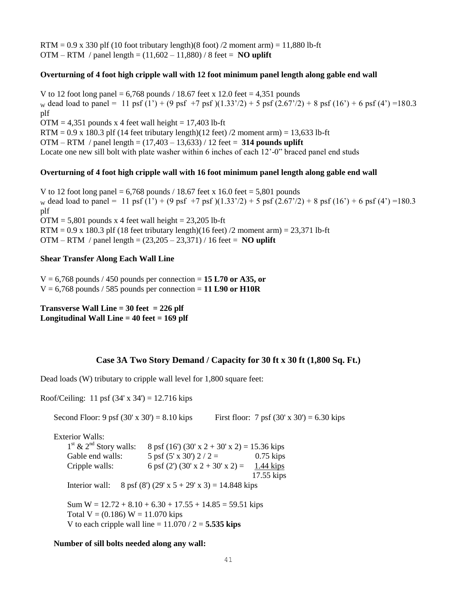$RTM = 0.9$  x 330 plf (10 foot tributary length)(8 foot) /2 moment arm) = 11,880 lb-ft OTM – RTM / panel length =  $(11,602 - 11,880)$  / 8 feet = **NO uplift** 

#### **Overturning of 4 foot high cripple wall with 12 foot minimum panel length along gable end wall**

V to 12 foot long panel =  $6,768$  pounds / 18.67 feet x 12.0 feet = 4,351 pounds w dead load to panel = 11 psf (1') + (9 psf +7 psf)(1.33'/2) + 5 psf (2.67'/2) + 8 psf (16') + 6 psf (4') =180.3 plf  $OTM = 4,351$  pounds x 4 feet wall height = 17,403 lb-ft RTM =  $0.9 \times 180.3$  plf (14 feet tributary length)(12 feet) /2 moment arm) = 13,633 lb-ft OTM – RTM / panel length = (17,403 – 13,633) / 12 feet = **314 pounds uplift** Locate one new sill bolt with plate washer within 6 inches of each 12'-0" braced panel end studs

### **Overturning of 4 foot high cripple wall with 16 foot minimum panel length along gable end wall**

V to 12 foot long panel =  $6,768$  pounds / 18.67 feet x 16.0 feet = 5,801 pounds w dead load to panel = 11 psf (1') + (9 psf +7 psf)(1.33'/2) + 5 psf (2.67'/2) + 8 psf (16') + 6 psf (4') =180.3 plf  $OTM = 5,801$  pounds x 4 feet wall height = 23,205 lb-ft RTM =  $0.9$  x 180.3 plf (18 feet tributary length)(16 feet) /2 moment arm) =  $23,371$  lb-ft OTM – RTM / panel length = (23,205 – 23,371) / 16 feet = **NO uplift**

## **Shear Transfer Along Each Wall Line**

 $V = 6,768$  pounds / 450 pounds per connection = 15 L70 or A35, or  $V = 6,768$  pounds / 585 pounds per connection = 11 L90 or H10R

**Transverse Wall Line = 30 feet = 226 plf Longitudinal Wall Line = 40 feet = 169 plf**

#### **Case 3A Two Story Demand / Capacity for 30 ft x 30 ft (1,800 Sq. Ft.)**

Dead loads (W) tributary to cripple wall level for 1,800 square feet:

Roof/Ceiling: 11 psf  $(34' \times 34') = 12.716$  kips

Second Floor: 9 psf (30' x 30') = 8.10 kips First floor: 7 psf (30' x 30') = 6.30 kips

Exterior Walls:  $1^{\text{st}}$  &  $2^{\text{nd}}$  Story walls:  $8 \text{ psf } (16') (30' \text{ x } 2 + 30' \text{ x } 2) = 15.36 \text{ kips}$ Gable end walls:  $5 \text{ psf } (5' \text{ x } 30') 2 / 2 = 0.75 \text{ kips}$ Cripple walls: 6 psf (2') (30' x 2 + 30' x 2) = 1.44 kips 17.55 kips Interior wall:  $8 \text{ psf } (8') (29' \text{ x } 5 + 29' \text{ x } 3) = 14.848 \text{ kips}$ Sum  $W = 12.72 + 8.10 + 6.30 + 17.55 + 14.85 = 59.51$  kips Total  $V = (0.186) W = 11.070$  kips V to each cripple wall line  $= 11.070 / 2 = 5.535$  kips

#### **Number of sill bolts needed along any wall:**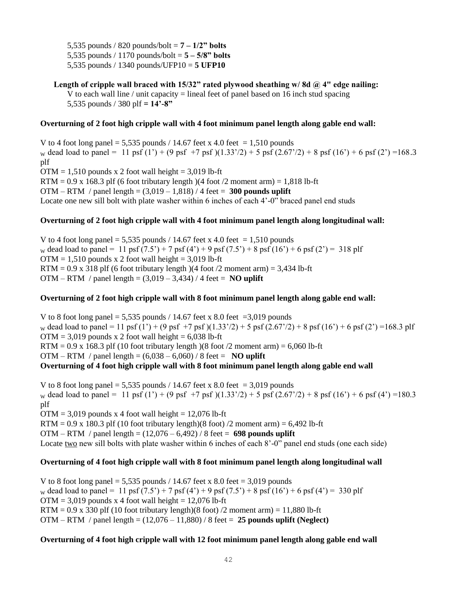5,535 pounds / 820 pounds/bolt = **7 – 1/2" bolts** 5,535 pounds / 1170 pounds/bolt = **5 – 5/8" bolts** 5,535 pounds / 1340 pounds/UFP10 = **5 UFP10**

**Length of cripple wall braced with 15/32" rated plywood sheathing w/ 8d @ 4" edge nailing:** V to each wall line / unit capacity  $=$  lineal feet of panel based on 16 inch stud spacing 5,535 pounds / 380 plf **= 14'-8"**

#### **Overturning of 2 foot high cripple wall with 4 foot minimum panel length along gable end wall:**

V to 4 foot long panel = 5,535 pounds / 14.67 feet x 4.0 feet = 1,510 pounds w dead load to panel = 11 psf (1') + (9 psf +7 psf)(1.33'/2) + 5 psf (2.67'/2) + 8 psf (16') + 6 psf (2') =168.3 plf  $OTM = 1,510$  pounds x 2 foot wall height = 3,019 lb-ft  $RTM = 0.9$  x 168.3 plf (6 foot tributary length)(4 foot /2 moment arm) = 1,818 lb-ft OTM – RTM / panel length = (3,019 – 1,818) / 4 feet = **300 pounds uplift** Locate one new sill bolt with plate washer within 6 inches of each 4'-0" braced panel end studs

#### **Overturning of 2 foot high cripple wall with 4 foot minimum panel length along longitudinal wall:**

V to 4 foot long panel = 5,535 pounds / 14.67 feet x 4.0 feet = 1,510 pounds w dead load to panel = 11 psf  $(7.5') + 7$  psf  $(4') + 9$  psf  $(7.5') + 8$  psf  $(16') + 6$  psf  $(2') = 318$  plf  $OTM = 1,510$  pounds x 2 foot wall height = 3,019 lb-ft RTM =  $0.9$  x 318 plf (6 foot tributary length)(4 foot /2 moment arm) = 3,434 lb-ft OTM – RTM / panel length =  $(3,019 - 3,434)$  / 4 feet = **NO uplift** 

#### **Overturning of 2 foot high cripple wall with 8 foot minimum panel length along gable end wall:**

V to 8 foot long panel = 5,535 pounds / 14.67 feet x 8.0 feet = 3,019 pounds w dead load to panel = 11 psf (1') + (9 psf +7 psf)(1.33'/2) + 5 psf (2.67'/2) + 8 psf (16') + 6 psf (2') =168.3 plf  $OTM = 3,019$  pounds x 2 foot wall height = 6,038 lb-ft  $RTM = 0.9$  x 168.3 plf (10 foot tributary length)(8 foot /2 moment arm) = 6,060 lb-ft OTM – RTM / panel length =  $(6,038 - 6,060)$  / 8 feet = **NO uplift Overturning of 4 foot high cripple wall with 8 foot minimum panel length along gable end wall** 

V to 8 foot long panel = 5,535 pounds / 14.67 feet x 8.0 feet = 3,019 pounds w dead load to panel = 11 psf (1') + (9 psf +7 psf)(1.33'/2) + 5 psf (2.67'/2) + 8 psf (16') + 6 psf (4') =180.3 plf  $OTM = 3,019$  pounds x 4 foot wall height = 12,076 lb-ft  $RTM = 0.9$  x 180.3 plf (10 foot tributary length)(8 foot) /2 moment arm) = 6,492 lb-ft OTM – RTM / panel length = (12,076 – 6,492) / 8 feet = **698 pounds uplift** Locate two new sill bolts with plate washer within 6 inches of each 8'-0" panel end studs (one each side)

### **Overturning of 4 foot high cripple wall with 8 foot minimum panel length along longitudinal wall**

V to 8 foot long panel =  $5,535$  pounds / 14.67 feet x 8.0 feet = 3,019 pounds w dead load to panel = 11 psf  $(7.5') + 7$  psf  $(4') + 9$  psf  $(7.5') + 8$  psf  $(16') + 6$  psf  $(4') = 330$  plf  $OTM = 3,019$  pounds x 4 foot wall height = 12,076 lb-ft  $RTM = 0.9$  x 330 plf (10 foot tributary length)(8 foot) /2 moment arm) = 11,880 lb-ft OTM – RTM / panel length = (12,076 – 11,880) / 8 feet = **25 pounds uplift (Neglect)**

#### **Overturning of 4 foot high cripple wall with 12 foot minimum panel length along gable end wall**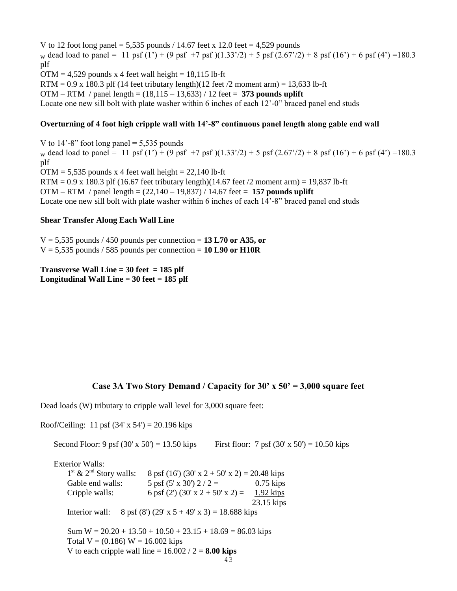V to 12 foot long panel = 5,535 pounds  $/$  14.67 feet x 12.0 feet = 4,529 pounds w dead load to panel = 11 psf (1') + (9 psf +7 psf)(1.33'/2) + 5 psf (2.67'/2) + 8 psf (16') + 6 psf (4') =180.3 plf  $OTM = 4,529$  pounds x 4 feet wall height = 18,115 lb-ft RTM =  $0.9 \times 180.3$  plf (14 feet tributary length)(12 feet /2 moment arm) = 13,633 lb-ft OTM – RTM / panel length = (18,115 – 13,633) / 12 feet = **373 pounds uplift** Locate one new sill bolt with plate washer within 6 inches of each 12'-0" braced panel end studs

### **Overturning of 4 foot high cripple wall with 14'-8" continuous panel length along gable end wall**

V to  $14'$ -8" foot long panel = 5,535 pounds w dead load to panel = 11 psf (1') + (9 psf +7 psf)(1.33'/2) + 5 psf (2.67'/2) + 8 psf (16') + 6 psf (4') =180.3 plf  $OTM = 5,535$  pounds x 4 feet wall height = 22,140 lb-ft RTM =  $0.9 \times 180.3$  plf (16.67 feet tributary length)(14.67 feet /2 moment arm) = 19,837 lb-ft OTM – RTM / panel length = (22,140 – 19,837) / 14.67 feet = **157 pounds uplift**  Locate one new sill bolt with plate washer within 6 inches of each 14'-8" braced panel end studs

#### **Shear Transfer Along Each Wall Line**

 $V = 5,535$  pounds / 450 pounds per connection = 13 L70 or A35, or  $V = 5,535$  pounds / 585 pounds per connection = 10 L90 or H10R

**Transverse Wall Line = 30 feet = 185 plf Longitudinal Wall Line = 30 feet = 185 plf**

### **Case 3A Two Story Demand / Capacity for 30' x 50' = 3,000 square feet**

Dead loads (W) tributary to cripple wall level for 3,000 square feet:

Roof/Ceiling: 11 psf  $(34' \times 54') = 20.196$  kips

43 Second Floor: 9 psf  $(30' \times 50') = 13.50$  kips First floor: 7 psf  $(30' \times 50') = 10.50$  kips Exterior Walls:  $1<sup>st</sup>$  &  $2<sup>nd</sup>$  Story walls:  $8 \text{ psf } (16') (30' \text{ x } 2 + 50' \text{ x } 2) = 20.48 \text{ kips}$ Gable end walls:  $5 \text{ psf } (5 \text{ x } 30') 2 / 2 = 0.75 \text{ kips}$ Cripple walls: 6 psf (2') (30' x 2 + 50' x 2) = 1.92 kips 23.15 kips Interior wall:  $8 \text{ psf } (8') (29' \text{ x } 5 + 49' \text{ x } 3) = 18.688 \text{ kips}$ Sum  $W = 20.20 + 13.50 + 10.50 + 23.15 + 18.69 = 86.03$  kips Total  $V = (0.186) W = 16.002$  kips V to each cripple wall line  $= 16.002 / 2 = 8.00$  kips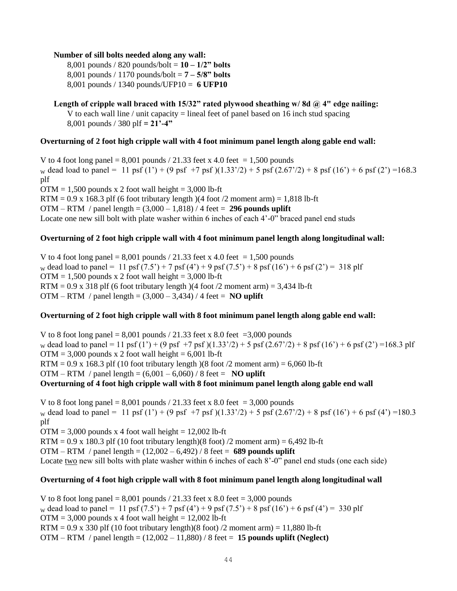#### **Number of sill bolts needed along any wall:**

8,001 pounds / 820 pounds/bolt = **10 – 1/2" bolts** 8,001 pounds / 1170 pounds/bolt = **7 – 5/8" bolts** 8,001 pounds / 1340 pounds/UFP10 = **6 UFP10**

## **Length of cripple wall braced with 15/32" rated plywood sheathing w/ 8d @ 4" edge nailing:**

V to each wall line / unit capacity  $=$  lineal feet of panel based on 16 inch stud spacing 8,001 pounds / 380 plf **= 21'-4"**

#### **Overturning of 2 foot high cripple wall with 4 foot minimum panel length along gable end wall:**

V to 4 foot long panel =  $8,001$  pounds / 21.33 feet x 4.0 feet = 1,500 pounds w dead load to panel = 11 psf (1') + (9 psf +7 psf)(1.33'/2) + 5 psf (2.67'/2) + 8 psf (16') + 6 psf (2') =168.3 plf  $OTM = 1,500$  pounds x 2 foot wall height = 3,000 lb-ft RTM =  $0.9 \times 168.3$  plf (6 foot tributary length)(4 foot /2 moment arm) = 1,818 lb-ft OTM – RTM / panel length = (3,000 – 1,818) / 4 feet = **296 pounds uplift** Locate one new sill bolt with plate washer within 6 inches of each 4'-0" braced panel end studs

### **Overturning of 2 foot high cripple wall with 4 foot minimum panel length along longitudinal wall:**

V to 4 foot long panel =  $8,001$  pounds / 21.33 feet x 4.0 feet = 1,500 pounds w dead load to panel = 11 psf  $(7.5') + 7$  psf  $(4') + 9$  psf  $(7.5') + 8$  psf  $(16') + 6$  psf  $(2') = 318$  plf  $OTM = 1,500$  pounds x 2 foot wall height = 3,000 lb-ft  $RTM = 0.9$  x 318 plf (6 foot tributary length)(4 foot /2 moment arm) = 3,434 lb-ft OTM – RTM / panel length =  $(3,000 - 3,434)$  / 4 feet = **NO uplift** 

### **Overturning of 2 foot high cripple wall with 8 foot minimum panel length along gable end wall:**

V to 8 foot long panel =  $8,001$  pounds / 21.33 feet x 8.0 feet = 3,000 pounds w dead load to panel = 11 psf (1') + (9 psf +7 psf)(1.33'/2) + 5 psf (2.67'/2) + 8 psf (16') + 6 psf (2') =168.3 plf  $OTM = 3,000$  pounds x 2 foot wall height = 6,001 lb-ft  $RTM = 0.9$  x 168.3 plf (10 foot tributary length) (8 foot /2 moment arm) = 6,060 lb-ft OTM – RTM / panel length =  $(6,001 - 6,060)$  / 8 feet = **NO uplift Overturning of 4 foot high cripple wall with 8 foot minimum panel length along gable end wall** 

V to 8 foot long panel =  $8,001$  pounds / 21.33 feet x 8.0 feet = 3,000 pounds w dead load to panel = 11 psf (1') + (9 psf +7 psf)(1.33'/2) + 5 psf (2.67'/2) + 8 psf (16') + 6 psf (4') =180.3 plf  $OTM = 3,000$  pounds x 4 foot wall height = 12,002 lb-ft  $RTM = 0.9$  x 180.3 plf (10 foot tributary length)(8 foot) /2 moment arm) = 6,492 lb-ft OTM – RTM / panel length = (12,002 – 6,492) / 8 feet = **689 pounds uplift** Locate two new sill bolts with plate washer within 6 inches of each 8'-0" panel end studs (one each side)

### **Overturning of 4 foot high cripple wall with 8 foot minimum panel length along longitudinal wall**

V to 8 foot long panel =  $8,001$  pounds  $/ 21.33$  feet x  $8.0$  feet =  $3,000$  pounds w dead load to panel = 11 psf  $(7.5') + 7$  psf  $(4') + 9$  psf  $(7.5') + 8$  psf  $(16') + 6$  psf  $(4') = 330$  plf  $OTM = 3,000$  pounds x 4 foot wall height = 12,002 lb-ft  $RTM = 0.9$  x 330 plf (10 foot tributary length)(8 foot) /2 moment arm) = 11,880 lb-ft OTM – RTM / panel length = (12,002 – 11,880) / 8 feet = **15 pounds uplift (Neglect)**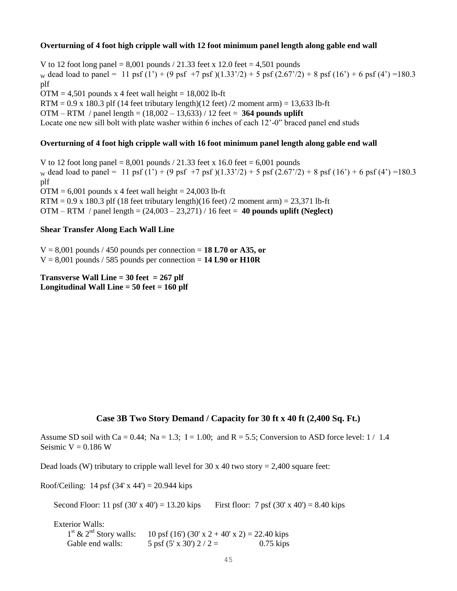### **Overturning of 4 foot high cripple wall with 12 foot minimum panel length along gable end wall**

V to 12 foot long panel =  $8,001$  pounds  $/ 21.33$  feet x 12.0 feet = 4,501 pounds w dead load to panel = 11 psf (1') + (9 psf +7 psf)(1.33'/2) + 5 psf (2.67'/2) + 8 psf (16') + 6 psf (4') =180.3 plf  $OTM = 4,501$  pounds x 4 feet wall height = 18,002 lb-ft  $RTM = 0.9$  x 180.3 plf (14 feet tributary length)(12 feet) /2 moment arm) = 13,633 lb-ft OTM – RTM / panel length = (18,002 – 13,633) / 12 feet = **364 pounds uplift** Locate one new sill bolt with plate washer within 6 inches of each 12'-0" braced panel end studs

## **Overturning of 4 foot high cripple wall with 16 foot minimum panel length along gable end wall**

V to 12 foot long panel = 8,001 pounds  $/ 21.33$  feet x 16.0 feet = 6,001 pounds w dead load to panel = 11 psf (1') + (9 psf +7 psf)(1.33'/2) + 5 psf (2.67'/2) + 8 psf (16') + 6 psf (4') =180.3 plf  $OTM = 6,001$  pounds x 4 feet wall height = 24,003 lb-ft RTM =  $0.9$  x 180.3 plf (18 feet tributary length)(16 feet) /2 moment arm) =  $23,371$  lb-ft OTM – RTM / panel length = (24,003 – 23,271) / 16 feet = **40 pounds uplift (Neglect)**

## **Shear Transfer Along Each Wall Line**

 $V = 8,001$  pounds / 450 pounds per connection = 18 L70 or A35, or  $V = 8,001$  pounds / 585 pounds per connection = **14 L90 or H10R** 

**Transverse Wall Line = 30 feet = 267 plf Longitudinal Wall Line = 50 feet = 160 plf**

# **Case 3B Two Story Demand / Capacity for 30 ft x 40 ft (2,400 Sq. Ft.)**

Assume SD soil with Ca = 0.44; Na = 1.3; I = 1.00; and R = 5.5; Conversion to ASD force level:  $1/1.4$ Seismic  $V = 0.186$  W

Dead loads (W) tributary to cripple wall level for  $30 \times 40$  two story = 2,400 square feet:

Roof/Ceiling: 14 psf  $(34' \times 44') = 20.944$  kips

Second Floor: 11 psf  $(30' \times 40') = 13.20$  kips First floor: 7 psf  $(30' \times 40') = 8.40$  kips

Exterior Walls:  $1<sup>st</sup>$  &  $2<sup>nd</sup>$  Story walls:  $10 \text{ psf } (16') (30' \text{ x } 2 + 40' \text{ x } 2) = 22.40 \text{ kips}$ Gable end walls:  $5 \text{ psf } (5 \text{ x } 30') 2 / 2 = 0.75 \text{ kips}$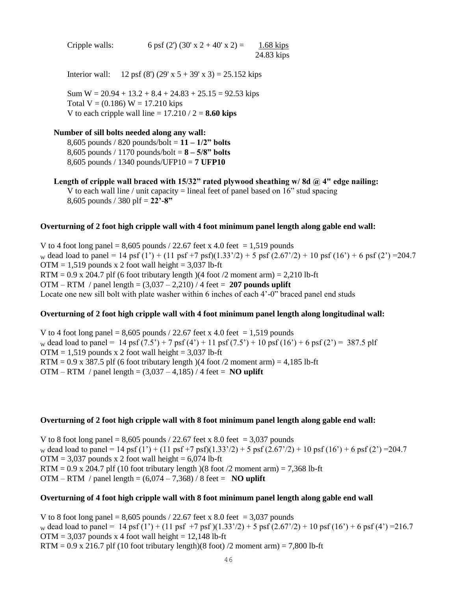| Cripple walls: | 6 psf (2') (30' x 2 + 40' x 2) = | $1.68$ kips |
|----------------|----------------------------------|-------------|
|                |                                  | 24.83 kips  |

Interior wall: 12 psf (8') (29' x  $5 + 39'$  x 3) = 25.152 kips

Sum  $W = 20.94 + 13.2 + 8.4 + 24.83 + 25.15 = 92.53$  kips Total  $V = (0.186) W = 17.210$  kips V to each cripple wall line  $= 17.210 / 2 = 8.60$  kips

#### **Number of sill bolts needed along any wall:**

8,605 pounds / 820 pounds/bolt = **11 – 1/2" bolts** 8,605 pounds / 1170 pounds/bolt = **8 – 5/8" bolts** 8,605 pounds / 1340 pounds/UFP10 = **7 UFP10**

Length of cripple wall braced with 15/32" rated plywood sheathing w/8d @ 4" edge nailing: V to each wall line / unit capacity = lineal feet of panel based on  $16$ " stud spacing 8,605 pounds / 380 plf = **22'-8"**

#### **Overturning of 2 foot high cripple wall with 4 foot minimum panel length along gable end wall:**

V to 4 foot long panel =  $8,605$  pounds / 22.67 feet x 4.0 feet = 1,519 pounds w dead load to panel = 14 psf (1') + (11 psf +7 psf)(1.33'/2) + 5 psf (2.67'/2) + 10 psf (16') + 6 psf (2') = 204.7  $OTM = 1,519$  pounds x 2 foot wall height = 3,037 lb-ft  $RTM = 0.9$  x 204.7 plf (6 foot tributary length) (4 foot /2 moment arm) = 2,210 lb-ft OTM – RTM / panel length = (3,037 – 2,210) / 4 feet = **207 pounds uplift** Locate one new sill bolt with plate washer within 6 inches of each 4'-0" braced panel end studs

## **Overturning of 2 foot high cripple wall with 4 foot minimum panel length along longitudinal wall:**

V to 4 foot long panel =  $8,605$  pounds / 22.67 feet x 4.0 feet = 1,519 pounds w dead load to panel = 14 psf  $(7.5') + 7$  psf  $(4') + 11$  psf  $(7.5') + 10$  psf  $(16') + 6$  psf  $(2') = 387.5$  plf  $OTM = 1,519$  pounds x 2 foot wall height = 3,037 lb-ft RTM =  $0.9$  x 387.5 plf (6 foot tributary length)(4 foot /2 moment arm) =  $4.185$  lb-ft OTM – RTM / panel length =  $(3,037 - 4,185)$  / 4 feet = **NO uplift** 

#### **Overturning of 2 foot high cripple wall with 8 foot minimum panel length along gable end wall:**

V to 8 foot long panel =  $8,605$  pounds / 22.67 feet x 8.0 feet = 3,037 pounds w dead load to panel = 14 psf (1') + (11 psf +7 psf)(1.33'/2) + 5 psf (2.67'/2) + 10 psf (16') + 6 psf (2') = 204.7  $OTM = 3,037$  pounds x 2 foot wall height = 6,074 lb-ft RTM =  $0.9 \times 204.7$  plf (10 foot tributary length) (8 foot /2 moment arm) = 7,368 lb-ft OTM – RTM / panel length =  $(6,074 - 7,368)$  / 8 feet = **NO uplift** 

#### **Overturning of 4 foot high cripple wall with 8 foot minimum panel length along gable end wall**

V to 8 foot long panel =  $8,605$  pounds / 22.67 feet x 8.0 feet = 3,037 pounds w dead load to panel = 14 psf (1') + (11 psf +7 psf)(1.33'/2) + 5 psf (2.67'/2) + 10 psf (16') + 6 psf (4') = 216.7  $OTM = 3,037$  pounds x 4 foot wall height = 12,148 lb-ft RTM =  $0.9$  x 216.7 plf (10 foot tributary length)(8 foot) /2 moment arm) = 7,800 lb-ft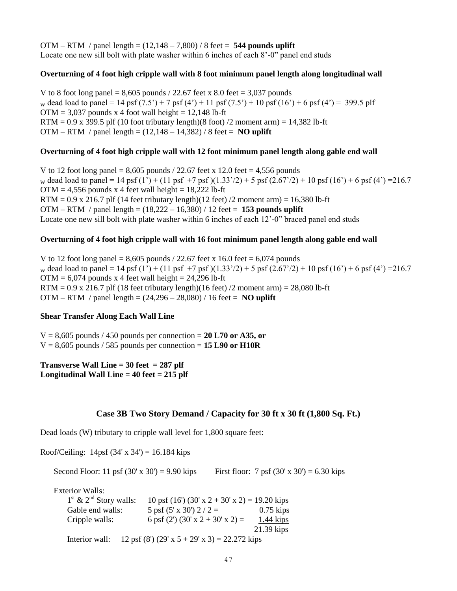OTM – RTM / panel length = (12,148 – 7,800) / 8 feet = **544 pounds uplift** Locate one new sill bolt with plate washer within 6 inches of each 8'-0" panel end studs

### **Overturning of 4 foot high cripple wall with 8 foot minimum panel length along longitudinal wall**

V to 8 foot long panel =  $8,605$  pounds / 22.67 feet x 8.0 feet =  $3,037$  pounds w dead load to panel = 14 psf  $(7.5') + 7$  psf  $(4') + 11$  psf  $(7.5') + 10$  psf  $(16') + 6$  psf  $(4') = 399.5$  plf  $OTM = 3.037$  pounds x 4 foot wall height = 12,148 lb-ft RTM =  $0.9$  x 399.5 plf (10 foot tributary length)(8 foot) /2 moment arm) = 14,382 lb-ft OTM – RTM / panel length =  $(12,148 - 14,382)$  / 8 feet = **NO uplift** 

#### **Overturning of 4 foot high cripple wall with 12 foot minimum panel length along gable end wall**

V to 12 foot long panel =  $8,605$  pounds  $/ 22.67$  feet x 12.0 feet = 4,556 pounds w dead load to panel = 14 psf (1') + (11 psf +7 psf)(1.33'/2) + 5 psf (2.67'/2) + 10 psf (16') + 6 psf (4') = 216.7  $OTM = 4,556$  pounds x 4 feet wall height = 18,222 lb-ft RTM =  $0.9 \times 216.7$  plf (14 feet tributary length)(12 feet) /2 moment arm) = 16,380 lb-ft OTM – RTM / panel length = (18,222 – 16,380) / 12 feet = **153 pounds uplift** Locate one new sill bolt with plate washer within 6 inches of each 12'-0" braced panel end studs

#### **Overturning of 4 foot high cripple wall with 16 foot minimum panel length along gable end wall**

V to 12 foot long panel =  $8,605$  pounds / 22.67 feet x 16.0 feet =  $6,074$  pounds w dead load to panel = 14 psf (1') + (11 psf +7 psf)(1.33'/2) + 5 psf (2.67'/2) + 10 psf (16') + 6 psf (4') = 216.7  $OTM = 6,074$  pounds x 4 feet wall height = 24,296 lb-ft  $RTM = 0.9$  x 216.7 plf (18 feet tributary length)(16 feet) /2 moment arm) = 28,080 lb-ft OTM – RTM / panel length = (24,296 – 28,080) / 16 feet = **NO uplift**

#### **Shear Transfer Along Each Wall Line**

 $V = 8,605$  pounds / 450 pounds per connection = 20 L70 or A35, or  $V = 8,605$  pounds / 585 pounds per connection = **15 L90 or H10R** 

**Transverse Wall Line = 30 feet = 287 plf Longitudinal Wall Line = 40 feet = 215 plf**

### **Case 3B Two Story Demand / Capacity for 30 ft x 30 ft (1,800 Sq. Ft.)**

Dead loads (W) tributary to cripple wall level for 1,800 square feet:

Roof/Ceiling:  $14psf (34' x 34') = 16.184$  kips

Second Floor: 11 psf  $(30' \times 30') = 9.90$  kips First floor: 7 psf  $(30' \times 30') = 6.30$  kips

Exterior Walls:

| $1st$ & $2nd$ Story walls: | 10 psf (16') (30' x 2 + 30' x 2) = 19.20 kips |              |
|----------------------------|-----------------------------------------------|--------------|
| Gable end walls:           | 5 psf $(5' \times 30')$ 2 / 2 =               | $0.75$ kips  |
| Cripple walls:             | 6 psf (2') (30' x 2 + 30' x 2) =              | $1.44$ kips  |
|                            |                                               | $21.39$ kips |
| Interior wall:             | 12 psf (8') (29' x 5 + 29' x 3) = 22.272 kips |              |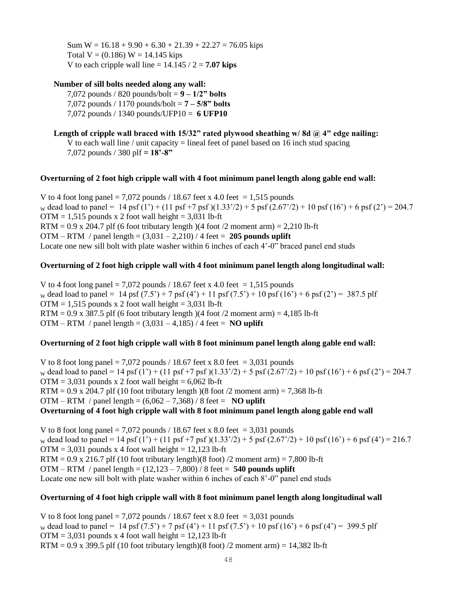Sum  $W = 16.18 + 9.90 + 6.30 + 21.39 + 22.27 = 76.05$  kips Total  $V = (0.186) W = 14.145$  kips V to each cripple wall line  $= 14.145 / 2 = 7.07$  kips

#### **Number of sill bolts needed along any wall:**

7,072 pounds / 820 pounds/bolt = **9 – 1/2" bolts** 7,072 pounds / 1170 pounds/bolt = **7 – 5/8" bolts** 7,072 pounds / 1340 pounds/UFP10 = **6 UFP10**

**Length of cripple wall braced with 15/32" rated plywood sheathing w/ 8d @ 4" edge nailing:** V to each wall line / unit capacity  $=$  lineal feet of panel based on 16 inch stud spacing 7,072 pounds / 380 plf **= 18'-8"**

#### **Overturning of 2 foot high cripple wall with 4 foot minimum panel length along gable end wall:**

V to 4 foot long panel = 7,072 pounds / 18.67 feet x 4.0 feet = 1,515 pounds w dead load to panel = 14 psf (1') + (11 psf +7 psf)(1.33'/2) + 5 psf (2.67'/2) + 10 psf (16') + 6 psf (2') = 204.7  $OTM = 1,515$  pounds x 2 foot wall height = 3,031 lb-ft  $RTM = 0.9$  x 204.7 plf (6 foot tributary length) (4 foot /2 moment arm) = 2,210 lb-ft OTM – RTM / panel length = (3,031 – 2,210) / 4 feet = **205 pounds uplift** Locate one new sill bolt with plate washer within 6 inches of each 4'-0" braced panel end studs

### **Overturning of 2 foot high cripple wall with 4 foot minimum panel length along longitudinal wall:**

V to 4 foot long panel = 7,072 pounds / 18.67 feet x 4.0 feet = 1,515 pounds w dead load to panel = 14 psf  $(7.5') + 7$  psf  $(4') + 11$  psf  $(7.5') + 10$  psf  $(16') + 6$  psf  $(2') = 387.5$  plf  $OTM = 1,515$  pounds x 2 foot wall height = 3,031 lb-ft RTM =  $0.9$  x 387.5 plf (6 foot tributary length)(4 foot /2 moment arm) =  $4,185$  lb-ft OTM – RTM / panel length =  $(3,031 - 4,185)$  / 4 feet = **NO uplift** 

### **Overturning of 2 foot high cripple wall with 8 foot minimum panel length along gable end wall:**

V to 8 foot long panel = 7,072 pounds / 18.67 feet x 8.0 feet = 3,031 pounds w dead load to panel = 14 psf (1') + (11 psf +7 psf)(1.33'/2) + 5 psf (2.67'/2) + 10 psf (16') + 6 psf (2') = 204.7  $OTM = 3,031$  pounds x 2 foot wall height = 6,062 lb-ft RTM =  $0.9 \times 204.7$  plf (10 foot tributary length) (8 foot /2 moment arm) = 7,368 lb-ft OTM – RTM / panel length =  $(6,062 - 7,368)$  / 8 feet = **NO uplift Overturning of 4 foot high cripple wall with 8 foot minimum panel length along gable end wall** 

V to 8 foot long panel = 7,072 pounds / 18.67 feet x 8.0 feet = 3,031 pounds w dead load to panel = 14 psf (1') + (11 psf +7 psf)(1.33'/2) + 5 psf (2.67'/2) + 10 psf (16') + 6 psf (4') = 216.7  $OTM = 3,031$  pounds x 4 foot wall height = 12,123 lb-ft RTM =  $0.9 \times 216.7$  plf (10 foot tributary length)(8 foot) /2 moment arm) = 7,800 lb-ft OTM – RTM / panel length = (12,123 – 7,800) / 8 feet = **540 pounds uplift** Locate one new sill bolt with plate washer within 6 inches of each 8'-0" panel end studs

### **Overturning of 4 foot high cripple wall with 8 foot minimum panel length along longitudinal wall**

V to 8 foot long panel = 7,072 pounds / 18.67 feet x 8.0 feet = 3,031 pounds w dead load to panel = 14 psf  $(7.5') + 7$  psf  $(4') + 11$  psf  $(7.5') + 10$  psf  $(16') + 6$  psf  $(4') = 399.5$  plf  $OTM = 3,031$  pounds x 4 foot wall height = 12,123 lb-ft RTM =  $0.9$  x 399.5 plf (10 foot tributary length)(8 foot) /2 moment arm) = 14,382 lb-ft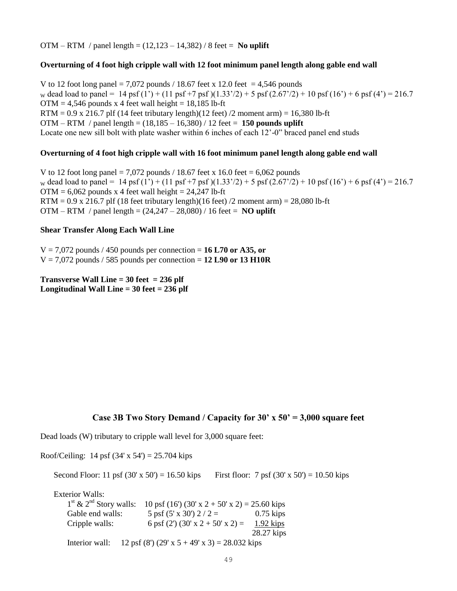OTM – RTM / panel length = (12,123 – 14,382) / 8 feet = **No uplift**

#### **Overturning of 4 foot high cripple wall with 12 foot minimum panel length along gable end wall**

V to 12 foot long panel = 7,072 pounds / 18.67 feet x 12.0 feet = 4,546 pounds w dead load to panel = 14 psf (1') + (11 psf +7 psf)(1.33'/2) + 5 psf (2.67'/2) + 10 psf (16') + 6 psf (4') = 216.7  $OTM = 4.546$  pounds x 4 feet wall height = 18.185 lb-ft RTM =  $0.9$  x 216.7 plf (14 feet tributary length)(12 feet) /2 moment arm) = 16,380 lb-ft OTM – RTM / panel length = (18,185 – 16,380) / 12 feet = **150 pounds uplift** Locate one new sill bolt with plate washer within 6 inches of each 12'-0" braced panel end studs

#### **Overturning of 4 foot high cripple wall with 16 foot minimum panel length along gable end wall**

V to 12 foot long panel = 7,072 pounds  $/$  18.67 feet x 16.0 feet = 6,062 pounds w dead load to panel = 14 psf (1') + (11 psf +7 psf)(1.33'/2) + 5 psf (2.67'/2) + 10 psf (16') + 6 psf (4') = 216.7  $OTM = 6,062$  pounds x 4 feet wall height = 24,247 lb-ft RTM =  $0.9$  x 216.7 plf (18 feet tributary length)(16 feet) /2 moment arm) = 28,080 lb-ft OTM – RTM / panel length = (24,247 – 28,080) / 16 feet = **NO uplift**

#### **Shear Transfer Along Each Wall Line**

 $V = 7,072$  pounds / 450 pounds per connection = 16 L70 or A35, or  $V = 7.072$  pounds / 585 pounds per connection = 12 L90 or 13 H10R

**Transverse Wall Line = 30 feet = 236 plf Longitudinal Wall Line = 30 feet = 236 plf**

### **Case 3B Two Story Demand / Capacity for 30' x 50' = 3,000 square feet**

Dead loads (W) tributary to cripple wall level for 3,000 square feet:

Roof/Ceiling: 14 psf  $(34' \times 54') = 25.704$  kips

Second Floor: 11 psf  $(30' \times 50') = 16.50$  kips First floor: 7 psf  $(30' \times 50') = 10.50$  kips Exterior Walls:  $1<sup>st</sup>$  & 2 10 psf (16') (30' x 2 + 50' x 2) = 25.60 kips Gable end walls:  $5 \text{ psf } (5 \text{ x } 30') 2 / 2 = 0.75 \text{ kips}$ Cripple walls: 6 psf (2') (30' x 2 + 50' x 2) = 1.92 kips 28.27 kips Interior wall: 12 psf (8') (29' x  $5 + 49'$  x 3) = 28.032 kips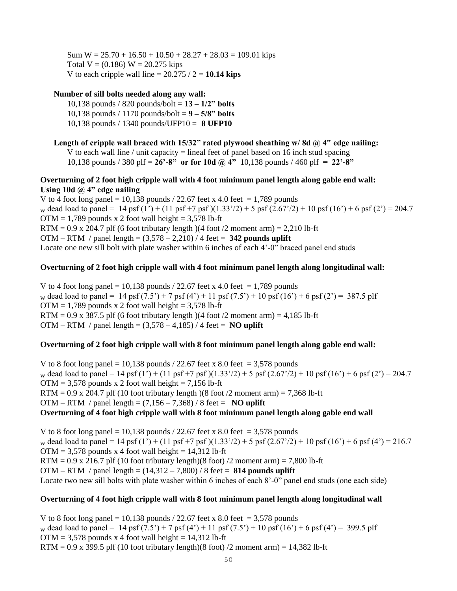Sum  $W = 25.70 + 16.50 + 10.50 + 28.27 + 28.03 = 109.01$  kips Total  $V = (0.186) W = 20.275$  kips V to each cripple wall line  $= 20.275 / 2 = 10.14$  kips

## **Number of sill bolts needed along any wall:**

10,138 pounds / 820 pounds/bolt = **13 – 1/2" bolts** 10,138 pounds / 1170 pounds/bolt = **9 – 5/8" bolts** 10,138 pounds / 1340 pounds/UFP10 = **8 UFP10**

### **Length of cripple wall braced with 15/32" rated plywood sheathing w/ 8d @ 4" edge nailing:**

V to each wall line / unit capacity  $=$  lineal feet of panel based on 16 inch stud spacing 10,138 pounds / 380 plf **= 26'-8" or for 10d @ 4"** 10,138 pounds / 460 plf **= 22'-8"**

## **Overturning of 2 foot high cripple wall with 4 foot minimum panel length along gable end wall: Using 10d @ 4" edge nailing**

V to 4 foot long panel = 10,138 pounds  $/$  22.67 feet x 4.0 feet = 1,789 pounds w dead load to panel = 14 psf (1') + (11 psf +7 psf)(1.33'/2) + 5 psf (2.67'/2) + 10 psf (16') + 6 psf (2') = 204.7  $OTM = 1,789$  pounds x 2 foot wall height = 3,578 lb-ft RTM =  $0.9$  x 204.7 plf (6 foot tributary length) (4 foot /2 moment arm) = 2,210 lb-ft OTM – RTM / panel length = (3,578 – 2,210) / 4 feet = **342 pounds uplift** Locate one new sill bolt with plate washer within 6 inches of each 4'-0" braced panel end studs

## **Overturning of 2 foot high cripple wall with 4 foot minimum panel length along longitudinal wall:**

V to 4 foot long panel = 10,138 pounds  $/$  22.67 feet x 4.0 feet = 1,789 pounds w dead load to panel = 14 psf  $(7.5') + 7$  psf  $(4') + 11$  psf  $(7.5') + 10$  psf  $(16') + 6$  psf  $(2') = 387.5$  plf  $OTM = 1,789$  pounds x 2 foot wall height = 3,578 lb-ft RTM =  $0.9$  x 387.5 plf (6 foot tributary length)(4 foot /2 moment arm) =  $4,185$  lb-ft OTM – RTM / panel length =  $(3.578 - 4.185)$  / 4 feet = **NO uplift** 

### **Overturning of 2 foot high cripple wall with 8 foot minimum panel length along gable end wall:**

V to 8 foot long panel = 10,138 pounds  $/$  22.67 feet x 8.0 feet = 3,578 pounds w dead load to panel = 14 psf (1') + (11 psf +7 psf)(1.33'/2) + 5 psf (2.67'/2) + 10 psf (16') + 6 psf (2') = 204.7  $OTM = 3,578$  pounds x 2 foot wall height = 7,156 lb-ft RTM =  $0.9$  x 204.7 plf (10 foot tributary length)(8 foot /2 moment arm) = 7,368 lb-ft OTM – RTM / panel length =  $(7,156 - 7,368)$  / 8 feet = **NO uplift Overturning of 4 foot high cripple wall with 8 foot minimum panel length along gable end wall** 

V to 8 foot long panel = 10,138 pounds / 22.67 feet x 8.0 feet = 3,578 pounds w dead load to panel = 14 psf (1') + (11 psf +7 psf)(1.33'/2) + 5 psf (2.67'/2) + 10 psf (16') + 6 psf (4') = 216.7  $OTM = 3,578$  pounds x 4 foot wall height = 14,312 lb-ft  $RTM = 0.9$  x 216.7 plf (10 foot tributary length)(8 foot) /2 moment arm) = 7,800 lb-ft OTM – RTM / panel length = (14,312 – 7,800) / 8 feet = **814 pounds uplift** Locate two new sill bolts with plate washer within 6 inches of each 8'-0" panel end studs (one each side)

### **Overturning of 4 foot high cripple wall with 8 foot minimum panel length along longitudinal wall**

V to 8 foot long panel = 10,138 pounds / 22.67 feet x 8.0 feet = 3,578 pounds w dead load to panel = 14 psf  $(7.5') + 7$  psf  $(4') + 11$  psf  $(7.5') + 10$  psf  $(16') + 6$  psf  $(4') = 399.5$  plf  $OTM = 3,578$  pounds x 4 foot wall height = 14,312 lb-ft RTM =  $0.9$  x 399.5 plf (10 foot tributary length)(8 foot) /2 moment arm) = 14,382 lb-ft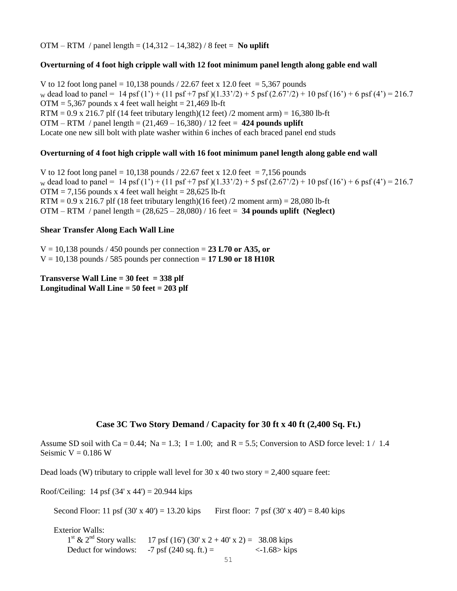OTM – RTM / panel length =  $(14,312 – 14,382)$  / 8 feet = **No uplift** 

#### **Overturning of 4 foot high cripple wall with 12 foot minimum panel length along gable end wall**

V to 12 foot long panel = 10,138 pounds  $/$  22.67 feet x 12.0 feet = 5,367 pounds w dead load to panel = 14 psf (1') + (11 psf +7 psf)(1.33'/2) + 5 psf (2.67'/2) + 10 psf (16') + 6 psf (4') = 216.7  $OTM = 5,367$  pounds x 4 feet wall height = 21,469 lb-ft RTM =  $0.9$  x 216.7 plf (14 feet tributary length)(12 feet) /2 moment arm) = 16,380 lb-ft OTM – RTM / panel length = (21,469 – 16,380) / 12 feet = **424 pounds uplift** Locate one new sill bolt with plate washer within 6 inches of each braced panel end studs

#### **Overturning of 4 foot high cripple wall with 16 foot minimum panel length along gable end wall**

V to 12 foot long panel = 10,138 pounds  $/$  22.67 feet x 12.0 feet = 7,156 pounds w dead load to panel = 14 psf (1') + (11 psf +7 psf)(1.33'/2) + 5 psf (2.67'/2) + 10 psf (16') + 6 psf (4') = 216.7  $OTM = 7,156$  pounds x 4 feet wall height = 28,625 lb-ft RTM =  $0.9 \times 216.7$  plf (18 feet tributary length)(16 feet) /2 moment arm) = 28,080 lb-ft OTM – RTM / panel length = (28,625 – 28,080) / 16 feet = **34 pounds uplift (Neglect)**

### **Shear Transfer Along Each Wall Line**

 $V = 10,138$  pounds / 450 pounds per connection = 23 L70 or A35, or  $V = 10,138$  pounds / 585 pounds per connection = 17 L90 or 18 H10R

**Transverse Wall Line = 30 feet = 338 plf Longitudinal Wall Line = 50 feet = 203 plf**

## **Case 3C Two Story Demand / Capacity for 30 ft x 40 ft (2,400 Sq. Ft.)**

Assume SD soil with Ca = 0.44; Na = 1.3; I = 1.00; and R = 5.5; Conversion to ASD force level:  $1/1.4$ Seismic  $V = 0.186$  W

Dead loads (W) tributary to cripple wall level for  $30 \times 40$  two story = 2,400 square feet:

Roof/Ceiling: 14 psf  $(34' \times 44') = 20.944$  kips

Second Floor: 11 psf  $(30' \times 40') = 13.20$  kips First floor: 7 psf  $(30' \times 40') = 8.40$  kips

Exterior Walls:  $1<sup>st</sup>$  &  $2<sup>nd</sup>$  Story walls:  $17 \text{ psf} (16') (30' \text{ x } 2 + 40' \text{ x } 2) = 38.08 \text{ kips}$ Deduct for windows:  $-7$  psf (240 sq. ft.) =  $\langle -1.68 \rangle$  kips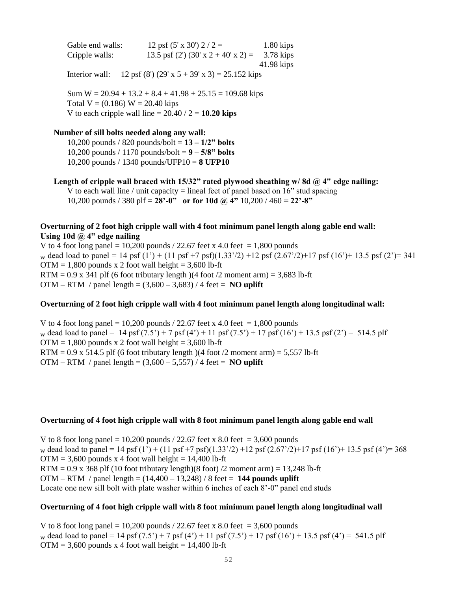Gable end walls:  $12 \text{ psf } (5 \text{ x } 30') 2 / 2 = 1.80 \text{ kips}$ Cripple walls: 13.5 psf (2') (30' x 2 + 40' x 2) =  $\frac{3.78 \text{ kips}}{2.5 \text{ m/s}}$ 41.98 kips

Interior wall: 12 psf (8') (29' x  $5 + 39'$  x 3) = 25.152 kips

Sum  $W = 20.94 + 13.2 + 8.4 + 41.98 + 25.15 = 109.68$  kips Total  $V = (0.186) W = 20.40$  kips V to each cripple wall line  $= 20.40 / 2 = 10.20$  kips

#### **Number of sill bolts needed along any wall:**

10,200 pounds / 820 pounds/bolt = **13 – 1/2" bolts** 10,200 pounds / 1170 pounds/bolt = **9 – 5/8" bolts** 10,200 pounds / 1340 pounds/UFP10 = **8 UFP10**

Length of cripple wall braced with 15/32" rated plywood sheathing w/8d @ 4" edge nailing: V to each wall line / unit capacity = lineal feet of panel based on  $16$ " stud spacing 10,200 pounds / 380 plf = **28'-0" or for 10d @ 4"** 10,200 / 460 **= 22'-8"**

## **Overturning of 2 foot high cripple wall with 4 foot minimum panel length along gable end wall: Using 10d @ 4" edge nailing**

V to 4 foot long panel = 10,200 pounds  $/$  22.67 feet x 4.0 feet = 1,800 pounds w dead load to panel = 14 psf (1') + (11 psf +7 psf)(1.33'/2) +12 psf (2.67'/2)+17 psf (16')+ 13.5 psf (2')= 341  $OTM = 1,800$  pounds x 2 foot wall height = 3,600 lb-ft RTM =  $0.9$  x 341 plf (6 foot tributary length)(4 foot /2 moment arm) = 3,683 lb-ft OTM – RTM / panel length =  $(3,600 - 3,683)$  / 4 feet = **NO uplift** 

## **Overturning of 2 foot high cripple wall with 4 foot minimum panel length along longitudinal wall:**

V to 4 foot long panel = 10,200 pounds / 22.67 feet x 4.0 feet = 1,800 pounds w dead load to panel = 14 psf  $(7.5') + 7$  psf  $(4') + 11$  psf  $(7.5') + 17$  psf  $(16') + 13.5$  psf  $(2') = 514.5$  plf  $OTM = 1,800$  pounds x 2 foot wall height = 3,600 lb-ft  $RTM = 0.9$  x 514.5 plf (6 foot tributary length)(4 foot /2 moment arm) = 5,557 lb-ft OTM – RTM / panel length =  $(3.600 - 5.557)$  / 4 feet = **NO uplift** 

### **Overturning of 4 foot high cripple wall with 8 foot minimum panel length along gable end wall**

V to 8 foot long panel = 10,200 pounds  $/$  22.67 feet x 8.0 feet = 3,600 pounds w dead load to panel = 14 psf (1') + (11 psf +7 psf)(1.33'/2) +12 psf (2.67'/2)+17 psf (16')+ 13.5 psf (4')= 368  $OTM = 3,600$  pounds x 4 foot wall height = 14,400 lb-ft  $RTM = 0.9$  x 368 plf (10 foot tributary length)(8 foot) /2 moment arm) = 13,248 lb-ft OTM – RTM / panel length = (14,400 – 13,248) / 8 feet = **144 pounds uplift** Locate one new sill bolt with plate washer within 6 inches of each 8'-0" panel end studs

### **Overturning of 4 foot high cripple wall with 8 foot minimum panel length along longitudinal wall**

V to 8 foot long panel = 10,200 pounds  $/$  22.67 feet x 8.0 feet = 3,600 pounds w dead load to panel = 14 psf (7.5') + 7 psf (4') + 11 psf (7.5') + 17 psf (16') + 13.5 psf (4') = 541.5 plf  $OTM = 3,600$  pounds x 4 foot wall height = 14,400 lb-ft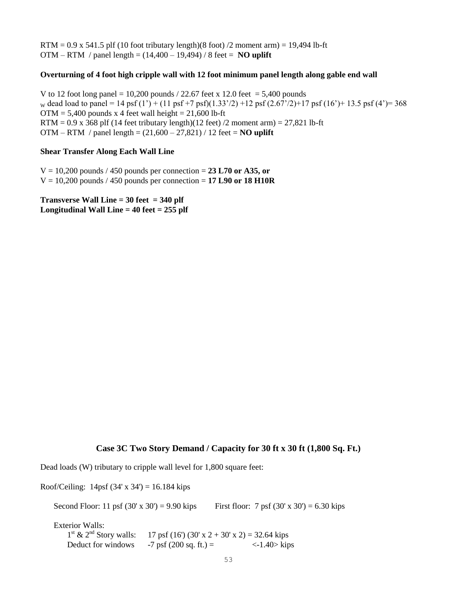$RTM = 0.9$  x 541.5 plf (10 foot tributary length)(8 foot) /2 moment arm) = 19,494 lb-ft OTM – RTM / panel length = (14,400 – 19,494) / 8 feet = **NO uplift**

### **Overturning of 4 foot high cripple wall with 12 foot minimum panel length along gable end wall**

V to 12 foot long panel = 10,200 pounds  $/$  22.67 feet x 12.0 feet = 5,400 pounds w dead load to panel = 14 psf (1') + (11 psf +7 psf)(1.33'/2) +12 psf (2.67'/2)+17 psf (16')+ 13.5 psf (4')= 368  $OTM = 5,400$  pounds x 4 feet wall height = 21,600 lb-ft RTM =  $0.9$  x 368 plf (14 feet tributary length)(12 feet) /2 moment arm) =  $27,821$  lb-ft OTM – RTM / panel length = (21,600 – 27,821) / 12 feet = **NO uplift**

#### **Shear Transfer Along Each Wall Line**

 $V = 10,200$  pounds / 450 pounds per connection = 23 L70 or A35, or  $V = 10,200$  pounds / 450 pounds per connection = 17 L90 or 18 H10R

**Transverse Wall Line = 30 feet = 340 plf Longitudinal Wall Line = 40 feet = 255 plf**

### **Case 3C Two Story Demand / Capacity for 30 ft x 30 ft (1,800 Sq. Ft.)**

Dead loads (W) tributary to cripple wall level for 1,800 square feet:

Roof/Ceiling:  $14psf (34' \times 34') = 16.184$  kips

Second Floor: 11 psf  $(30' \times 30') = 9.90$  kips First floor: 7 psf  $(30' \times 30') = 6.30$  kips

Exterior Walls:

 $1<sup>st</sup>$  &  $2<sup>nd</sup>$  Story walls:  $17$  psf (16') (30' x 2 + 30' x 2) = 32.64 kips Deduct for windows  $-7$  psf (200 sq. ft.) =  $\langle -1.40 \rangle$  kips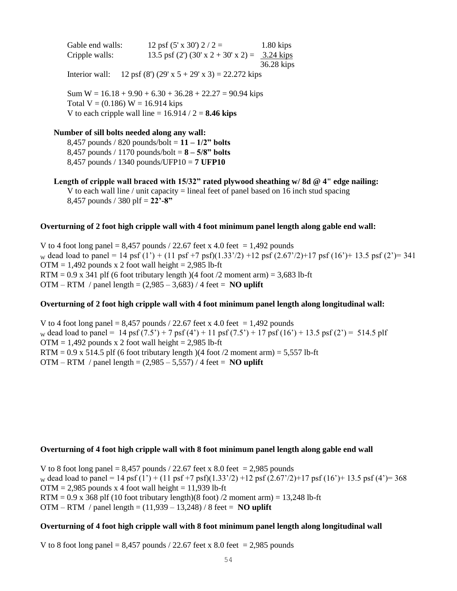Gable end walls:  $12 \text{ psf } (5 \text{ x } 30') 2 / 2 = 1.80 \text{ kips}$ Cripple walls: 13.5 psf (2') (30' x 2 + 30' x 2) =  $3.24 \text{ kips}$ 36.28 kips

Interior wall: 12 psf (8') (29' x  $5 + 29'$  x 3) = 22.272 kips

Sum  $W = 16.18 + 9.90 + 6.30 + 36.28 + 22.27 = 90.94$  kips Total  $V = (0.186) W = 16.914$  kips V to each cripple wall line  $= 16.914 / 2 = 8.46$  kips

#### **Number of sill bolts needed along any wall:**

8,457 pounds / 820 pounds/bolt = **11 – 1/2" bolts** 8,457 pounds / 1170 pounds/bolt = **8 – 5/8" bolts** 8,457 pounds / 1340 pounds/UFP10 = **7 UFP10**

**Length of cripple wall braced with 15/32" rated plywood sheathing w/ 8d @ 4" edge nailing:** V to each wall line / unit capacity  $=$  lineal feet of panel based on 16 inch stud spacing 8,457 pounds / 380 plf = **22'-8"**

#### **Overturning of 2 foot high cripple wall with 4 foot minimum panel length along gable end wall:**

V to 4 foot long panel =  $8,457$  pounds / 22.67 feet x 4.0 feet = 1,492 pounds w dead load to panel = 14 psf (1') + (11 psf +7 psf)(1.33'/2) +12 psf (2.67'/2)+17 psf (16')+ 13.5 psf (2')= 341  $OTM = 1,492$  pounds x 2 foot wall height = 2,985 lb-ft RTM =  $0.9$  x 341 plf (6 foot tributary length)(4 foot /2 moment arm) = 3,683 lb-ft OTM – RTM / panel length =  $(2,985 - 3,683)$  / 4 feet = **NO uplift** 

## **Overturning of 2 foot high cripple wall with 4 foot minimum panel length along longitudinal wall:**

V to 4 foot long panel =  $8,457$  pounds / 22.67 feet x 4.0 feet = 1,492 pounds w dead load to panel = 14 psf  $(7.5') + 7$  psf  $(4') + 11$  psf  $(7.5') + 17$  psf  $(16') + 13.5$  psf  $(2') = 514.5$  plf  $OTM = 1,492$  pounds x 2 foot wall height = 2,985 lb-ft  $RTM = 0.9$  x 514.5 plf (6 foot tributary length)(4 foot /2 moment arm) = 5,557 lb-ft OTM – RTM / panel length =  $(2,985 - 5,557)$  / 4 feet = **NO uplift** 

#### **Overturning of 4 foot high cripple wall with 8 foot minimum panel length along gable end wall**

V to 8 foot long panel =  $8,457$  pounds / 22.67 feet x 8.0 feet = 2,985 pounds w dead load to panel = 14 psf (1') + (11 psf +7 psf)(1.33'/2) +12 psf (2.67'/2)+17 psf (16')+ 13.5 psf (4')= 368  $OTM = 2,985$  pounds x 4 foot wall height = 11,939 lb-ft  $RTM = 0.9$  x 368 plf (10 foot tributary length)(8 foot) /2 moment arm) = 13,248 lb-ft OTM – RTM / panel length = (11,939 – 13,248) / 8 feet = **NO uplift**

#### **Overturning of 4 foot high cripple wall with 8 foot minimum panel length along longitudinal wall**

V to 8 foot long panel =  $8,457$  pounds / 22.67 feet x 8.0 feet = 2,985 pounds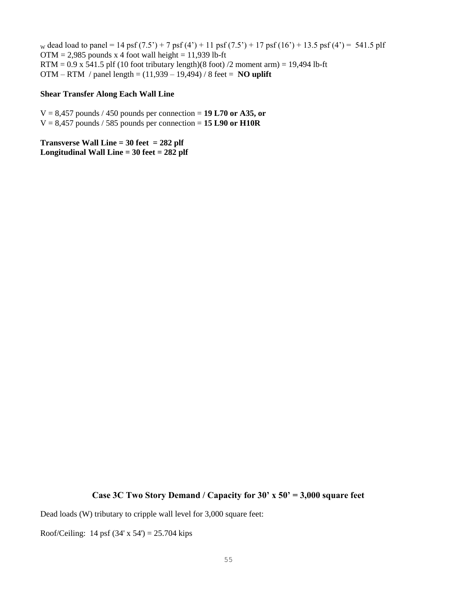w dead load to panel = 14 psf  $(7.5') + 7$  psf  $(4') + 11$  psf  $(7.5') + 17$  psf  $(16') + 13.5$  psf  $(4') = 541.5$  plf  $OTM = 2,985$  pounds x 4 foot wall height = 11,939 lb-ft  $RTM = 0.9$  x 541.5 plf (10 foot tributary length)(8 foot) /2 moment arm) = 19,494 lb-ft OTM – RTM / panel length = (11,939 – 19,494) / 8 feet = **NO uplift**

### **Shear Transfer Along Each Wall Line**

 $V = 8,457$  pounds / 450 pounds per connection = 19 L70 or A35, or  $V = 8,457$  pounds / 585 pounds per connection = **15 L90 or H10R** 

**Transverse Wall Line = 30 feet = 282 plf Longitudinal Wall Line = 30 feet = 282 plf**

#### **Case 3C Two Story Demand / Capacity for 30' x 50' = 3,000 square feet**

Dead loads (W) tributary to cripple wall level for 3,000 square feet:

Roof/Ceiling: 14 psf  $(34' \times 54') = 25.704$  kips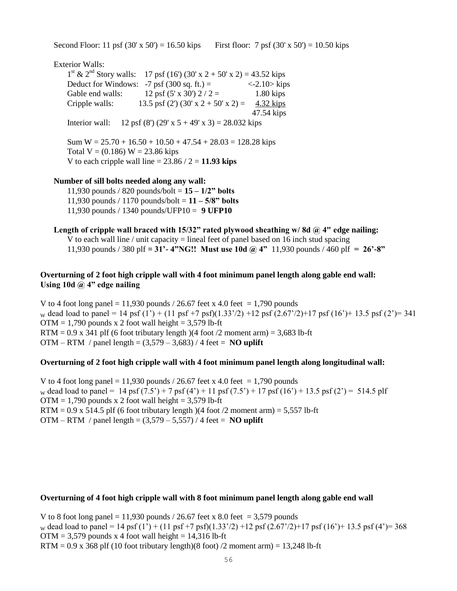Second Floor: 11 psf  $(30' \times 50') = 16.50$  kips First floor: 7 psf  $(30' \times 50') = 10.50$  kips

Exterior Walls:

 $1<sup>st</sup>$  &  $2<sup>nd</sup>$  Story walls: 17 psf (16') (30' x 2 + 50' x 2) = 43.52 kips Deduct for Windows:  $-7$  psf (300 sq. ft.) =  $\langle -2.10 \rangle$  kips Gable end walls:  $12 \text{ psf } (5' \text{ x } 30') 2 / 2 = 1.80 \text{ kips}$ Cripple walls: 13.5 psf (2') (30' x 2 + 50' x 2) = 4.32 kips 47.54 kips Interior wall: 12 psf (8') (29' x  $5 + 49'$  x 3) = 28.032 kips

Sum  $W = 25.70 + 16.50 + 10.50 + 47.54 + 28.03 = 128.28$  kips Total  $V = (0.186) W = 23.86$  kips V to each cripple wall line  $= 23.86 / 2 = 11.93$  kips

#### **Number of sill bolts needed along any wall:**

11,930 pounds / 820 pounds/bolt = **15 – 1/2" bolts** 11,930 pounds / 1170 pounds/bolt = **11 – 5/8" bolts** 11,930 pounds / 1340 pounds/UFP10 = **9 UFP10**

**Length of cripple wall braced with 15/32" rated plywood sheathing w/ 8d @ 4" edge nailing:** V to each wall line / unit capacity  $=$  lineal feet of panel based on 16 inch stud spacing 11,930 pounds / 380 plf **= 31'- 4"NG!! Must use 10d @ 4"** 11,930 pounds / 460 plf **= 26'-8"**

## **Overturning of 2 foot high cripple wall with 4 foot minimum panel length along gable end wall: Using 10d @ 4" edge nailing**

V to 4 foot long panel = 11,930 pounds  $/$  26.67 feet x 4.0 feet = 1,790 pounds w dead load to panel = 14 psf (1') + (11 psf +7 psf)(1.33'/2) +12 psf (2.67'/2)+17 psf (16')+ 13.5 psf (2')= 341  $OTM = 1,790$  pounds x 2 foot wall height = 3,579 lb-ft RTM =  $0.9$  x 341 plf (6 foot tributary length)(4 foot /2 moment arm) = 3,683 lb-ft OTM – RTM / panel length =  $(3,579 - 3,683)$  / 4 feet = **NO uplift** 

#### **Overturning of 2 foot high cripple wall with 4 foot minimum panel length along longitudinal wall:**

V to 4 foot long panel = 11,930 pounds  $/$  26.67 feet x 4.0 feet = 1,790 pounds w dead load to panel = 14 psf  $(7.5') + 7$  psf  $(4') + 11$  psf  $(7.5') + 17$  psf  $(16') + 13.5$  psf  $(2') = 514.5$  plf  $OTM = 1,790$  pounds x 2 foot wall height = 3,579 lb-ft  $RTM = 0.9$  x 514.5 plf (6 foot tributary length) (4 foot /2 moment arm) = 5,557 lb-ft OTM – RTM / panel length =  $(3,579 - 5,557)$  / 4 feet = **NO uplift** 

#### **Overturning of 4 foot high cripple wall with 8 foot minimum panel length along gable end wall**

V to 8 foot long panel = 11,930 pounds  $/$  26.67 feet x 8.0 feet = 3,579 pounds w dead load to panel = 14 psf (1') + (11 psf +7 psf)(1.33'/2) +12 psf (2.67'/2)+17 psf (16')+ 13.5 psf (4')= 368  $OTM = 3,579$  pounds x 4 foot wall height = 14,316 lb-ft  $RTM = 0.9$  x 368 plf (10 foot tributary length)(8 foot) /2 moment arm) = 13,248 lb-ft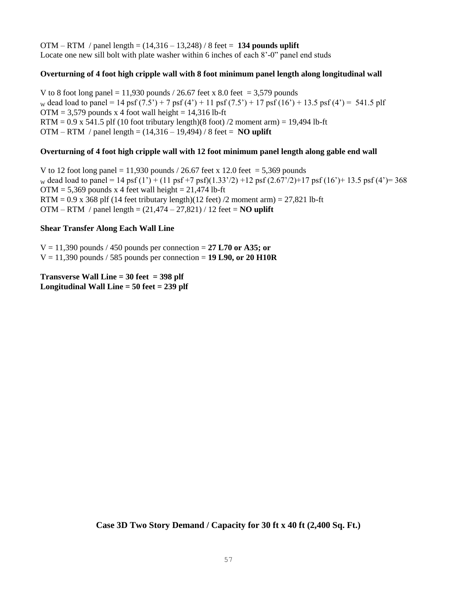OTM – RTM / panel length = (14,316 – 13,248) / 8 feet = **134 pounds uplift** Locate one new sill bolt with plate washer within 6 inches of each 8'-0" panel end studs

## **Overturning of 4 foot high cripple wall with 8 foot minimum panel length along longitudinal wall**

V to 8 foot long panel = 11,930 pounds  $/$  26.67 feet x 8.0 feet = 3,579 pounds w dead load to panel = 14 psf  $(7.5') + 7$  psf  $(4') + 11$  psf  $(7.5') + 17$  psf  $(16') + 13.5$  psf  $(4') = 541.5$  plf  $OTM = 3,579$  pounds x 4 foot wall height = 14,316 lb-ft RTM =  $0.9$  x 541.5 plf (10 foot tributary length)(8 foot) /2 moment arm) = 19,494 lb-ft OTM – RTM / panel length = (14,316 – 19,494) / 8 feet = **NO uplift**

#### **Overturning of 4 foot high cripple wall with 12 foot minimum panel length along gable end wall**

V to 12 foot long panel = 11,930 pounds  $/$  26.67 feet x 12.0 feet = 5,369 pounds w dead load to panel = 14 psf (1') + (11 psf +7 psf)(1.33'/2) +12 psf (2.67'/2)+17 psf (16')+ 13.5 psf (4')= 368  $OTM = 5,369$  pounds x 4 feet wall height = 21,474 lb-ft RTM =  $0.9 \times 368$  plf (14 feet tributary length)(12 feet) /2 moment arm) =  $27,821$  lb-ft OTM – RTM / panel length = (21,474 – 27,821) / 12 feet = **NO uplift**

#### **Shear Transfer Along Each Wall Line**

 $V = 11,390$  pounds / 450 pounds per connection = 27 L70 or A35; or  $V = 11,390$  pounds / 585 pounds per connection = 19 L90, or 20 H10R

**Transverse Wall Line = 30 feet = 398 plf Longitudinal Wall Line = 50 feet = 239 plf**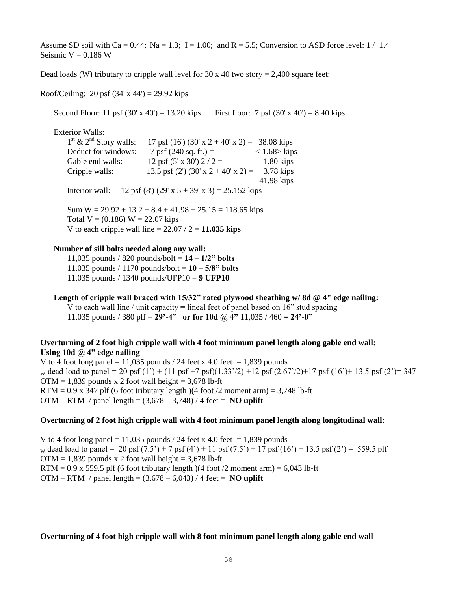Assume SD soil with Ca = 0.44; Na = 1.3; I = 1.00; and R = 5.5; Conversion to ASD force level:  $1/1.4$ Seismic  $V = 0.186$  W

Dead loads (W) tributary to cripple wall level for 30 x 40 two story = 2,400 square feet:

Roof/Ceiling: 20 psf  $(34' \times 44') = 29.92$  kips

Second Floor: 11 psf  $(30' \times 40') = 13.20$  kips First floor: 7 psf  $(30' \times 40') = 8.40$  kips

Exterior Walls:

 $1<sup>st</sup>$  &  $2<sup>nd</sup>$  Story walls:  $17$  psf (16') (30' x 2 + 40' x 2) = 38.08 kips Deduct for windows:  $-7$  psf (240 sq. ft.) =  $\langle -1.68 \rangle$  kips Gable end walls:  $12 \text{ psf } (5 \text{ x } 30') 2 / 2 = 1.80 \text{ kips}$ Cripple walls: 13.5 psf (2') (30' x 2 + 40' x 2) = 3.78 kips 41.98 kips Interior wall: 12 psf (8') (29' x  $5 + 39'$  x 3) = 25.152 kips

Sum  $W = 29.92 + 13.2 + 8.4 + 41.98 + 25.15 = 118.65$  kips Total  $V = (0.186) W = 22.07$  kips V to each cripple wall line  $= 22.07 / 2 = 11.035$  kips

#### **Number of sill bolts needed along any wall:**

11,035 pounds / 820 pounds/bolt = **14 – 1/2" bolts** 11,035 pounds / 1170 pounds/bolt = **10 – 5/8" bolts** 11,035 pounds / 1340 pounds/UFP10 = **9 UFP10**

**Length of cripple wall braced with 15/32" rated plywood sheathing w/ 8d @ 4" edge nailing:** V to each wall line / unit capacity = lineal feet of panel based on 16" stud spacing 11,035 pounds / 380 plf =  $29' - 4''$  or for 10d @ 4" 11,035 / 460 =  $24' - 0''$ 

## **Overturning of 2 foot high cripple wall with 4 foot minimum panel length along gable end wall: Using 10d @ 4" edge nailing**

V to 4 foot long panel = 11,035 pounds / 24 feet x 4.0 feet = 1,839 pounds w dead load to panel = 20 psf (1') + (11 psf +7 psf)(1.33'/2) +12 psf (2.67'/2)+17 psf (16')+ 13.5 psf (2')= 347  $OTM = 1,839$  pounds x 2 foot wall height = 3,678 lb-ft RTM =  $0.9$  x 347 plf (6 foot tributary length)(4 foot /2 moment arm) = 3,748 lb-ft OTM – RTM / panel length =  $(3,678 - 3,748)$  / 4 feet = **NO uplift** 

#### **Overturning of 2 foot high cripple wall with 4 foot minimum panel length along longitudinal wall:**

V to 4 foot long panel = 11,035 pounds  $/$  24 feet x 4.0 feet = 1,839 pounds w dead load to panel = 20 psf  $(7.5') + 7$  psf  $(4') + 11$  psf  $(7.5') + 17$  psf  $(16') + 13.5$  psf  $(2') = 559.5$  plf  $OTM = 1,839$  pounds x 2 foot wall height = 3,678 lb-ft  $RTM = 0.9$  x 559.5 plf (6 foot tributary length) (4 foot /2 moment arm) = 6,043 lb-ft OTM – RTM / panel length =  $(3.678 – 6.043) / 4$  feet = **NO uplift** 

#### **Overturning of 4 foot high cripple wall with 8 foot minimum panel length along gable end wall**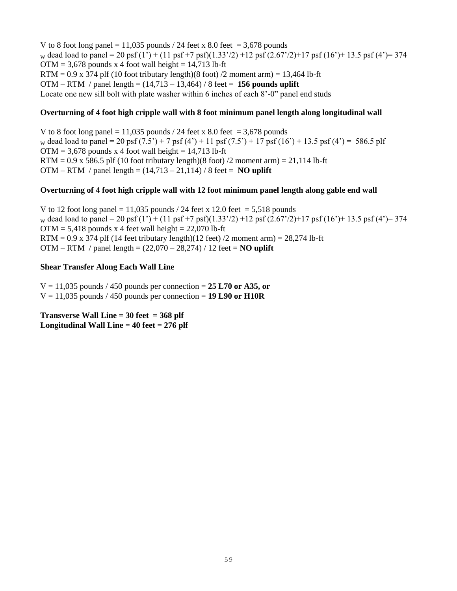V to 8 foot long panel = 11,035 pounds / 24 feet x 8.0 feet = 3,678 pounds w dead load to panel = 20 psf (1') + (11 psf +7 psf)(1.33'/2) +12 psf (2.67'/2)+17 psf (16')+ 13.5 psf (4')= 374  $OTM = 3.678$  pounds x 4 foot wall height = 14,713 lb-ft RTM =  $0.9 \times 374$  plf (10 foot tributary length)(8 foot) /2 moment arm) = 13,464 lb-ft OTM – RTM / panel length = (14,713 – 13,464) / 8 feet = **156 pounds uplift** Locate one new sill bolt with plate washer within 6 inches of each 8'-0" panel end studs

### **Overturning of 4 foot high cripple wall with 8 foot minimum panel length along longitudinal wall**

V to 8 foot long panel = 11,035 pounds / 24 feet x 8.0 feet = 3,678 pounds w dead load to panel = 20 psf  $(7.5') + 7$  psf  $(4') + 11$  psf  $(7.5') + 17$  psf  $(16') + 13.5$  psf  $(4') = 586.5$  plf  $OTM = 3,678$  pounds x 4 foot wall height = 14,713 lb-ft  $RTM = 0.9$  x 586.5 plf (10 foot tributary length)(8 foot) /2 moment arm) = 21,114 lb-ft OTM – RTM / panel length =  $(14,713 - 21,114)$  / 8 feet = **NO uplift** 

#### **Overturning of 4 foot high cripple wall with 12 foot minimum panel length along gable end wall**

V to 12 foot long panel = 11,035 pounds / 24 feet x 12.0 feet = 5,518 pounds w dead load to panel = 20 psf (1') + (11 psf +7 psf)(1.33'/2) +12 psf (2.67'/2)+17 psf (16')+ 13.5 psf (4')= 374  $OTM = 5,418$  pounds x 4 feet wall height = 22,070 lb-ft RTM =  $0.9 \times 374$  plf (14 feet tributary length)(12 feet) /2 moment arm) =  $28,274$  lb-ft OTM – RTM / panel length = (22,070 – 28,274) / 12 feet = **NO uplift**

#### **Shear Transfer Along Each Wall Line**

 $V = 11,035$  pounds / 450 pounds per connection = 25 L70 or A35, or  $V = 11,035$  pounds / 450 pounds per connection = **19 L90 or H10R** 

**Transverse Wall Line = 30 feet = 368 plf Longitudinal Wall Line = 40 feet = 276 plf**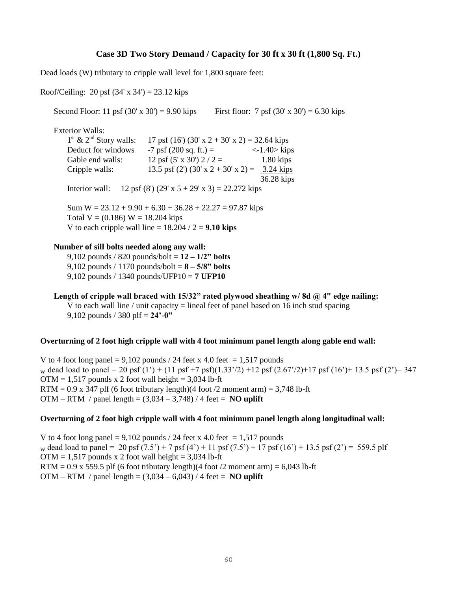## **Case 3D Two Story Demand / Capacity for 30 ft x 30 ft (1,800 Sq. Ft.)**

Dead loads (W) tributary to cripple wall level for 1,800 square feet:

Roof/Ceiling: 20 psf  $(34' \times 34') = 23.12$  kips

Second Floor: 11 psf  $(30' \times 30') = 9.90$  kips First floor: 7 psf  $(30' \times 30') = 6.30$  kips

Exterior Walls:

 $1<sup>st</sup>$  &  $2<sup>nd</sup>$  Story walls:  $17$  psf (16') (30' x 2 + 30' x 2) = 32.64 kips Deduct for windows  $-7$  psf (200 sq. ft.) =  $\langle -1.40 \rangle$  kips Gable end walls:  $12 \text{ psf } (5 \text{ x } 30') 2 / 2 = 1.80 \text{ kips}$ Cripple walls: 13.5 psf (2') (30' x 2 + 30' x 2) =  $3.24 \text{ kips}$  36.28 kips Interior wall: 12 psf (8') (29' x  $5 + 29'$  x 3) = 22.272 kips

Sum  $W = 23.12 + 9.90 + 6.30 + 36.28 + 22.27 = 97.87$  kips Total  $V = (0.186) W = 18.204$  kips V to each cripple wall line  $= 18.204 / 2 = 9.10$  kips

### **Number of sill bolts needed along any wall:**

9,102 pounds / 820 pounds/bolt = **12 – 1/2" bolts** 9,102 pounds / 1170 pounds/bolt = **8 – 5/8" bolts** 9,102 pounds / 1340 pounds/UFP10 = **7 UFP10**

**Length of cripple wall braced with 15/32" rated plywood sheathing w/ 8d @ 4" edge nailing:** V to each wall line / unit capacity  $=$  lineal feet of panel based on 16 inch stud spacing 9,102 pounds / 380 plf = **24'-0"**

#### **Overturning of 2 foot high cripple wall with 4 foot minimum panel length along gable end wall:**

V to 4 foot long panel =  $9,102$  pounds / 24 feet x 4.0 feet = 1,517 pounds w dead load to panel = 20 psf (1') + (11 psf +7 psf)(1.33'/2) +12 psf (2.67'/2)+17 psf (16')+ 13.5 psf (2')= 347  $OTM = 1,517$  pounds x 2 foot wall height = 3,034 lb-ft RTM =  $0.9$  x 347 plf (6 foot tributary length)(4 foot /2 moment arm) = 3,748 lb-ft OTM – RTM / panel length =  $(3.034 - 3.748)$  / 4 feet = **NO uplift** 

#### **Overturning of 2 foot high cripple wall with 4 foot minimum panel length along longitudinal wall:**

V to 4 foot long panel = 9,102 pounds / 24 feet x 4.0 feet = 1,517 pounds w dead load to panel = 20 psf  $(7.5') + 7$  psf  $(4') + 11$  psf  $(7.5') + 17$  psf  $(16') + 13.5$  psf  $(2') = 559.5$  plf  $OTM = 1,517$  pounds x 2 foot wall height = 3,034 lb-ft  $RTM = 0.9$  x 559.5 plf (6 foot tributary length)(4 foot /2 moment arm) = 6,043 lb-ft OTM – RTM / panel length =  $(3,034 - 6,043)$  / 4 feet = **NO uplift**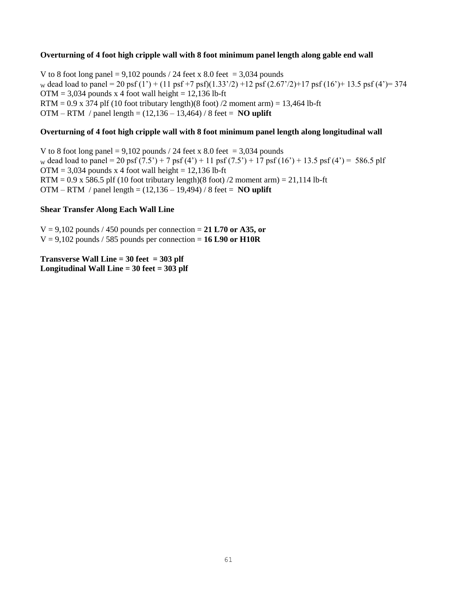#### **Overturning of 4 foot high cripple wall with 8 foot minimum panel length along gable end wall**

V to 8 foot long panel = 9,102 pounds / 24 feet x 8.0 feet = 3,034 pounds w dead load to panel = 20 psf (1') + (11 psf +7 psf)(1.33'/2) +12 psf (2.67'/2)+17 psf (16')+ 13.5 psf (4')= 374  $OTM = 3,034$  pounds x 4 foot wall height = 12,136 lb-ft  $RTM = 0.9$  x 374 plf (10 foot tributary length)(8 foot) /2 moment arm) = 13,464 lb-ft OTM – RTM / panel length = (12,136 – 13,464) / 8 feet = **NO uplift**

#### **Overturning of 4 foot high cripple wall with 8 foot minimum panel length along longitudinal wall**

V to 8 foot long panel =  $9,102$  pounds / 24 feet x 8.0 feet = 3,034 pounds w dead load to panel = 20 psf  $(7.5') + 7$  psf  $(4') + 11$  psf  $(7.5') + 17$  psf  $(16') + 13.5$  psf  $(4') = 586.5$  plf  $OTM = 3,034$  pounds x 4 foot wall height = 12,136 lb-ft RTM =  $0.9$  x 586.5 plf (10 foot tributary length)(8 foot) /2 moment arm) =  $21,114$  lb-ft OTM – RTM / panel length = (12,136 – 19,494) / 8 feet = **NO uplift**

#### **Shear Transfer Along Each Wall Line**

 $V = 9,102$  pounds / 450 pounds per connection = 21 L70 or A35, or  $V = 9,102$  pounds / 585 pounds per connection = **16 L90 or H10R** 

**Transverse Wall Line = 30 feet = 303 plf Longitudinal Wall Line = 30 feet = 303 plf**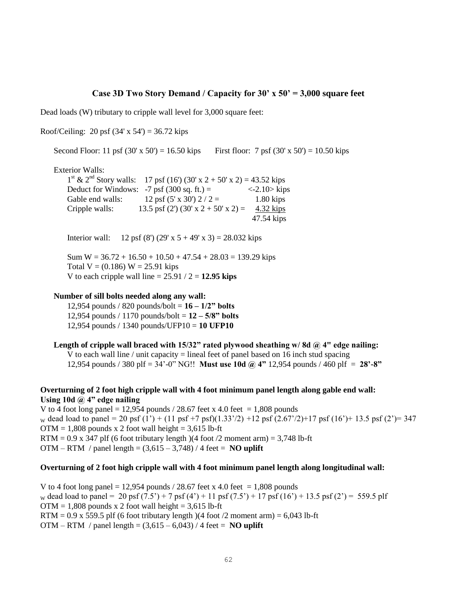#### **Case 3D Two Story Demand / Capacity for 30' x 50' = 3,000 square feet**

Dead loads (W) tributary to cripple wall level for 3,000 square feet:

Roof/Ceiling: 20 psf  $(34' \times 54') = 36.72$  kips

Second Floor: 11 psf  $(30' \times 50') = 16.50$  kips First floor: 7 psf  $(30' \times 50') = 10.50$  kips

Exterior Walls:

 $1<sup>st</sup>$  &  $2<sup>nd</sup>$  Story walls: 17 psf (16') (30' x 2 + 50' x 2) = 43.52 kips Deduct for Windows:  $-7$  psf (300 sq. ft.) =  $\langle -2.10 \rangle$  kips Gable end walls:  $12 \text{ psf } (5 \text{ x } 30') 2 / 2 = 1.80 \text{ kips}$ Cripple walls: 13.5 psf (2') (30' x 2 + 50' x 2) =  $4.32 \text{ kips}$ 47.54 kips

Interior wall: 12 psf (8') (29' x  $5 + 49'$  x 3) = 28.032 kips

Sum  $W = 36.72 + 16.50 + 10.50 + 47.54 + 28.03 = 139.29$  kips Total  $V = (0.186) W = 25.91$  kips V to each cripple wall line  $= 25.91 / 2 = 12.95$  kips

#### **Number of sill bolts needed along any wall:**

12,954 pounds / 820 pounds/bolt = **16 – 1/2" bolts** 12,954 pounds / 1170 pounds/bolt = **12 – 5/8" bolts** 12,954 pounds / 1340 pounds/UFP10 = **10 UFP10**

Length of cripple wall braced with 15/32" rated plywood sheathing w/8d @ 4" edge nailing: V to each wall line / unit capacity  $=$  lineal feet of panel based on 16 inch stud spacing 12,954 pounds / 380 plf = 34'-0" NG!! **Must use 10d @ 4"** 12,954 pounds / 460 plf= **28'-8"**

### **Overturning of 2 foot high cripple wall with 4 foot minimum panel length along gable end wall: Using 10d @ 4" edge nailing**

V to 4 foot long panel = 12,954 pounds  $/$  28.67 feet x 4.0 feet = 1,808 pounds w dead load to panel = 20 psf (1') + (11 psf +7 psf)(1.33'/2) +12 psf (2.67'/2)+17 psf (16')+ 13.5 psf (2')= 347  $OTM = 1,808$  pounds x 2 foot wall height = 3,615 lb-ft RTM =  $0.9$  x 347 plf (6 foot tributary length )(4 foot /2 moment arm) = 3,748 lb-ft OTM – RTM / panel length =  $(3.615 - 3.748)$  / 4 feet = **NO uplift** 

### **Overturning of 2 foot high cripple wall with 4 foot minimum panel length along longitudinal wall:**

V to 4 foot long panel = 12,954 pounds  $/$  28.67 feet x 4.0 feet = 1,808 pounds w dead load to panel = 20 psf  $(7.5') + 7$  psf  $(4') + 11$  psf  $(7.5') + 17$  psf  $(16') + 13.5$  psf  $(2') = 559.5$  plf  $OTM = 1.808$  pounds x 2 foot wall height = 3.615 lb-ft  $RTM = 0.9 \times 559.5$  plf (6 foot tributary length)(4 foot /2 moment arm) = 6,043 lb-ft OTM – RTM / panel length =  $(3,615 - 6,043)$  / 4 feet = **NO uplift**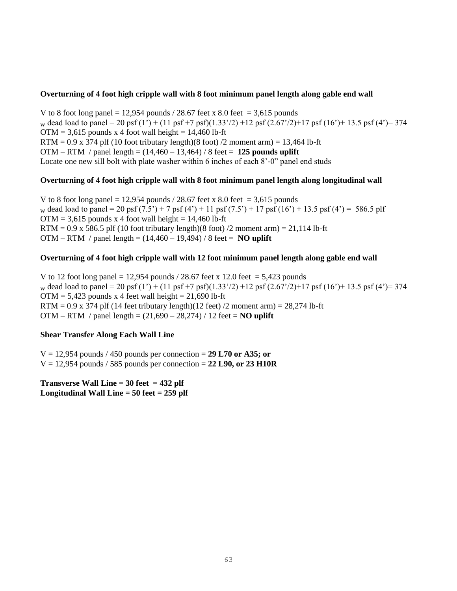#### **Overturning of 4 foot high cripple wall with 8 foot minimum panel length along gable end wall**

V to 8 foot long panel = 12,954 pounds  $/$  28.67 feet x 8.0 feet = 3,615 pounds w dead load to panel = 20 psf (1') + (11 psf +7 psf)(1.33'/2) +12 psf (2.67'/2)+17 psf (16')+ 13.5 psf (4')= 374  $OTM = 3,615$  pounds x 4 foot wall height = 14,460 lb-ft RTM =  $0.9 \times 374$  plf (10 foot tributary length)(8 foot) /2 moment arm) = 13,464 lb-ft OTM – RTM / panel length = (14,460 – 13,464) / 8 feet = **125 pounds uplift** Locate one new sill bolt with plate washer within 6 inches of each 8'-0" panel end studs

### **Overturning of 4 foot high cripple wall with 8 foot minimum panel length along longitudinal wall**

V to 8 foot long panel = 12,954 pounds  $/$  28.67 feet x 8.0 feet = 3,615 pounds w dead load to panel = 20 psf  $(7.5') + 7$  psf  $(4') + 11$  psf  $(7.5') + 17$  psf  $(16') + 13.5$  psf  $(4') = 586.5$  plf  $OTM = 3,615$  pounds x 4 foot wall height = 14,460 lb-ft RTM =  $0.9$  x 586.5 plf (10 foot tributary length)(8 foot) /2 moment arm) =  $21,114$  lb-ft OTM – RTM / panel length = (14,460 – 19,494) / 8 feet = **NO uplift**

## **Overturning of 4 foot high cripple wall with 12 foot minimum panel length along gable end wall**

V to 12 foot long panel = 12,954 pounds  $/$  28.67 feet x 12.0 feet = 5,423 pounds w dead load to panel = 20 psf (1') + (11 psf +7 psf)(1.33'/2) +12 psf (2.67'/2)+17 psf (16')+ 13.5 psf (4')= 374  $OTM = 5,423$  pounds x 4 feet wall height = 21,690 lb-ft RTM =  $0.9 \times 374$  plf (14 feet tributary length)(12 feet) /2 moment arm) =  $28,274$  lb-ft OTM – RTM / panel length = (21,690 – 28,274) / 12 feet = **NO uplift**

### **Shear Transfer Along Each Wall Line**

 $V = 12,954$  pounds / 450 pounds per connection = 29 L70 or A35; or  $V = 12,954$  pounds / 585 pounds per connection = 22 L90, or 23 H10R

**Transverse Wall Line = 30 feet = 432 plf Longitudinal Wall Line = 50 feet = 259 plf**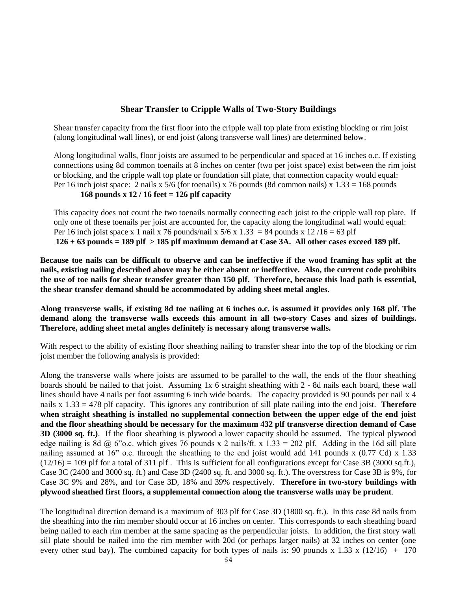## **Shear Transfer to Cripple Walls of Two-Story Buildings**

Shear transfer capacity from the first floor into the cripple wall top plate from existing blocking or rim joist (along longitudinal wall lines), or end joist (along transverse wall lines) are determined below.

Along longitudinal walls, floor joists are assumed to be perpendicular and spaced at 16 inches o.c. If existing connections using 8d common toenails at 8 inches on center (two per joist space) exist between the rim joist or blocking, and the cripple wall top plate or foundation sill plate, that connection capacity would equal: Per 16 inch joist space: 2 nails x 5/6 (for toenails) x 76 pounds (8d common nails) x  $1.33 = 168$  pounds

## **168 pounds x 12 / 16 feet = 126 plf capacity**

This capacity does not count the two toenails normally connecting each joist to the cripple wall top plate. If only one of these toenails per joist are accounted for, the capacity along the longitudinal wall would equal: Per 16 inch joist space x 1 nail x 76 pounds/nail x  $5/6$  x  $1.33 = 84$  pounds x  $12/16 = 63$  plf **126 + 63 pounds = 189 plf > 185 plf maximum demand at Case 3A. All other cases exceed 189 plf.**

**Because toe nails can be difficult to observe and can be ineffective if the wood framing has split at the nails, existing nailing described above may be either absent or ineffective. Also, the current code prohibits the use of toe nails for shear transfer greater than 150 plf. Therefore, because this load path is essential, the shear transfer demand should be accommodated by adding sheet metal angles.**

**Along transverse walls, if existing 8d toe nailing at 6 inches o.c. is assumed it provides only 168 plf. The demand along the transverse walls exceeds this amount in all two-story Cases and sizes of buildings. Therefore, adding sheet metal angles definitely is necessary along transverse walls.**

With respect to the ability of existing floor sheathing nailing to transfer shear into the top of the blocking or rim joist member the following analysis is provided:

Along the transverse walls where joists are assumed to be parallel to the wall, the ends of the floor sheathing boards should be nailed to that joist. Assuming 1x 6 straight sheathing with 2 - 8d nails each board, these wall lines should have 4 nails per foot assuming 6 inch wide boards. The capacity provided is 90 pounds per nail x 4 nails x 1.33 = 478 plf capacity. This ignores any contribution of sill plate nailing into the end joist. **Therefore when straight sheathing is installed no supplemental connection between the upper edge of the end joist and the floor sheathing should be necessary for the maximum 432 plf transverse direction demand of Case 3D (3000 sq. ft.)**. If the floor sheathing is plywood a lower capacity should be assumed. The typical plywood edge nailing is 8d  $\omega$  6"o.c. which gives 76 pounds x 2 nails/ft. x 1.33 = 202 plf. Adding in the 16d sill plate nailing assumed at 16" o.c. through the sheathing to the end joist would add 141 pounds x (0.77 Cd) x 1.33  $(12/16) = 109$  plf for a total of 311 plf. This is sufficient for all configurations except for Case 3B (3000 sq.ft.), Case 3C (2400 and 3000 sq. ft.) and Case 3D (2400 sq. ft. and 3000 sq. ft.). The overstress for Case 3B is 9%, for Case 3C 9% and 28%, and for Case 3D, 18% and 39% respectively. **Therefore in two-story buildings with plywood sheathed first floors, a supplemental connection along the transverse walls may be prudent**.

The longitudinal direction demand is a maximum of 303 plf for Case 3D (1800 sq. ft.). In this case 8d nails from the sheathing into the rim member should occur at 16 inches on center. This corresponds to each sheathing board being nailed to each rim member at the same spacing as the perpendicular joists. In addition, the first story wall sill plate should be nailed into the rim member with 20d (or perhaps larger nails) at 32 inches on center (one every other stud bay). The combined capacity for both types of nails is: 90 pounds x 1.33 x (12/16) + 170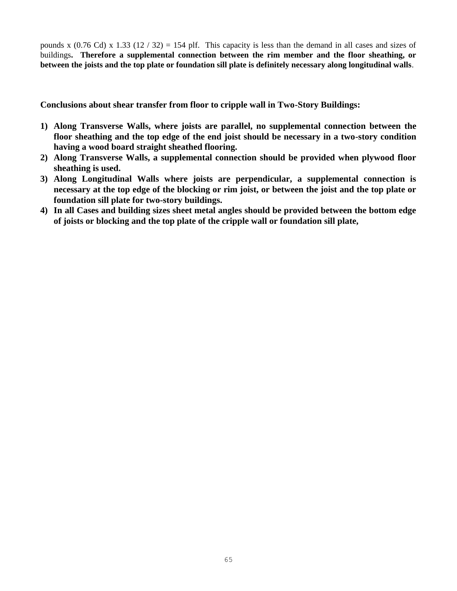pounds x (0.76 Cd) x 1.33 (12 / 32) = 154 plf. This capacity is less than the demand in all cases and sizes of buildings**. Therefore a supplemental connection between the rim member and the floor sheathing, or between the joists and the top plate or foundation sill plate is definitely necessary along longitudinal walls**.

**Conclusions about shear transfer from floor to cripple wall in Two-Story Buildings:**

- **1) Along Transverse Walls, where joists are parallel, no supplemental connection between the floor sheathing and the top edge of the end joist should be necessary in a two-story condition having a wood board straight sheathed flooring.**
- **2) Along Transverse Walls, a supplemental connection should be provided when plywood floor sheathing is used.**
- **3) Along Longitudinal Walls where joists are perpendicular, a supplemental connection is necessary at the top edge of the blocking or rim joist, or between the joist and the top plate or foundation sill plate for two-story buildings.**
- **4) In all Cases and building sizes sheet metal angles should be provided between the bottom edge of joists or blocking and the top plate of the cripple wall or foundation sill plate,**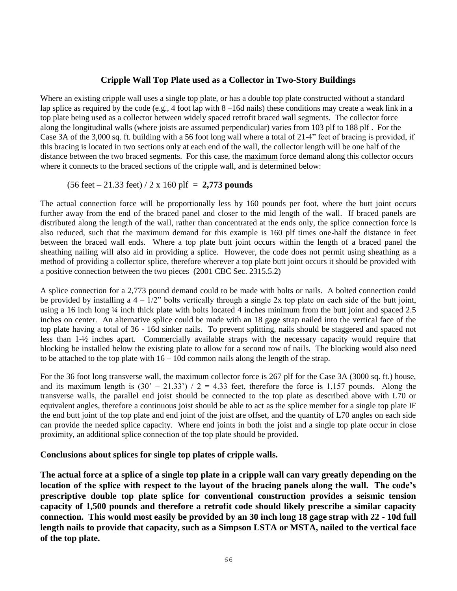## **Cripple Wall Top Plate used as a Collector in Two-Story Buildings**

Where an existing cripple wall uses a single top plate, or has a double top plate constructed without a standard lap splice as required by the code (e.g., 4 foot lap with  $8 - 16d$  nails) these conditions may create a weak link in a top plate being used as a collector between widely spaced retrofit braced wall segments. The collector force along the longitudinal walls (where joists are assumed perpendicular) varies from 103 plf to 188 plf . For the Case 3A of the 3,000 sq. ft. building with a 56 foot long wall where a total of 21-4" feet of bracing is provided, if this bracing is located in two sections only at each end of the wall, the collector length will be one half of the distance between the two braced segments. For this case, the maximum force demand along this collector occurs where it connects to the braced sections of the cripple wall, and is determined below:

## (56 feet – 21.33 feet) / 2 x 160 plf = **2,773 pounds**

The actual connection force will be proportionally less by 160 pounds per foot, where the butt joint occurs further away from the end of the braced panel and closer to the mid length of the wall. If braced panels are distributed along the length of the wall, rather than concentrated at the ends only, the splice connection force is also reduced, such that the maximum demand for this example is 160 plf times one-half the distance in feet between the braced wall ends. Where a top plate butt joint occurs within the length of a braced panel the sheathing nailing will also aid in providing a splice. However, the code does not permit using sheathing as a method of providing a collector splice, therefore wherever a top plate butt joint occurs it should be provided with a positive connection between the two pieces (2001 CBC Sec. 2315.5.2)

A splice connection for a 2,773 pound demand could to be made with bolts or nails. A bolted connection could be provided by installing a  $4 - 1/2$ " bolts vertically through a single 2x top plate on each side of the butt joint, using a 16 inch long ¼ inch thick plate with bolts located 4 inches minimum from the butt joint and spaced 2.5 inches on center. An alternative splice could be made with an 18 gage strap nailed into the vertical face of the top plate having a total of 36 - 16d sinker nails. To prevent splitting, nails should be staggered and spaced not less than 1-½ inches apart. Commercially available straps with the necessary capacity would require that blocking be installed below the existing plate to allow for a second row of nails. The blocking would also need to be attached to the top plate with  $16 - 10d$  common nails along the length of the strap.

For the 36 foot long transverse wall, the maximum collector force is 267 plf for the Case 3A (3000 sq. ft.) house, and its maximum length is  $(30' - 21.33') / 2 = 4.33$  feet, therefore the force is 1,157 pounds. Along the transverse walls, the parallel end joist should be connected to the top plate as described above with L70 or equivalent angles, therefore a continuous joist should be able to act as the splice member for a single top plate IF the end butt joint of the top plate and end joint of the joist are offset, and the quantity of L70 angles on each side can provide the needed splice capacity. Where end joints in both the joist and a single top plate occur in close proximity, an additional splice connection of the top plate should be provided.

## **Conclusions about splices for single top plates of cripple walls.**

**The actual force at a splice of a single top plate in a cripple wall can vary greatly depending on the location of the splice with respect to the layout of the bracing panels along the wall. The code's prescriptive double top plate splice for conventional construction provides a seismic tension capacity of 1,500 pounds and therefore a retrofit code should likely prescribe a similar capacity connection. This would most easily be provided by an 30 inch long 18 gage strap with 22 - 10d full length nails to provide that capacity, such as a Simpson LSTA or MSTA, nailed to the vertical face of the top plate.**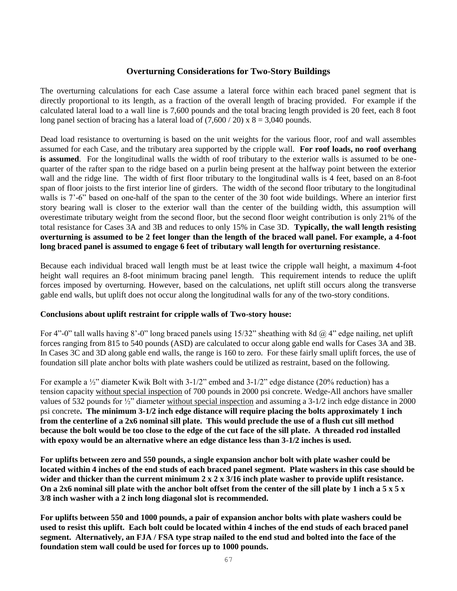## **Overturning Considerations for Two-Story Buildings**

The overturning calculations for each Case assume a lateral force within each braced panel segment that is directly proportional to its length, as a fraction of the overall length of bracing provided. For example if the calculated lateral load to a wall line is 7,600 pounds and the total bracing length provided is 20 feet, each 8 foot long panel section of bracing has a lateral load of  $(7,600 / 20)$  x  $8 = 3,040$  pounds.

Dead load resistance to overturning is based on the unit weights for the various floor, roof and wall assembles assumed for each Case, and the tributary area supported by the cripple wall. **For roof loads, no roof overhang is assumed**. For the longitudinal walls the width of roof tributary to the exterior walls is assumed to be onequarter of the rafter span to the ridge based on a purlin being present at the halfway point between the exterior wall and the ridge line. The width of first floor tributary to the longitudinal walls is 4 feet, based on an 8-foot span of floor joists to the first interior line of girders. The width of the second floor tributary to the longitudinal walls is 7'-6" based on one-half of the span to the center of the 30 foot wide buildings. Where an interior first story bearing wall is closer to the exterior wall than the center of the building width, this assumption will overestimate tributary weight from the second floor, but the second floor weight contribution is only 21% of the total resistance for Cases 3A and 3B and reduces to only 15% in Case 3D. **Typically, the wall length resisting overturning is assumed to be 2 feet longer than the length of the braced wall panel. For example, a 4-foot long braced panel is assumed to engage 6 feet of tributary wall length for overturning resistance**.

Because each individual braced wall length must be at least twice the cripple wall height, a maximum 4-foot height wall requires an 8-foot minimum bracing panel length. This requirement intends to reduce the uplift forces imposed by overturning. However, based on the calculations, net uplift still occurs along the transverse gable end walls, but uplift does not occur along the longitudinal walls for any of the two-story conditions.

### **Conclusions about uplift restraint for cripple walls of Two-story house:**

For 4"-0" tall walls having 8'-0" long braced panels using  $15/32$ " sheathing with 8d  $\omega$  4" edge nailing, net uplift forces ranging from 815 to 540 pounds (ASD) are calculated to occur along gable end walls for Cases 3A and 3B. In Cases 3C and 3D along gable end walls, the range is 160 to zero. For these fairly small uplift forces, the use of foundation sill plate anchor bolts with plate washers could be utilized as restraint, based on the following.

For example a  $\frac{1}{2}$ " diameter Kwik Bolt with 3-1/2" embed and 3-1/2" edge distance (20% reduction) has a tension capacity without special inspection of 700 pounds in 2000 psi concrete. Wedge-All anchors have smaller values of 532 pounds for ½" diameter without special inspection and assuming a 3-1/2 inch edge distance in 2000 psi concrete**. The minimum 3-1/2 inch edge distance will require placing the bolts approximately 1 inch from the centerline of a 2x6 nominal sill plate. This would preclude the use of a flush cut sill method because the bolt would be too close to the edge of the cut face of the sill plate. A threaded rod installed with epoxy would be an alternative where an edge distance less than 3-1/2 inches is used.**

**For uplifts between zero and 550 pounds, a single expansion anchor bolt with plate washer could be located within 4 inches of the end studs of each braced panel segment. Plate washers in this case should be wider and thicker than the current minimum 2 x 2 x 3/16 inch plate washer to provide uplift resistance. On a 2x6 nominal sill plate with the anchor bolt offset from the center of the sill plate by 1 inch a 5 x 5 x 3/8 inch washer with a 2 inch long diagonal slot is recommended.**

**For uplifts between 550 and 1000 pounds, a pair of expansion anchor bolts with plate washers could be used to resist this uplift. Each bolt could be located within 4 inches of the end studs of each braced panel segment. Alternatively, an FJA / FSA type strap nailed to the end stud and bolted into the face of the foundation stem wall could be used for forces up to 1000 pounds.**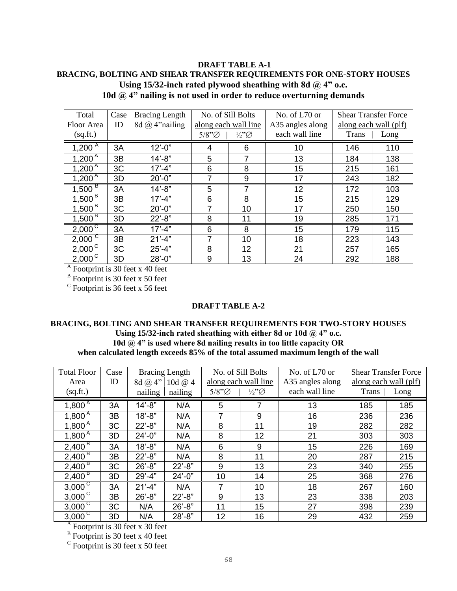## **DRAFT TABLE A-1 BRACING, BOLTING AND SHEAR TRANSFER REQUIREMENTS FOR ONE-STORY HOUSES Using 15/32-inch rated plywood sheathing with 8d @ 4" o.c. 10d @ 4" nailing is not used in order to reduce overturning demands**

| Total                              | Case | <b>Bracing Length</b> | No. of Sill Bolts    |                       | No. of L70 or    | <b>Shear Transfer Force</b> |      |
|------------------------------------|------|-----------------------|----------------------|-----------------------|------------------|-----------------------------|------|
| Floor Area                         | ID   | 8d $(a)$ 4" nailing   | along each wall line |                       | A35 angles along | along each wall (plf)       |      |
| (sq.fr.)                           |      |                       | $5/8"$ Ø             | $\frac{1}{2}\sqrt{2}$ | each wall line   | Trans                       | Long |
| 1,200 $^{A}$                       | 3A   | $12'-0$ "             | 4                    | 6                     | 10               | 146                         | 110  |
| $1,200^{\overline{A}}$             | 3B   | $14 - 8"$             | 5                    | 7                     | 13               | 184                         | 138  |
| $1,200^{\overline{A}}$             | 3C   | $17' - 4"$            | 6                    | 8                     | 15               | 215                         | 161  |
| $1,200^{A}$                        | 3D   | $20' - 0''$           | 7                    | 9                     | 17               | 243                         | 182  |
| $1,500^{\frac{B}{B}}$              | 3A   | $14' - 8''$           | 5                    | 7                     | 12               | 172                         | 103  |
| $1,500^{B}$                        | 3B   | $17' - 4"$            | 6                    | 8                     | 15               | 215                         | 129  |
| $1,500^{\overline{B}}$             | 3C   | $20' - 0''$           | 7                    | 10                    | 17               | 250                         | 150  |
| $1,500^{B}$                        | 3D   | $22' - 8"$            | 8                    | 11                    | 19               | 285                         | 171  |
| $2,000^{\circ}$                    | 3A   | $17' - 4"$            | 6                    | 8                     | 15               | 179                         | 115  |
| $2,000^{\circ}$                    | 3B   | $21'-4"$              | 7                    | 10                    | 18               | 223                         | 143  |
| $2,000^{\circ}$                    | 3C   | $25' - 4"$            | 8                    | 12                    | 21               | 257                         | 165  |
| $2,000^{\circ}$                    | 3D   | $28' - 0''$           | 9                    | 13                    | 24               | 292                         | 188  |
| $A$ Footprint is 30 feet x 40 feet |      |                       |                      |                       |                  |                             |      |
| $B$ Footprint is 30 feet x 50 feet |      |                       |                      |                       |                  |                             |      |

 $\rm{c}$  Footprint is 36 feet x 56 feet

### **DRAFT TABLE A-2**

## **BRACING, BOLTING AND SHEAR TRANSFER REQUIREMENTS FOR TWO-STORY HOUSES Using 15/32-inch rated sheathing with either 8d or 10d @ 4" o.c. 10d @ 4" is used where 8d nailing results in too little capacity OR when calculated length exceeds 85% of the total assumed maximum length of the wall**

| <b>Total Floor</b>     | Case |                | <b>Bracing Length</b> |                      | No. of Sill Bolts     | No. of L70 or    |       | <b>Shear Transfer Force</b> |
|------------------------|------|----------------|-----------------------|----------------------|-----------------------|------------------|-------|-----------------------------|
| Area                   | ID   | 8d $\omega$ 4" | 10d @ 4               | along each wall line |                       | A35 angles along |       | along each wall (plf)       |
| (sq.fr.)               |      | nailing        | nailing               | $5/8"$ $\varnothing$ | $\frac{1}{2}\sqrt{2}$ | each wall line   | Trans | Long                        |
| $1,800^{\overline{A}}$ | 3A   | $14' - 8"$     | N/A                   | 5                    |                       | 13               | 185   | 185                         |
| $1,800^{\overline{A}}$ | 3B   | $18 - 8$ "     | N/A                   | 7                    | 9                     | 16               | 236   | 236                         |
| $1,800^{\overline{A}}$ | 3C   | $22 - 8"$      | N/A                   | 8                    | 11                    | 19               | 282   | 282                         |
| $1,800^{\overline{A}}$ | 3D   | $24' - 0''$    | N/A                   | 8                    | 12                    | 21               | 303   | 303                         |
| $2,400^{\circ}$        | 3A   | $18' - 8"$     | N/A                   | 6                    | 9                     | 15               | 226   | 169                         |
| $2,400^{\frac{1}{6}}$  | 3B   | $22 - 8"$      | N/A                   | 8                    | 11                    | 20               | 287   | 215                         |
| $2,400^{\circ}$        | 3C   | $26' - 8"$     | $22 - 8"$             | 9                    | 13                    | 23               | 340   | 255                         |
| 2,400 <sup>B</sup>     | 3D   | $29' - 4"$     | $24'-0$ "             | 10                   | 14                    | 25               | 368   | 276                         |
| $3,000^{\circ}$        | 3A   | $21' - 4"$     | N/A                   | 7                    | 10                    | 18               | 267   | 160                         |
| $3,000^{\circ}$        | 3B   | $26' - 8"$     | $22 - 8"$             | 9                    | 13                    | 23               | 338   | 203                         |
| $3,000^{\circ}$        | 3C   | N/A            | $26' - 8"$            | 11                   | 15                    | 27               | 398   | 239                         |
| $3,000^{\circ}$        | 3D   | N/A            | $28 - 8$ "            | 12                   | 16                    | 29               | 432   | 259                         |

<sup>A</sup> Footprint is 30 feet x 30 feet

 $B$  Footprint is 30 feet x 40 feet

 $\rm{c}$  Footprint is 30 feet x 50 feet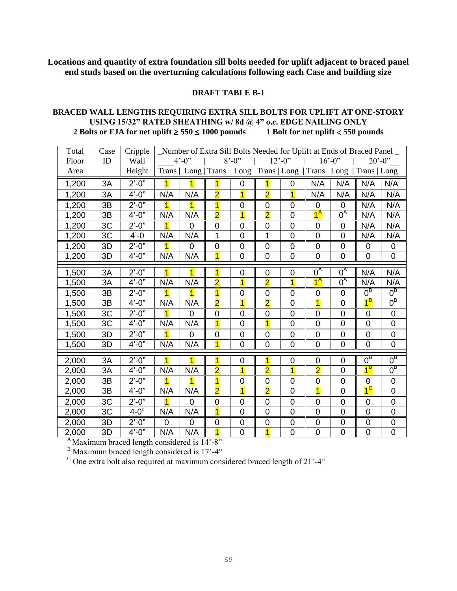**Locations and quantity of extra foundation sill bolts needed for uplift adjacent to braced panel end studs based on the overturning calculations following each Case and building size** 

## **DRAFT TABLE B-1**

## **BRACED WALL LENGTHS REQUIRING EXTRA SILL BOLTS FOR UPLIFT AT ONE-STORY USING 15/32" RATED SHEATHING w/ 8d @ 4" o.c. EDGE NAILING ONLY 2 Bolts or FJA for net uplift**  $\ge 550 \le 1000$  **pounds** 1 Bolt for net uplift  $\lt 550$  pounds

| Total | Case | Cripple    |                         | Number of Extra Sill Bolts Needed for Uplift at Ends of Braced Panel |                         |                     |                         |                          |                |                |                          |                  |
|-------|------|------------|-------------------------|----------------------------------------------------------------------|-------------------------|---------------------|-------------------------|--------------------------|----------------|----------------|--------------------------|------------------|
| Floor | ID   | Wall       |                         | $4^{\circ} - 0^{\circ}$                                              |                         | $8' - 0''$          |                         | $12^{\circ} - 0^{\circ}$ | $16' - 0$ "    |                | $20^{\circ} - 0^{\circ}$ |                  |
| Area  |      | Height     | Trans                   |                                                                      | Long   Trans            | Long   Trans   Long |                         |                          | Trans   Long   |                | Trans   Long             |                  |
| 1,200 | 3A   | $2' - 0''$ | 1                       | $\overline{1}$                                                       | $\overline{\mathbf{1}}$ | 0                   | 1                       | 0                        | N/A            | N/A            | N/A                      | N/A              |
| 1,200 | 3A   | $4' - 0''$ | N/A                     | N/A                                                                  | $\overline{\mathbf{2}}$ | $\overline{1}$      | $\overline{\mathbf{2}}$ | $\overline{1}$           | N/A            | N/A            | N/A                      | N/A              |
| 1,200 | 3B   | $2'-0''$   | $\overline{\mathbf{1}}$ | $\overline{1}$                                                       | $\overline{1}$          | $\mathbf 0$         | $\overline{0}$          | 0                        | $\mathbf 0$    | $\mathbf 0$    | N/A                      | N/A              |
| 1,200 | 3B   | $4' - 0''$ | N/A                     | N/A                                                                  | $\overline{\mathbf{2}}$ | $\overline{1}$      | $\overline{\mathbf{2}}$ | 0                        | $1^A$          | $0^A$          | N/A                      | N/A              |
| 1,200 | 3C   | $2'-0"$    | $\overline{1}$          | $\overline{0}$                                                       | $\mathbf 0$             | $\mathbf 0$         | $\mathbf 0$             | 0                        | $\mathbf 0$    | $\mathbf 0$    | N/A                      | N/A              |
| 1,200 | 3C   | $4' - 0$   | N/A                     | N/A                                                                  | 1                       | $\overline{0}$      | 1                       | 0                        | $\mathbf 0$    | $\overline{0}$ | N/A                      | N/A              |
| 1,200 | 3D   | $2' - 0''$ | 1                       | 0                                                                    | 0                       | 0                   | 0                       | 0                        | 0              | 0              | 0                        | 0                |
| 1,200 | 3D   | $4' - 0''$ | N/A                     | N/A                                                                  | $\overline{1}$          | $\mathbf 0$         | $\overline{0}$          | 0                        | $\mathbf 0$    | $\mathbf 0$    | $\overline{0}$           | $\mathbf 0$      |
| 1,500 | 3A   | $2' - 0''$ | $\overline{1}$          | $\overline{1}$                                                       | $\overline{1}$          | $\mathbf 0$         | $\overline{0}$          | $\overline{0}$           | $0^A$          | $0^A$          | N/A                      | N/A              |
| 1,500 | 3A   | $4'-0''$   | N/A                     | N/A                                                                  | $\overline{\mathbf{2}}$ | $\overline{1}$      | $\overline{2}$          | $\overline{1}$           | $1^A$          | $0^A$          | N/A                      | N/A              |
| 1,500 | 3B   | $2'-0"$    | $\overline{1}$          | 1                                                                    | $\overline{\mathbf{1}}$ | 0                   | $\overline{0}$          | 0                        | $\mathbf 0$    | $\overline{0}$ | $0^{\overline{B}}$       | $0^{\text{B}}$   |
| 1,500 | 3B   | $4' - 0''$ | N/A                     | N/A                                                                  | $\overline{2}$          | $\overline{1}$      | $\overline{2}$          | $\overline{0}$           | $\overline{1}$ | $\overline{0}$ | $1^B$                    | $0^{\text{B}}$   |
| 1,500 | 3C   | $2' - 0''$ |                         | 0                                                                    | 0                       | $\mathbf 0$         | 0                       | 0                        | $\mathbf 0$    | $\mathbf 0$    | 0                        | $\mathbf 0$      |
| 1,500 | 3C   | $4' - 0''$ | N/A                     | N/A                                                                  | $\overline{1}$          | $\overline{0}$      | $\overline{1}$          | 0                        | $\overline{0}$ | $\overline{0}$ | $\overline{0}$           | $\overline{0}$   |
| 1,500 | 3D   | $2' - 0''$ | 1                       | 0                                                                    | 0                       | 0                   | 0                       | 0                        | 0              | 0              | 0                        | $\mathbf 0$      |
| 1,500 | 3D   | $4' - 0''$ | N/A                     | N/A                                                                  | $\overline{1}$          | $\mathbf 0$         | $\mathbf 0$             | 0                        | $\mathbf 0$    | $\mathbf 0$    | 0                        | $\mathsf 0$      |
| 2,000 | 3A   | $2'-0"$    |                         | 1                                                                    | 1                       | 0                   | 1                       | 0                        | 0              | 0              | $0^{\mathsf{B}}$         | $0^{\text{B}}$   |
| 2,000 | 3A   | $4'-0''$   | N/A                     | N/A                                                                  | $\overline{2}$          | $\overline{1}$      | $\overline{2}$          | $\overline{1}$           | $\overline{2}$ | $\overline{0}$ | $1^B$                    | $0^{\text{B}}$   |
| 2,000 | 3B   | $2' - 0''$ | $\overline{1}$          | 1                                                                    | $\overline{\mathbf{1}}$ | $\mathbf 0$         | $\overline{0}$          | 0                        | $\mathbf 0$    | $\overline{0}$ | 0                        | $\mathbf 0$      |
| 2,000 | 3B   | $4'-0''$   | N/A                     | N/A                                                                  | $\overline{\mathbf{2}}$ | $\overline{1}$      | $\overline{2}$          | $\overline{0}$           | $\overline{1}$ | $\overline{0}$ | $1^\mathrm{C}$           | $\mathbf 0$      |
| 2,000 | 3C   | $2' - 0''$ | $\overline{1}$          | $\overline{0}$                                                       | 0                       | 0                   | $\overline{0}$          | 0                        | 0              | $\overline{0}$ | 0                        | $\mathbf 0$      |
| 2,000 | 3C   | $4 - 0$ "  | N/A                     | N/A                                                                  | $\overline{1}$          | $\overline{0}$      | 0                       | 0                        | $\overline{0}$ | $\overline{0}$ | $\overline{0}$           | $\mathbf 0$      |
| 2,000 | 3D   | $2' - 0''$ | 0                       | $\mathbf 0$                                                          | 0                       | $\mathbf 0$         | 0                       | $\mathbf 0$              | $\mathbf 0$    | $\mathbf 0$    | $\mathbf 0$              | $\boldsymbol{0}$ |
| 2,000 | 3D   | $4' - 0''$ | N/A                     | N/A                                                                  | $\overline{1}$          | $\overline{0}$      | $\mathbf{1}$            | $\mathbf 0$              | $\mathbf 0$    | $\mathbf 0$    | $\mathbf 0$              | $\mathbf 0$      |

 $A<sub>A</sub>$ Maximum braced length considered is 14'-8"

 $B<sup>B</sup>$  Maximum braced length considered is 17'-4"

 $\degree$  One extra bolt also required at maximum considered braced length of 21'-4"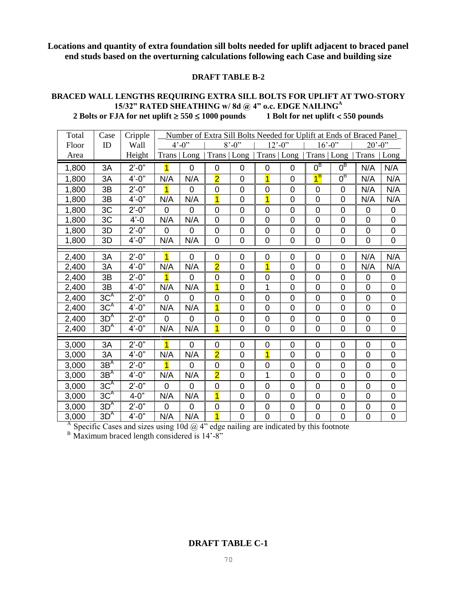**Locations and quantity of extra foundation sill bolts needed for uplift adjacent to braced panel end studs based on the overturning calculations following each Case and building size** 

#### **DRAFT TABLE B-2**

## **BRACED WALL LENGTHS REQUIRING EXTRA SILL BOLTS FOR UPLIFT AT TWO-STORY 15/32" RATED SHEATHING w/ 8d @ 4" o.c. EDGE NAILING<sup>A</sup> 2 Bolts or FJA for net uplift**  $\ge 550 \le 1000$  **pounds** 1 Bolt for net uplift  $\lt 550$  pounds

| Total | Case            | Cripple          |                         | Number of Extra Sill Bolts Needed for Uplift at Ends of Braced Panel |                         |                         |                          |                |                |                        |                          |                  |
|-------|-----------------|------------------|-------------------------|----------------------------------------------------------------------|-------------------------|-------------------------|--------------------------|----------------|----------------|------------------------|--------------------------|------------------|
| Floor | ID              | Wall             |                         | $4^{\circ} - 0^{\circ}$                                              |                         | $8^{\circ} - 0^{\circ}$ | $12^{\circ} - 0^{\circ}$ |                | $16' - 0$ "    |                        | $20^{\circ} - 0^{\circ}$ |                  |
| Area  |                 | Height           | Trans                   | Long                                                                 | Trans   Long            |                         | Trans   Long             |                | Trans   Long   |                        | <b>Trans</b>             | Long             |
| 1,800 | 3A              | $2' - 0''$       | $\overline{\mathbf{1}}$ | $\mathbf 0$                                                          | 0                       | 0                       | $\mathbf 0$              | 0              | $0^{\text{B}}$ | $0^{\text{B}}$         | N/A                      | N/A              |
| 1,800 | 3A              | $4'-0''$         | N/A                     | N/A                                                                  | $\overline{\mathbf{2}}$ | $\mathbf 0$             | $\overline{1}$           | 0              | $1^B$          | $\overline{0}^{\rm B}$ | N/A                      | N/A              |
| 1,800 | 3B              | $2^{\prime}$ -0" | $\overline{1}$          | $\overline{0}$                                                       | 0                       | $\overline{0}$          | $\overline{0}$           | $\mathbf 0$    | $\mathbf 0$    | $\overline{0}$         | N/A                      | N/A              |
| 1,800 | 3B              | $4'-0''$         | N/A                     | N/A                                                                  | $\overline{1}$          | $\overline{0}$          | $\overline{1}$           | $\mathbf 0$    | $\overline{0}$ | $\overline{0}$         | N/A                      | N/A              |
| 1,800 | 3C              | $2^{\prime}$ -0" | 0                       | 0                                                                    | 0                       | $\mathbf 0$             | $\mathbf 0$              | $\mathbf 0$    | $\mathbf 0$    | 0                      | 0                        | 0                |
| 1,800 | 3C              | $4' - 0$         | N/A                     | N/A                                                                  | 0                       | $\overline{0}$          | $\overline{0}$           | $\overline{0}$ | $\overline{0}$ | $\overline{0}$         | $\overline{0}$           | $\mathsf 0$      |
| 1,800 | 3D              | $2' - 0''$       | $\overline{0}$          | $\overline{0}$                                                       | 0                       | $\mathbf 0$             | $\overline{0}$           | 0              | $\mathbf 0$    | $\mathbf 0$            | 0                        | $\mathbf 0$      |
| 1,800 | 3D              | $4'-0''$         | N/A                     | N/A                                                                  | 0                       | $\overline{0}$          | $\overline{0}$           | $\overline{0}$ | $\overline{0}$ | $\overline{0}$         | $\overline{0}$           | $\mathbf 0$      |
| 2,400 | 3A              | $2' - 0''$       | $\overline{1}$          | $\overline{0}$                                                       | 0                       | $\mathbf 0$             | $\overline{0}$           | 0              | $\mathbf 0$    | 0                      | N/A                      | N/A              |
| 2,400 | 3A              | $4'-0"$          | N/A                     | N/A                                                                  | $\overline{2}$          | $\overline{0}$          | $\overline{1}$           | $\overline{0}$ | $\overline{0}$ | $\overline{0}$         | N/A                      | N/A              |
| 2,400 | 3B              | $2'-0"$          | $\mathbf{1}$            | 0                                                                    | 0                       | $\mathbf 0$             | $\mathbf 0$              | 0              | $\mathbf 0$    | 0                      | 0                        | 0                |
| 2,400 | 3B              | $4'-0''$         | N/A                     | N/A                                                                  | $\overline{1}$          | $\overline{0}$          | 1                        | $\overline{0}$ | $\overline{0}$ | $\overline{0}$         | $\overline{0}$           | $\mathbf 0$      |
| 2,400 | 3C <sup>A</sup> | $2' - 0''$       | $\overline{0}$          | 0                                                                    | 0                       | $\mathbf 0$             | $\overline{0}$           | $\mathbf 0$    | $\mathbf 0$    | 0                      | 0                        | $\mathbf 0$      |
| 2,400 | 3C <sup>A</sup> | $4' - 0''$       | N/A                     | N/A                                                                  | $\overline{1}$          | $\mathbf 0$             | $\overline{0}$           | $\mathbf 0$    | $\overline{0}$ | $\mathbf 0$            | $\mathbf 0$              | $\boldsymbol{0}$ |
| 2,400 | 3D <sup>A</sup> | $2' - 0''$       | 0                       | 0                                                                    | 0                       | $\mathbf 0$             | $\mathbf 0$              | $\mathbf 0$    | $\mathbf 0$    | $\mathbf 0$            | $\mathbf 0$              | $\boldsymbol{0}$ |
| 2,400 | 3D <sup>A</sup> | $4'-0''$         | N/A                     | N/A                                                                  | 1                       | $\overline{0}$          | $\mathbf 0$              | $\mathbf 0$    | $\overline{0}$ | $\mathbf 0$            | $\mathbf 0$              | $\mathbf 0$      |
| 3,000 | 3A              | $2'-0"$          | $\overline{1}$          | 0                                                                    | 0                       | 0                       | 0                        | 0              | 0              | 0                      | 0                        | 0                |
| 3,000 | 3A              | $4'-0''$         | N/A                     | N/A                                                                  | $\overline{2}$          | $\overline{0}$          | $\overline{1}$           | $\mathbf 0$    | $\overline{0}$ | $\overline{0}$         | $\overline{0}$           | $\overline{0}$   |
| 3,000 | 3B <sup>A</sup> | $2'-0"$          | $\overline{1}$          | $\overline{0}$                                                       | 0                       | $\mathbf 0$             | $\mathbf 0$              | $\mathbf 0$    | $\mathbf 0$    | $\mathbf 0$            | 0                        | $\mathbf 0$      |
| 3,000 | 3B <sup>A</sup> | $4'-0''$         | N/A                     | N/A                                                                  | $\overline{\mathbf{2}}$ | $\overline{0}$          | 1                        | $\overline{0}$ | $\overline{0}$ | $\overline{0}$         | $\overline{0}$           | $\overline{0}$   |
| 3,000 | 3C <sup>A</sup> | $2'-0"$          | 0                       | $\overline{0}$                                                       | 0                       | $\mathbf 0$             | $\mathbf 0$              | $\mathbf 0$    | $\mathbf 0$    | $\mathbf 0$            | 0                        | $\mathbf 0$      |
| 3,000 | 3C <sup>A</sup> | $4 - 0"$         | N/A                     | N/A                                                                  | $\overline{1}$          | $\mathbf 0$             | $\overline{0}$           | $\mathbf 0$    | $\overline{0}$ | $\mathbf 0$            | $\overline{0}$           | $\mathsf 0$      |
| 3,000 | 3D <sup>A</sup> | $2^{\prime}$ -0" | 0                       | 0                                                                    | 0                       | $\mathbf 0$             | $\mathbf 0$              | $\mathbf 0$    | $\mathbf 0$    | 0                      | $\mathbf 0$              | $\boldsymbol{0}$ |
| 3,000 | $3D^{A}$        | $4'-0''$         | N/A                     | N/A                                                                  | $\overline{1}$          | $\overline{0}$          | $\overline{0}$           | $\overline{0}$ | $\overline{0}$ | $\overline{0}$         | $\overline{0}$           | $\overline{0}$   |

<sup>A</sup> Specific Cases and sizes using 10d  $\omega$  4" edge nailing are indicated by this footnote

 $B$  Maximum braced length considered is  $14'$ -8"

# **DRAFT TABLE C-1**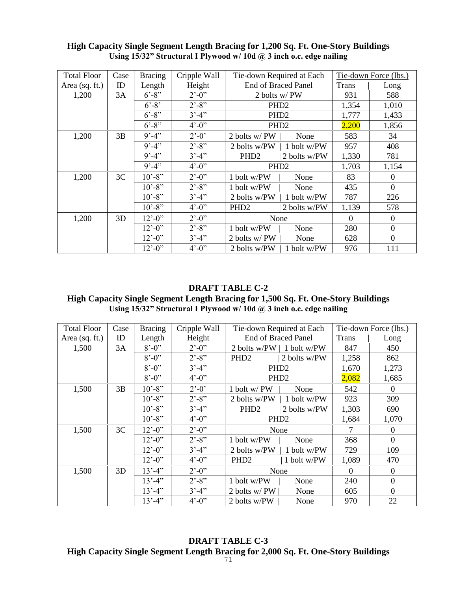| <b>Total Floor</b> | Case | <b>Bracing</b>               | Cripple Wall            | Tie-down Required at Each  |              |              | Tie-down Force (lbs.) |
|--------------------|------|------------------------------|-------------------------|----------------------------|--------------|--------------|-----------------------|
| Area (sq. ft.)     | ID   | Length                       | Height                  | <b>End of Braced Panel</b> |              | <b>Trans</b> | Long                  |
| 1,200              | 3A   | $6' - 8''$                   | $2^{\prime}$ -0"        | 2 bolts w/PW               |              | 931          | 588                   |
|                    |      | $6' - 8'$                    | $2^{\prime}$ -8"        | PHD <sub>2</sub>           |              | 1,354        | 1,010                 |
|                    |      | $6' - 8''$                   | $3' - 4''$              | PHD <sub>2</sub>           |              | 1,777        | 1,433                 |
|                    |      | $6' - 8''$                   | $4^{\circ} - 0^{\circ}$ | PHD <sub>2</sub>           |              | 2,200        | 1,856                 |
| 1,200              | 3B   | $9' - 4''$                   | $2^{\circ} - 0^{\circ}$ | 2 bolts w/PW               | None         | 583          | 34                    |
|                    |      | $9' - 4''$                   | $2^{\prime}$ -8"        | 2 bolts w/PW               | 1 bolt w/PW  | 957          | 408                   |
|                    |      | $9' - 4''$                   | $3' - 4''$              | PHD <sub>2</sub>           | 2 bolts w/PW | 1,330        | 781                   |
|                    |      | $9' - 4''$                   | $4^{\circ} - 0^{\circ}$ | PHD <sub>2</sub>           |              | 1,703        | 1,154                 |
| 1,200              | 3C   | $10' - 8''$                  | $2^{\prime}$ -0"        | 1 bolt w/PW                | None         | 83           | $\mathbf{0}$          |
|                    |      | $10' - 8''$                  | $2^{\prime}$ -8"        | 1 bolt w/PW                | None         | 435          | $\boldsymbol{0}$      |
|                    |      | $10' - 8''$                  | $3' - 4''$              | 2 bolts w/PW               | 1 bolt w/PW  | 787          | 226                   |
|                    |      | $10' - 8''$                  | $4^{\circ} - 0^{\circ}$ | PHD <sub>2</sub>           | 2 bolts w/PW | 1,139        | 578                   |
| 1,200              | 3D   | $12^{\circ} - 0^{\circ}$     | $2^{\prime}$ -0"        | None                       |              | $\Omega$     | $\theta$              |
|                    |      | $12^{\circ} - 0^{\circ}$     | $2^{\prime}$ -8"        | 1 bolt w/PW                | None         | 280          | $\boldsymbol{0}$      |
|                    |      | $12^{\circ} - 0^{\circ}$     | $3' - 4''$              | 2 bolts w/PW               | None         | 628          | $\overline{0}$        |
|                    |      | $12^{\degree} - 0^{\degree}$ | $4^{\circ} - 0^{\circ}$ | 2 bolts w/PW               | 1 bolt w/PW  | 976          | 111                   |

## **High Capacity Single Segment Length Bracing for 1,200 Sq. Ft. One-Story Buildings Using 15/32" Structural I Plywood w/ 10d @ 3 inch o.c. edge nailing**

# **DRAFT TABLE C-2**

# **High Capacity Single Segment Length Bracing for 1,500 Sq. Ft. One-Story Buildings Using 15/32" Structural I Plywood w/ 10d @ 3 inch o.c. edge nailing**

| <b>Total Floor</b> | Case | <b>Bracing</b>               | Cripple Wall                | Tie-down Required at Each        |          | Tie-down Force (lbs.) |
|--------------------|------|------------------------------|-----------------------------|----------------------------------|----------|-----------------------|
| Area (sq. ft.)     | ID   | Length                       | Height                      | <b>End of Braced Panel</b>       | Trans    | Long                  |
| 1,500              | 3A   | $8^{\circ} - 0^{\circ}$      | $2^{\degree} - 0^{\degree}$ | 2 bolts w/PW  <br>1 bolt w/PW    | 847      | 450                   |
|                    |      | $8' - 0''$                   | $2^{\prime}$ -8"            | PHD <sub>2</sub><br>2 bolts w/PW | 1,258    | 862                   |
|                    |      | $8' - 0''$                   | $3' - 4'$                   | PHD <sub>2</sub>                 | 1,670    | 1,273                 |
|                    |      | $8' - 0''$                   | $4^{\circ} - 0^{\circ}$     | PHD <sub>2</sub>                 | 2,082    | 1,685                 |
| 1,500              | 3B   | $10' - 8''$                  | $2^{\circ} - 0^{\circ}$     | 1 bolt w/PW<br>None              | 542      | $\overline{0}$        |
|                    |      | $10' - 8''$                  | $2^{\prime}$ -8"            | 2 bolts w/PW<br>1 bolt w/PW      | 923      | 309                   |
|                    |      | $10^{\circ} - 8^{\circ}$     | $3' - 4''$                  | PHD <sub>2</sub><br>2 bolts w/PW | 1,303    | 690                   |
|                    |      | $10' - 8''$                  | $4^{\circ} - 0^{\circ}$     | PHD <sub>2</sub>                 | 1,684    | 1,070                 |
| 1,500              | 3C   | $12^{\degree} - 0^{\degree}$ | $2^{\prime}$ -0"            | None                             | 7        | $\mathbf{0}$          |
|                    |      | $12^{\circ} - 0^{\circ}$     | $2^{\prime}$ -8"            | 1 bolt w/PW<br>None              | 368      | $\mathbf{0}$          |
|                    |      | $12^{\circ} - 0^{\circ}$     | $3' - 4''$                  | 2 bolts w/PW<br>1 bolt w/PW      | 729      | 109                   |
|                    |      | $12^{\degree} - 0^{\degree}$ | $4^{\circ} - 0^{\circ}$     | PHD <sub>2</sub><br>1 bolt w/PW  | 1,089    | 470                   |
| 1,500              | 3D   | $13' - 4''$                  | $2^{\prime}$ -0"            | None                             | $\Omega$ | $\theta$              |
|                    |      | $13' - 4''$                  | $2^{\degree} - 8^{\degree}$ | 1 bolt w/PW<br>None              | 240      | $\boldsymbol{0}$      |
|                    |      | $13' - 4''$                  | $3' - 4'$                   | 2 bolts w/ PW<br>None            | 605      | $\theta$              |
|                    |      | $13' - 4''$                  | $4^{\circ} - 0^{\circ}$     | 2 bolts w/PW<br>None             | 970      | 22                    |

**DRAFT TABLE C-3 High Capacity Single Segment Length Bracing for 2,000 Sq. Ft. One-Story Buildings**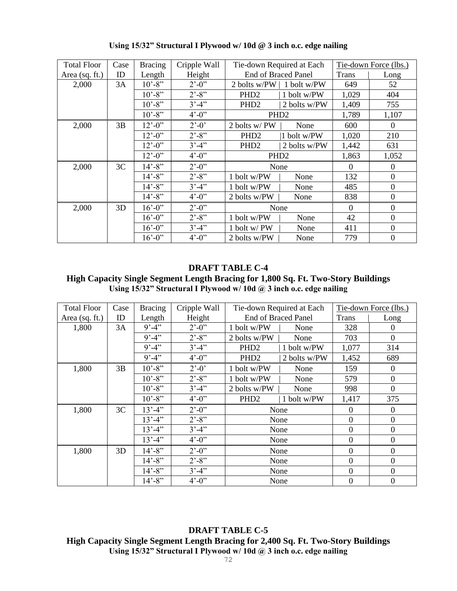| <b>Total Floor</b> | Case | <b>Bracing</b>               | Cripple Wall                |                            | Tie-down Required at Each |              | Tie-down Force (lbs.) |
|--------------------|------|------------------------------|-----------------------------|----------------------------|---------------------------|--------------|-----------------------|
| Area $(sq. ft.)$   | ID   | Length                       | Height                      | <b>End of Braced Panel</b> |                           | <b>Trans</b> | Long                  |
| 2,000              | 3A   | $10' - 8''$                  | $2^{\degree} - 0^{\degree}$ | 2 bolts w/PW   1 bolt w/PW |                           | 649          | 52                    |
|                    |      | $10' - 8''$                  | $2^{\degree} - 8^{\degree}$ | PHD <sub>2</sub>           | 1 bolt w/PW               | 1,029        | 404                   |
|                    |      | $10' - 8''$                  | $3' - 4''$                  | PHD <sub>2</sub>           | 2 bolts w/PW              | 1,409        | 755                   |
|                    |      | $10' - 8''$                  | $4^{\circ} - 0^{\circ}$     | PHD <sub>2</sub>           |                           | 1,789        | 1,107                 |
| 2,000              | 3B   | $12^{\degree} - 0^{\degree}$ | $2^{\degree} - 0^{\degree}$ | 2 bolts w/PW               | None                      | 600          | $\overline{0}$        |
|                    |      | $12^{\degree} - 0^{\degree}$ | $2^{\prime}$ -8"            | PHD <sub>2</sub>           | 1 bolt w/PW               | 1,020        | 210                   |
|                    |      | $12^{\degree} - 0^{\degree}$ | $3' - 4''$                  | PHD <sub>2</sub>           | 2 bolts w/PW              | 1,442        | 631                   |
|                    |      | $12^{\degree} - 0^{\degree}$ | $4^{\circ} - 0^{\circ}$     | PHD <sub>2</sub>           |                           | 1,863        | 1,052                 |
| 2,000              | 3C   | $14' - 8''$                  | $2^{\prime}$ -0"            | None                       |                           | $\Omega$     | $\overline{0}$        |
|                    |      | $14' - 8''$                  | $2^{\degree} - 8^{\degree}$ | 1 bolt w/PW                | None                      | 132          | $\overline{0}$        |
|                    |      | $14' - 8''$                  | $3' - 4''$                  | 1 bolt w/PW                | None                      | 485          | $\overline{0}$        |
|                    |      | $14 - 8$ "                   | $4^{\circ} - 0^{\circ}$     | 2 bolts w/PW               | None                      | 838          | $\overline{0}$        |
| 2,000              | 3D   | $16' - 0$ "                  | $2^{\prime}$ -0"            | None                       |                           | $\Omega$     | $\theta$              |
|                    |      | $16' - 0$ "                  | $2^{\prime}$ -8"            | 1 bolt w/PW                | None                      | 42           | $\Omega$              |
|                    |      | $16' - 0$ "                  | $3' - 4'$                   | 1 bolt w/ PW               | None                      | 411          | $\Omega$              |
|                    |      | $16' - 0$ "                  | $4^{\circ} - 0^{\circ}$     | 2 bolts w/PW               | None                      | 779          | $\boldsymbol{0}$      |

**Using 15/32" Structural I Plywood w/ 10d @ 3 inch o.c. edge nailing**

## **DRAFT TABLE C-4**

**High Capacity Single Segment Length Bracing for 1,800 Sq. Ft. Two-Story Buildings** Using 15/32" Structural I Plywood w/ 10d @ 3 inch o.c. edge nailing

| <b>Total Floor</b> | Case | <b>Bracing</b> | Cripple Wall                |                  | Tie-down Required at Each  |                | Tie-down Force (lbs.) |
|--------------------|------|----------------|-----------------------------|------------------|----------------------------|----------------|-----------------------|
| Area (sq. ft.)     | ID   | Length         | Height                      |                  | <b>End of Braced Panel</b> | <b>Trans</b>   | Long                  |
| 1,800              | 3A   | $9' - 4''$     | $2^{\prime}$ -0"            | 1 bolt w/PW      | None                       | 328            | $\theta$              |
|                    |      | $9' - 4''$     | $2^{\prime}$ -8"            | 2 bolts w/PW     | None                       | 703            | $\mathbf{0}$          |
|                    |      | $9' - 4''$     | $3' - 4''$                  | PHD <sub>2</sub> | 1 bolt w/PW                | 1,077          | 314                   |
|                    |      | $9' - 4''$     | $4^{\circ} - 0^{\circ}$     | PHD <sub>2</sub> | 2 bolts w/PW               | 1,452          | 689                   |
| 1,800              | 3B   | $10' - 8''$    | $2^{\circ} - 0^{\circ}$     | 1 bolt w/PW      | None                       | 159            | $\boldsymbol{0}$      |
|                    |      | $10' - 8''$    | $2^{\prime}$ -8"            | 1 bolt w/PW      | None                       | 579            | $\boldsymbol{0}$      |
|                    |      | $10' - 8"$     | $3' - 4''$                  | 2 bolts w/PW     | None                       | 998            | $\mathbf{0}$          |
|                    |      | $10' - 8''$    | $4^{\circ} - 0^{\circ}$     | PHD <sub>2</sub> | 1 bolt w/PW                | 1,417          | 375                   |
| 1,800              | 3C   | $13' - 4''$    | $2^{\prime}$ -0"            |                  | None                       | $\theta$       | $\overline{0}$        |
|                    |      | $13' - 4''$    | $2^{\prime}$ -8"            |                  | None                       | $\theta$       | $\boldsymbol{0}$      |
|                    |      | $13' - 4''$    | $3' - 4'$                   |                  | None                       | $\overline{0}$ | $\overline{0}$        |
|                    |      | $13' - 4''$    | $4^{\circ} - 0^{\circ}$     |                  | None                       | $\overline{0}$ | $\mathbf{0}$          |
| 1,800              | 3D   | $14' - 8''$    | $2^{\degree} - 0^{\degree}$ |                  | None                       | $\theta$       | $\mathbf{0}$          |
|                    |      | $14' - 8''$    | $2^{\prime}$ -8"            |                  | None                       | $\overline{0}$ | $\mathbf{0}$          |
|                    |      | $14' - 8''$    | $3' - 4'$                   |                  | None                       | $\overline{0}$ | $\boldsymbol{0}$      |
|                    |      | $14' - 8''$    | $4^{\circ} - 0^{\circ}$     |                  | None                       | $\mathbf{0}$   | $\boldsymbol{0}$      |

**DRAFT TABLE C-5 High Capacity Single Segment Length Bracing for 2,400 Sq. Ft. Two-Story Buildings Using 15/32" Structural I Plywood w/ 10d @ 3 inch o.c. edge nailing**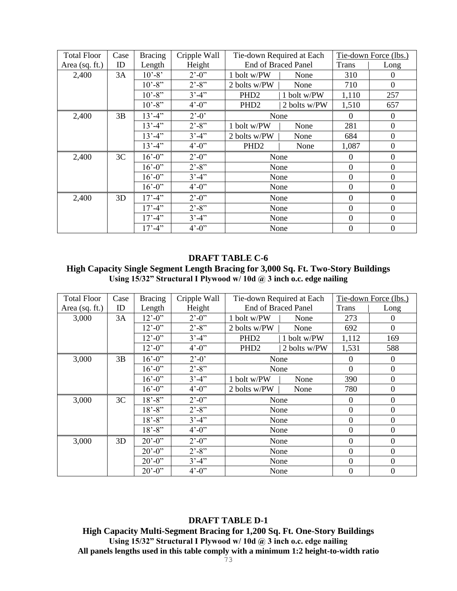| <b>Total Floor</b> | Case | <b>Bracing</b>     | Cripple Wall                 |                            | Tie-down Required at Each |                | Tie-down Force (lbs.) |
|--------------------|------|--------------------|------------------------------|----------------------------|---------------------------|----------------|-----------------------|
| Area $(sq. ft.)$   | ID   | Length             | Height                       | <b>End of Braced Panel</b> |                           | <b>Trans</b>   | Long                  |
| 2,400              | 3A   | $10' - 8'$         | $2^{\degree} - 0^{\degree}$  | 1 bolt w/PW                | None                      | 310            | $\overline{0}$        |
|                    |      | $10' - 8"$         | $2^{\degree} - 8^{\degree}$  | 2 bolts w/PW               | None                      | 710            | $\mathbf{0}$          |
|                    |      | $10' - 8"$         | $3' - 4''$                   | PHD <sub>2</sub>           | 1 bolt w/PW               | 1,110          | 257                   |
|                    |      | $10' - 8''$        | $4^{\circ} - 0^{\circ}$      | PHD <sub>2</sub>           | 2 bolts w/PW              | 1,510          | 657                   |
| 2,400              | 3B   | $13' - 4''$        | $2^{\degree} - 0^{\degree}$  |                            | None                      | $\Omega$       | $\theta$              |
|                    |      | $13' - 4''$        | $2^{\degree} - 8^{\degree}$  | 1 bolt w/PW                | None                      | 281            | $\overline{0}$        |
|                    |      | $13' - 4''$        | $3' - 4''$                   | 2 bolts w/PW               | None                      | 684            | $\overline{0}$        |
|                    |      | $13' - 4''$        | $4^{\circ} - 0^{\circ}$      | PHD <sub>2</sub>           | None                      | 1,087          | $\boldsymbol{0}$      |
| 2,400              | 3C   | $16' - 0$ "        | $2^{\prime}$ -0 <sup>"</sup> |                            | None                      | $\theta$       | $\mathbf{0}$          |
|                    |      | $16' - 0$ "        | $2^{\degree} - 8^{\degree}$  |                            | None                      | $\theta$       | $\overline{0}$        |
|                    |      | $16^{\circ} - 0$ " | $3' - 4'$                    |                            | None                      | $\theta$       | $\overline{0}$        |
|                    |      | $16' - 0$ "        | $4^{\circ} - 0^{\circ}$      |                            | None                      | $\Omega$       | $\mathbf{0}$          |
| 2,400              | 3D   | $17' - 4''$        | $2^{\prime}$ -0"             |                            | None                      | $\theta$       | $\boldsymbol{0}$      |
|                    |      | $17' - 4''$        | $2^{\degree} - 8^{\degree}$  |                            | None                      | $\overline{0}$ | $\overline{0}$        |
|                    |      | $17' - 4''$        | $3' - 4''$                   |                            | None                      | $\theta$       | $\overline{0}$        |
|                    |      | $17' - 4''$        | $4^{\circ} - 0^{\circ}$      |                            | None                      | $\theta$       | $\boldsymbol{0}$      |

**High Capacity Single Segment Length Bracing for 3,000 Sq. Ft. Two-Story Buildings Using 15/32" Structural I Plywood w/ 10d @ 3 inch o.c. edge nailing**

| <b>Total Floor</b> | Case | <b>Bracing</b>               | Cripple Wall                 |                            | Tie-down Required at Each |                | Tie-down Force (lbs.) |
|--------------------|------|------------------------------|------------------------------|----------------------------|---------------------------|----------------|-----------------------|
| Area (sq. ft.)     | ID   | Length                       | Height                       | <b>End of Braced Panel</b> |                           | <b>Trans</b>   | Long                  |
| 3,000              | 3A   | $12^{\degree} - 0^{\degree}$ | $2^{\prime}$ -0 <sup>"</sup> | 1 bolt w/PW                | None                      | 273            | $\Omega$              |
|                    |      | $12^{\circ} - 0^{\circ}$     | $2^{\prime}$ -8"             | 2 bolts w/PW               | None                      | 692            | $\overline{0}$        |
|                    |      | $12^{\degree} - 0^{\degree}$ | $3' - 4''$                   | PHD <sub>2</sub>           | 1 bolt w/PW               | 1,112          | 169                   |
|                    |      | $12^{\degree} - 0^{\degree}$ | $4^{\circ} - 0^{\circ}$      | PHD <sub>2</sub>           | 2 bolts w/PW              | 1,531          | 588                   |
| 3,000              | 3B   | $16' - 0$ "                  | $2^{\degree} - 0^{\degree}$  | None                       |                           | $\theta$       | $\mathbf{0}$          |
|                    |      | $16' - 0$ "                  | $2^{\prime}$ -8"             |                            | None                      | $\Omega$       | $\mathbf{0}$          |
|                    |      | $16^{\circ} - 0$ "           | $3' - 4''$                   | 1 bolt w/PW                | None                      | 390            | $\mathbf{0}$          |
|                    |      | $16' - 0$ "                  | $4^{\circ} - 0^{\circ}$      | 2 bolts w/PW               | None                      | 780            | $\overline{0}$        |
| 3,000              | 3C   | $18' - 8''$                  | $2^{\prime}$ -0"             |                            | None                      | $\overline{0}$ | $\overline{0}$        |
|                    |      | $18' - 8''$                  | $2^{\prime}$ -8"             |                            | None                      | $\overline{0}$ | $\boldsymbol{0}$      |
|                    |      | $18' - 8''$                  | $3' - 4'$                    |                            | None                      | $\overline{0}$ | $\boldsymbol{0}$      |
|                    |      | $18' - 8''$                  | $4^{\circ} - 0^{\circ}$      |                            | None                      | $\overline{0}$ | $\boldsymbol{0}$      |
| 3,000              | 3D   | $20' - 0''$                  | $2^{\prime}$ -0 <sup>"</sup> |                            | None                      | $\Omega$       | $\Omega$              |
|                    |      | $20' - 0''$                  | $2^{\prime}$ -8"             |                            | None                      | $\Omega$       | $\overline{0}$        |
|                    |      | $20^{\circ} - 0^{\circ}$     | $3' - 4''$                   |                            | None                      | $\Omega$       | $\Omega$              |
|                    |      | $20^{\circ} - 0^{\circ}$     | $4^{\circ} - 0^{\circ}$      |                            | None                      | $\theta$       | $\boldsymbol{0}$      |

#### **DRAFT TABLE D-1**

**High Capacity Multi-Segment Bracing for 1,200 Sq. Ft. One-Story Buildings Using 15/32" Structural I Plywood w/ 10d @ 3 inch o.c. edge nailing All panels lengths used in this table comply with a minimum 1:2 height-to-width ratio**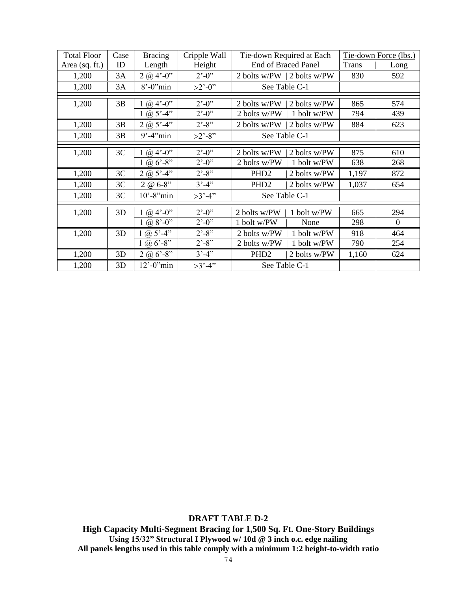| <b>Total Floor</b> | Case | <b>Bracing</b>        | Cripple Wall                 | Tie-down Required at Each        |              | Tie-down Force (lbs.) |
|--------------------|------|-----------------------|------------------------------|----------------------------------|--------------|-----------------------|
| Area (sq. ft.)     | ID   | Length                | Height                       | <b>End of Braced Panel</b>       | <b>Trans</b> | Long                  |
| 1,200              | 3A   | $2 @ 4'-0"$           | $2^{\prime}$ -0 <sup>"</sup> | 2 bolts w/PW   2 bolts w/PW      | 830          | 592                   |
| 1,200              | 3A   | $8^{\circ}$ -0" $min$ | $>2^{\degree}$ -0"           | See Table C-1                    |              |                       |
| 1,200              | 3B   | $1 \omega 4' - 0''$   | $2^{\prime}$ -0"             | 2 bolts w/PW<br>2 bolts w/PW     | 865          | 574                   |
|                    |      | 1 (a) $5' - 4''$      | $2^{\prime}$ -0"             | 2 bolts w/PW<br>1 bolt w/PW      | 794          | 439                   |
| 1,200              | 3B   | $2 @ 5' - 4"$         | $2^{\degree} - 8^{\degree}$  | 2 bolts w/PW<br>2 bolts w/PW     | 884          | 623                   |
| 1,200              | 3B   | $9' - 4''$ min        | $>2'$ -8"                    | See Table C-1                    |              |                       |
| 1,200              | 3C   | $(a)$ 4'-0"           | $2^{\prime}$ -0"             | 2 bolts w/PW<br>2 bolts w/PW     | 875          | 610                   |
|                    |      | $1 @ 6' - 8"$         | $2^{\prime}$ -0"             | 2 bolts w/PW<br>1 bolt w/PW      | 638          | 268                   |
| 1,200              | 3C   | $2 @ 5' - 4"$         | $2^{\degree} - 8^{\degree}$  | PHD <sub>2</sub><br>2 bolts w/PW | 1,197        | 872                   |
| 1,200              | 3C   | $2 @ 6-8"$            | $3' - 4''$                   | PHD <sub>2</sub><br>2 bolts w/PW | 1,037        | 654                   |
| 1,200              | 3C   | $10'$ -8" $min$       | $>3' - 4'$                   | See Table C-1                    |              |                       |
| 1,200              | 3D   | $1 \omega 4' - 0''$   | $2^{\prime}$ -0"             | 2 bolts w/PW<br>1 bolt w/PW      | 665          | 294                   |
|                    |      | $1 \omega 8' - 0''$   | $2^{\prime}$ -0"             | 1 bolt w/PW<br>None              | 298          | $\mathbf{0}$          |
| 1,200              | 3D   | 1 (a) $5^{\circ}$ -4" | $2^{\prime}$ -8"             | 2 bolts w/PW<br>1 bolt w/PW      | 918          | 464                   |
|                    |      | 1 @ $6'$ -8"          | $2^{\degree} - 8^{\degree}$  | 2 bolts w/PW<br>1 bolt w/PW      | 790          | 254                   |
| 1,200              | 3D   | 2 @ $6'$ -8"          | $3' - 4''$                   | PHD <sub>2</sub><br>2 bolts w/PW | 1,160        | 624                   |
| 1,200              | 3D   | $12'$ -0" $min$       | $>3' - 4'$                   | See Table C-1                    |              |                       |

**High Capacity Multi-Segment Bracing for 1,500 Sq. Ft. One-Story Buildings Using 15/32" Structural I Plywood w/ 10d @ 3 inch o.c. edge nailing All panels lengths used in this table comply with a minimum 1:2 height-to-width ratio**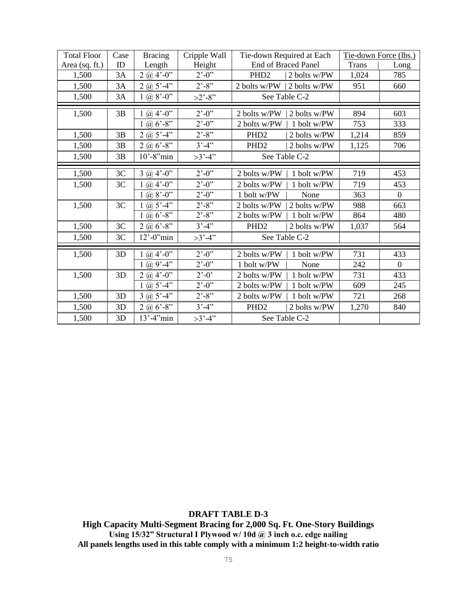| <b>Total Floor</b> | Case | <b>Bracing</b>                      | Cripple Wall                  | Tie-down Required at Each        | Tie-down Force (lbs.) |                  |
|--------------------|------|-------------------------------------|-------------------------------|----------------------------------|-----------------------|------------------|
| Area (sq. ft.)     | ID   | Length                              | Height                        | <b>End of Braced Panel</b>       | <b>Trans</b>          | Long             |
| 1,500              | 3A   | $2 @ 4' - 0''$                      | $2^{\prime}$ -0 <sup>77</sup> | PHD <sub>2</sub><br>2 bolts w/PW | 1,024                 | 785              |
| 1,500              | 3A   | $2(a) 5'-4"$                        | $2^{\degree} - 8^{\degree}$   | 2 bolts w/PW<br>2 bolts w/PW     | 951                   | 660              |
| 1,500              | 3A   | $1 @ 8'-0"$                         | $>2'$ -8"                     | See Table C-2                    |                       |                  |
| 1,500              | 3B   | $1 \omega 4' - 0''$                 | $2^{\prime}$ -0"              | 2 bolts w/PW<br>2 bolts w/PW     | 894                   | 603              |
|                    |      | $1 @ 6' - 8"$                       | $2^{\degree} - 0^{\degree}$   | 2 bolts w/PW<br>1 bolt w/PW      | 753                   | 333              |
| 1,500              | 3B   | $2 @ 5' - 4"$                       | $2^{\degree} - 8^{\degree}$   | PHD <sub>2</sub><br>2 bolts w/PW | 1,214                 | 859              |
| 1,500              | 3B   | 2 @ $6'$ -8"                        | $3'-4"$                       | PHD <sub>2</sub><br>2 bolts w/PW | 1,125                 | 706              |
| 1,500              | 3B   | $10'$ -8" $min$                     | $>3' - 4"$                    | See Table C-2                    |                       |                  |
| 1,500              | 3C   | $3 @ 4'-0"$                         | $2^{\degree} - 0^{\degree}$   | 2 bolts w/PW<br>1 bolt w/PW      | 719                   | 453              |
| 1,500              | 3C   | $1 \omega 4'-0$ "                   | $2^{\degree} - 0^{\degree}$   | 2 bolts w/PW<br>1 bolt w/PW      | 719                   | 453              |
|                    |      | 1 (a) $8^{\circ}$ -0"               | $2^{\prime}$ -0"              | 1 bolt w/PW<br>None              | 363                   | $\boldsymbol{0}$ |
| 1,500              | 3C   | 1 (a) $5^{\circ}$ -4 $\overline{1}$ | $2^{\degree} - 8^{\degree}$   | 2 bolts w/PW<br>2 bolts w/PW     | 988                   | 663              |
|                    |      | $1 @ 6' - 8"$                       | $2^{\prime}$ -8"              | 2 bolts w/PW<br>1 bolt w/PW      | 864                   | 480              |
| 1,500              | 3C   | $2(a) 6'-8$ "                       | $3' - 4''$                    | PHD <sub>2</sub><br>2 bolts w/PW | 1,037                 | 564              |
| 1,500              | 3C   | $12^{\circ}$ -0" $\min$             | $>3' - 4"$                    | See Table C-2                    |                       |                  |
| 1,500              | 3D   | $1 \omega 4'-0$ "                   | $2^{\degree} - 0^{\degree}$   | 2 bolts w/PW<br>1 bolt w/PW      | 731                   | 433              |
|                    |      | 1 @ $9' - 4''$                      | $2^{\prime}$ -0"              | 1 bolt w/PW<br>None              | 242                   | $\overline{0}$   |
| 1,500              | 3D   | $2(a)$ 4'-0"                        | $2^{\degree} - 0^{\degree}$   | 2 bolts w/PW<br>1 bolt w/PW      | 731                   | 433              |
|                    |      | 1 (a) $5' - 4''$                    | $2^{\degree} - 0^{\degree}$   | 2 bolts w/PW<br>1 bolt w/PW      | 609                   | 245              |
| 1,500              | 3D   | $3 @ 5'-4"$                         | $2^{\degree} - 8^{\degree}$   | 2 bolts w/PW<br>1 bolt w/PW      | 721                   | 268              |
| 1,500              | 3D   | $2 @ 6' - 8"$                       | $3'-4"$                       | PHD <sub>2</sub><br>2 bolts w/PW | 1,270                 | 840              |
| 1,500              | 3D   | $13' - 4''$ min                     | $>3' - 4"$                    | See Table C-2                    |                       |                  |

**High Capacity Multi-Segment Bracing for 2,000 Sq. Ft. One-Story Buildings Using 15/32" Structural I Plywood w/ 10d @ 3 inch o.c. edge nailing All panels lengths used in this table comply with a minimum 1:2 height-to-width ratio**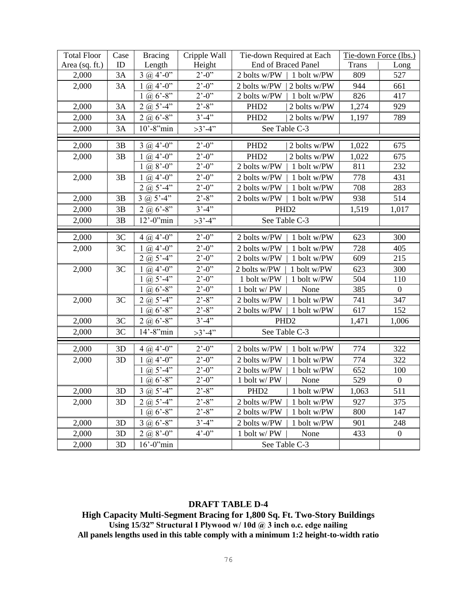| <b>Total Floor</b> | Case | <b>Bracing</b>                                            | Cripple Wall                 |                     | Tie-down Required at Each | Tie-down Force (lbs.) |                  |
|--------------------|------|-----------------------------------------------------------|------------------------------|---------------------|---------------------------|-----------------------|------------------|
| Area (sq. ft.)     | ID   | Length                                                    | Height                       | End of Braced Panel |                           | <b>Trans</b>          | Long             |
| 2,000              | 3A   | $3 @ 4'-0"$                                               | $2^{\prime}$ -0"             | 2 bolts w/PW        | 1 bolt w/PW               | 809                   | 527              |
| 2,000              | 3A   | $1 \omega 4'-0$ "                                         | $2^{\prime}$ -0"             | 2 bolts w/PW        | 2 bolts w/PW              | 944                   | 661              |
|                    |      | 1 (a) $6'$ -8"                                            | $2^{\prime}$ -0"             | 2 bolts w/PW        | 1 bolt w/PW               | 826                   | 417              |
| 2,000              | 3A   | $2(a) 5'-4"$                                              | $2^{\prime}$ -8"             | PHD <sub>2</sub>    | 2 bolts w/PW              | 1,274                 | 929              |
| 2,000              | 3A   | $2(a) 6' - 8''$                                           | $3' - 4''$                   | PHD <sub>2</sub>    | 2 bolts w/PW              | 1,197                 | 789              |
| 2,000              | 3A   | $\overline{10}$ '-8"min                                   | $>3' - 4"$                   |                     | See Table C-3             |                       |                  |
| 2,000              | 3B   | $3 \omega 4'-0$ "                                         | $2^{\prime}$ -0"             | PHD <sub>2</sub>    | 2 bolts w/PW              | 1,022                 | 675              |
| 2,000              | 3B   | 1 (a) $4^{\prime}$ -0 <sup>77</sup>                       | $2^{\degree} - 0^{\degree}$  | PHD <sub>2</sub>    | 2 bolts w/PW              | 1,022                 | 675              |
|                    |      | $1 \omega 8'-0$ "                                         | $2^{\degree} - 0^{\degree}$  | 2 bolts w/PW        | 1 bolt w/PW               | 811                   | 232              |
| 2,000              | 3B   | 1 (a) $4^{\circ}$ -0"                                     | $2^{\prime}$ -0"             | 2 bolts w/PW        | 1 bolt w/PW               | 778                   | 431              |
|                    |      | $2 @ 5' - 4"$                                             | $2^{\degree} - 0^{\degree}$  | 2 bolts w/PW        | 1 bolt w/PW               | 708                   | 283              |
| 2,000              | 3B   | $3 \omega 5' - 4''$                                       | $2^{\degree} - 8^{\degree}$  | 2 bolts w/PW        | 1 bolt w/PW               | 938                   | 514              |
| 2,000              | 3B   | $2 @ 6' - 8''$                                            | $3' - 4''$                   | PHD <sub>2</sub>    |                           | 1,519                 | 1,017            |
| 2,000              | 3B   | $\overline{12}$ <sup>'</sup> -0 <sup>'</sup> 'min         | $>3' - 4"$                   |                     | See Table C-3             |                       |                  |
| 2,000              | 3C   | 4 ( $\omega$ ) 4'-0"                                      | $2^{\prime}$ -0"             | 2 bolts w/PW        | 1 bolt w/PW               | 623                   | 300              |
| 2,000              | 3C   | 1 (a) $4^{\circ}$ -0 <sup><math>\overline{)}</math></sup> | $2^{\prime}$ -0"             | 2 bolts w/PW        | 1 bolt w/PW               | 728                   | 405              |
|                    |      | $2(a) 5'-4"$                                              | $2^{\prime}$ -0"             | 2 bolts w/PW        | 1 bolt w/PW               | 609                   | 215              |
| 2,000              | 3C   | $1 \omega 4'-0$                                           | $2^{\cdot}$ -0 <sup>77</sup> | 2 bolts w/PW        | 1 bolt w/PW               | 623                   | 300              |
|                    |      | 1 (a) $5' - 4''$                                          | $2^{\degree} - 0^{\degree}$  | 1 bolt w/PW         | 1 bolt w/PW               | 504                   | 110              |
|                    |      | 1 (a) $6'$ -8"                                            | $2^{\degree} - 0^{\degree}$  | 1 bolt w/PW         | None                      | 385                   | $\mathbf{0}$     |
| 2,000              | 3C   | $2\omega 5' - 4''$                                        | $2^{\prime}$ -8"             | 2 bolts w/PW        | 1 bolt w/PW               | 741                   | 347              |
|                    |      | $1 \omega_6$ 6'-8"                                        | $2^{\prime}$ -8"             | 2 bolts w/PW        | 1 bolt w/PW               | 617                   | 152              |
| 2,000              | 3C   | $2\omega_0 6' - 8''$                                      | $3' - 4''$                   |                     | PHD <sub>2</sub>          | 1,471                 | 1,006            |
| 2,000              | 3C   | $14'$ -8" $min$                                           | $>3' - 4"$                   |                     | See Table C-3             |                       |                  |
| 2,000              | 3D   | $4 @.4'-0"$                                               | $2^{\prime}$ -0"             | 2 bolts w/PW        | 1 bolt w/PW               | 774                   | 322              |
| 2,000              | 3D   | $1 \omega 4'-0$ "                                         | $2^{\prime}$ -0"             | 2 bolts w/PW        | 1 bolt w/PW               | 774                   | 322              |
|                    |      | 1 (a) $5' - 4''$                                          | $2^{\prime}$ -0"             | 2 bolts w/PW        | 1 bolt w/PW               | 652                   | 100              |
|                    |      | 1 (a) $6 - 8$                                             | $2^{\prime}$ -0"             | 1 bolt w/PW         | None                      | 529                   | $\boldsymbol{0}$ |
| 2,000              | 3D   | $3 \omega 5' - 4''$                                       | $2^{\prime}$ -8"             | PHD <sub>2</sub>    | 1 bolt w/PW               | 1,063                 | 511              |
| 2,000              | 3D   | $2(a) 5'-4"$                                              | $2^{\prime}$ -8"             | 2 bolts w/PW        | 1 bolt w/PW               | 927                   | 375              |
|                    |      | 1 (a) $6'$ -8"                                            | $2^{\degree} - 8^{\degree}$  | 2 bolts w/PW        | 1 bolt w/PW               | 800                   | 147              |
| 2,000              | 3D   | $3$ (a) $6'$ -8"                                          | $3' - 4''$                   | 2 bolts w/PW        | 1 bolt w/PW               | 901                   | 248              |
| 2,000              | 3D   | $2(a, 8'-0)$                                              | $4^{\circ} - 0^{\circ}$      | 1 bolt w/PW         | None                      | 433                   | $\boldsymbol{0}$ |
| 2,000              | 3D   | $16'$ -0 $'m$ in                                          |                              | See Table C-3       |                           |                       |                  |

**High Capacity Multi-Segment Bracing for 1,800 Sq. Ft. Two-Story Buildings Using 15/32" Structural I Plywood w/ 10d @ 3 inch o.c. edge nailing All panels lengths used in this table comply with a minimum 1:2 height-to-width ratio**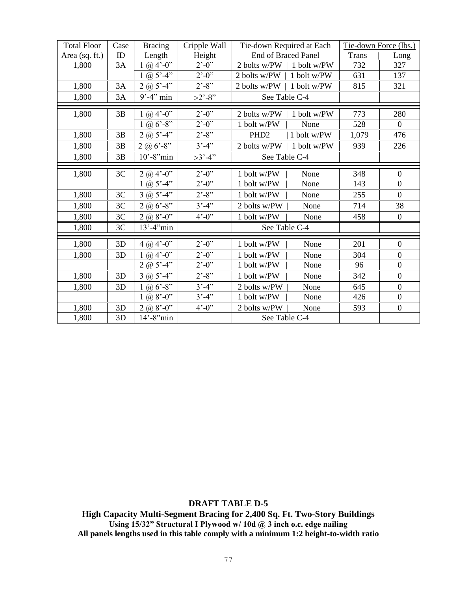| <b>Total Floor</b> | Case | <b>Bracing</b>        | Cripple Wall                                 | Tie-down Required at Each       | Tie-down Force (lbs.) |                  |
|--------------------|------|-----------------------|----------------------------------------------|---------------------------------|-----------------------|------------------|
| Area (sq. ft.)     | ID   | Length                | Height                                       | <b>End of Braced Panel</b>      | <b>Trans</b>          | Long             |
| 1,800              | 3A   | $1 \omega 4' - 0''$   | $2^{\cdot}$ -0 <sup><math>\cdot</math></sup> | 2 bolts w/PW<br>1 bolt w/PW     | 732                   | 327              |
|                    |      | 1 (a) $5^{\circ}$ -4" | $\overline{2}$ '-0''                         | 2 bolts w/PW<br>1 bolt w/PW     | 631                   | 137              |
| 1,800              | 3A   | 2 ( $\omega$ 5'-4"    | $2^{\degree} - 8^{\degree}$                  | 1 bolt w/PW<br>2 bolts w/PW     | 815                   | 321              |
| 1,800              | 3A   | $9' - 4''$ min        | $>2'$ -8"                                    | See Table C-4                   |                       |                  |
| 1,800              | 3B   | $1 @ 4'-0"$           | $2^{\prime}$ -0"                             | 2 bolts w/PW<br>1 bolt w/PW     | 773                   | 280              |
|                    |      | 1 (a) $6'$ -8"        | $2^{\prime}$ -0"                             | 1 bolt w/PW<br>None             | 528                   | $\boldsymbol{0}$ |
| 1,800              | 3B   | $2(a) 5'-4"$          | $2^{\prime}$ -8"                             | 1 bolt w/PW<br>PHD <sub>2</sub> | 1,079                 | 476              |
| 1,800              | 3B   | $2 @ 6' - 8"$         | $3' - 4''$                                   | 2 bolts w/PW<br>1 bolt w/PW     | 939                   | 226              |
| 1,800              | 3B   | $10'$ -8" $min$       | $>3' - 4"$                                   | See Table C-4                   |                       |                  |
| 1,800              | 3C   | $2 @ 4'-0"$           | $2^{\degree} - 0^{\degree}$                  | 1 bolt w/PW<br>None             | 348                   | $\boldsymbol{0}$ |
|                    |      | $1 @ 5' - 4"$         | $2^{\prime}$ -0"                             | 1 bolt w/PW<br>None             | 143                   | $\overline{0}$   |
| 1,800              | 3C   | $3 @ 5' - 4"$         | $2^{\prime}$ -8"                             | 1 bolt w/PW<br>None             | 255                   | $\mathbf{0}$     |
| 1,800              | 3C   | $2 @ 6' - 8''$        | $3' - 4''$                                   | 2 bolts w/PW<br>None            | 714                   | 38               |
| 1,800              | 3C   | $2(a) 8'-0$ "         | $4^{\circ} - 0^{\circ}$                      | 1 bolt w/PW<br>None             | 458                   | $\boldsymbol{0}$ |
| 1,800              | 3C   | $13' - 4''$ min       |                                              | See Table C-4                   |                       |                  |
| 1,800              | 3D   | $4 @ 4'-0"$           | $2^{\prime}$ -0"                             | 1 bolt w/PW<br>None             | 201                   | $\overline{0}$   |
| 1,800              | 3D   | $1 \omega 4'-0$ "     | $2^{\degree} - 0^{\degree}$                  | 1 bolt w/PW<br>None             | 304                   | $\mathbf{0}$     |
|                    |      | $2 @ 5' - 4"$         | $2^{\degree} - 0^{\degree}$                  | 1 bolt w/PW<br>None             | 96                    | $\overline{0}$   |
| 1,800              | 3D   | $3 \omega 5' - 4''$   | $2^{\degree} - 8^{\degree}$                  | 1 bolt w/PW<br>None             | 342                   | $\boldsymbol{0}$ |
| 1,800              | 3D   | $1 @ 6' - 8"$         | $3' - 4''$                                   | 2 bolts w/PW<br>None            | 645                   | $\overline{0}$   |
|                    |      | 1 (a) $8^{\circ}$ -0" | $3'-4"$                                      | 1 bolt w/PW<br>None             | 426                   | $\overline{0}$   |
| 1,800              | 3D   | 2 ( $\omega$ 8'-0"    | $4^{\circ} - 0^{\circ}$                      | 2 bolts w/PW<br>None            | 593                   | $\boldsymbol{0}$ |
| 1,800              | 3D   | $14'$ -8" $min$       |                                              | See Table C-4                   |                       |                  |

**High Capacity Multi-Segment Bracing for 2,400 Sq. Ft. Two-Story Buildings Using 15/32" Structural I Plywood w/ 10d @ 3 inch o.c. edge nailing All panels lengths used in this table comply with a minimum 1:2 height-to-width ratio**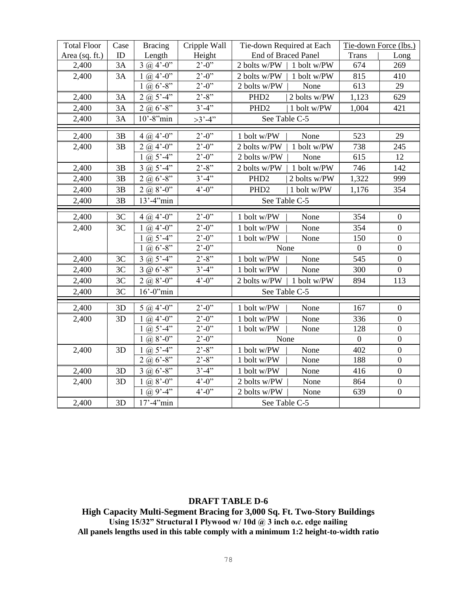| <b>Total Floor</b> | Case | <b>Bracing</b>        | Cripple Wall                    | Tie-down Required at Each        | Tie-down Force (lbs.) |                  |
|--------------------|------|-----------------------|---------------------------------|----------------------------------|-----------------------|------------------|
| Area (sq. ft.)     | ID   | Length                | Height                          | <b>End of Braced Panel</b>       | <b>Trans</b>          | Long             |
| 2,400              | 3A   | $3 @ 4'-0"$           | $2^{\prime}$ -0"                | 2 bolts w/PW   1 bolt w/PW       | 674                   | 269              |
| 2,400              | 3A   | 1 (a) $4^{\circ}$ -0" | $2^{7} - 0^{7}$                 | 2 bolts w/PW  <br>1 bolt w/PW    | 815                   | 410              |
|                    |      | $1 @ 6' - 8"$         | $2^{\prime}$ -0 <sup>"</sup>    | 2 bolts w/PW<br>None             | 613                   | 29               |
| 2,400              | 3A   | $2(a) 5'-4"$          | $2^{\prime} - 8^{\prime\prime}$ | PHD <sub>2</sub><br>2 bolts w/PW | 1,123                 | 629              |
| 2,400              | 3A   | $2 @ 6' - 8''$        | $3' - 4''$                      | 1 bolt w/PW<br>PHD <sub>2</sub>  | 1,004                 | 421              |
| 2,400              | 3A   | $10'$ -8" $min$       | $>3' - 4'$                      | See Table C-5                    |                       |                  |
| 2,400              | 3B   | $4\omega$ 4'-0"       | $2^{\prime}$ -0"                | 1 bolt w/PW<br>None              | 523                   | 29               |
| 2,400              | 3B   | $2(a, 4'-0)$          | $2^{\prime}$ -0"                | 1 bolt w/PW<br>2 bolts w/PW      | 738                   | 245              |
|                    |      | 1 (a) $5' - 4'$       | $2^{\prime}$ -0"                | 2 bolts w/PW<br>None             | 615                   | 12               |
| 2,400              | 3B   | $3 \omega 5' - 4''$   | $2^{\degree} - 8^{\degree}$     | 1 bolt w/PW<br>2 bolts w/PW      | 746                   | 142              |
| 2,400              | 3B   | 2 (a) $6^{\circ}$ -8" | $3' - 4'$                       | PHD <sub>2</sub><br>2 bolts w/PW | 1,322                 | 999              |
| 2,400              | 3B   | $2(a, 8'-0)$          | $4^{\circ} - 0^{\circ}$         | PHD <sub>2</sub><br>1 bolt w/PW  | 1,176                 | 354              |
| 2,400              | 3B   | $13' - 4''$ min       |                                 | See Table C-5                    |                       |                  |
| 2,400              | 3C   | $4\omega$ 4'-0"       | $2^{\prime}$ -0"                | 1 bolt w/PW<br>None              | 354                   | $\mathbf{0}$     |
| 2,400              | 3C   | $1 \omega 4'-0$       | $2^{\degree} - 0^{\degree}$     | 1 bolt w/PW<br>None              | 354                   | $\boldsymbol{0}$ |
|                    |      | 1 (a) $5' - 4''$      | $2^{\prime}$ -0"                | 1 bolt w/PW<br>None              | 150                   | $\boldsymbol{0}$ |
|                    |      | 1 @ $6'$ -8"          | $2^{\degree}$ -0 <sup>7</sup>   | None                             | $\boldsymbol{0}$      | $\boldsymbol{0}$ |
| 2,400              | 3C   | $3$ (a) $5' - 4'$     | $2^{\prime} - 8^{\prime\prime}$ | 1 bolt w/PW<br>None              | 545                   | $\boldsymbol{0}$ |
| 2,400              | 3C   | $3 @ 6'-8"$           | $3' - 4'$                       | 1 bolt w/PW<br>None              | 300                   | $\overline{0}$   |
| 2,400              | 3C   | $2(a) 8'-0"$          | $4^{\circ} - 0^{\circ}$         | 2 bolts w/PW<br>1 bolt w/PW      | 894                   | 113              |
| 2,400              | 3C   | $16'$ -0" $min$       |                                 | See Table C-5                    |                       |                  |
| 2,400              | 3D   | $5 @ 4'-0"$           | $2^{\prime}$ -0"                | 1 bolt w/PW<br>None              | 167                   | $\boldsymbol{0}$ |
| 2,400              | 3D   | 1 (a) $4^{\circ}$ -0" | $2^{\prime}$ -0"                | 1 bolt w/PW<br>None              | 336                   | $\boldsymbol{0}$ |
|                    |      | 1 (a) $5' - 4''$      | $2^{\degree} - 0^{\degree}$     | 1 bolt w/PW<br>None              | 128                   | $\boldsymbol{0}$ |
|                    |      | 1 (a) $8^{\circ}$ -0" | $2^{\prime} - 0^{\prime\prime}$ | None                             | $\mathbf{0}$          | $\overline{0}$   |
| 2,400              | 3D   | 1 (a) $5' - 4'$       | $2^{\prime}$ -8"                | 1 bolt w/PW<br>None              | 402                   | $\boldsymbol{0}$ |
|                    |      | $2(a) 6' - 8''$       | $2^{\cdot}$ -8 <sup>77</sup>    | None<br>1 bolt w/PW              | 188                   | $\overline{0}$   |
| 2,400              | 3D   | $3 @ 6' - 8"$         | $3'-4"$                         | None<br>1 bolt w/PW              | 416                   | $\boldsymbol{0}$ |
| 2,400              | 3D   | $1 \omega 8' - 0''$   | $4^{\circ} - 0^{\circ}$         | None<br>2 bolts w/PW             | 864                   | $\boldsymbol{0}$ |
|                    |      | $1 \omega 9' - 4''$   | $4^{\circ} - 0^{\circ}$         | None<br>2 bolts w/PW             | 639                   | $\boldsymbol{0}$ |
| 2,400              | 3D   | $17' - 4''$ min       |                                 | See Table C-5                    |                       |                  |

**High Capacity Multi-Segment Bracing for 3,000 Sq. Ft. Two-Story Buildings Using 15/32" Structural I Plywood w/ 10d @ 3 inch o.c. edge nailing All panels lengths used in this table comply with a minimum 1:2 height-to-width ratio**